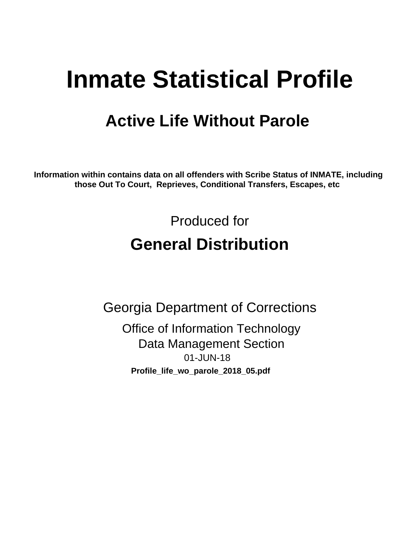# **Inmate Statistical Profile**

# **Active Life Without Parole**

Information within contains data on all offenders with Scribe Status of INMATE, including those Out To Court, Reprieves, Conditional Transfers, Escapes, etc

> Produced for **General Distribution**

**Georgia Department of Corrections Office of Information Technology Data Management Section** 01-JUN-18 Profile\_life\_wo\_parole\_2018\_05.pdf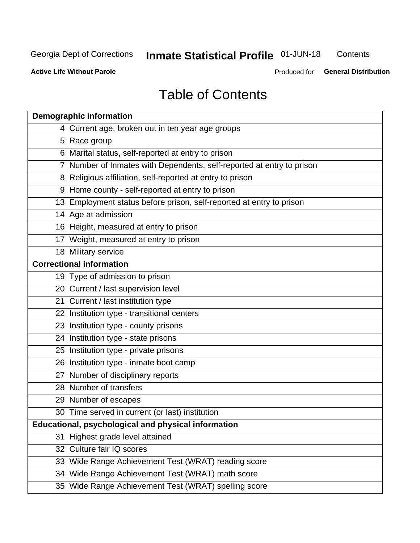# **Inmate Statistical Profile 01-JUN-18**

Contents

**Active Life Without Parole** 

Produced for General Distribution

# **Table of Contents**

|    | <b>Demographic information</b>                                        |
|----|-----------------------------------------------------------------------|
|    | 4 Current age, broken out in ten year age groups                      |
|    | 5 Race group                                                          |
|    | 6 Marital status, self-reported at entry to prison                    |
|    | 7 Number of Inmates with Dependents, self-reported at entry to prison |
|    | 8 Religious affiliation, self-reported at entry to prison             |
|    | 9 Home county - self-reported at entry to prison                      |
|    | 13 Employment status before prison, self-reported at entry to prison  |
|    | 14 Age at admission                                                   |
|    | 16 Height, measured at entry to prison                                |
|    | 17 Weight, measured at entry to prison                                |
|    | 18 Military service                                                   |
|    | <b>Correctional information</b>                                       |
|    | 19 Type of admission to prison                                        |
|    | 20 Current / last supervision level                                   |
|    | 21 Current / last institution type                                    |
|    | 22 Institution type - transitional centers                            |
|    | 23 Institution type - county prisons                                  |
|    | 24 Institution type - state prisons                                   |
|    | 25 Institution type - private prisons                                 |
|    | 26 Institution type - inmate boot camp                                |
|    | 27 Number of disciplinary reports                                     |
|    | 28 Number of transfers                                                |
|    | 29 Number of escapes                                                  |
|    | 30 Time served in current (or last) institution                       |
|    | Educational, psychological and physical information                   |
| 31 | Highest grade level attained                                          |
|    | 32 Culture fair IQ scores                                             |
|    | 33 Wide Range Achievement Test (WRAT) reading score                   |
|    | 34 Wide Range Achievement Test (WRAT) math score                      |
|    | 35 Wide Range Achievement Test (WRAT) spelling score                  |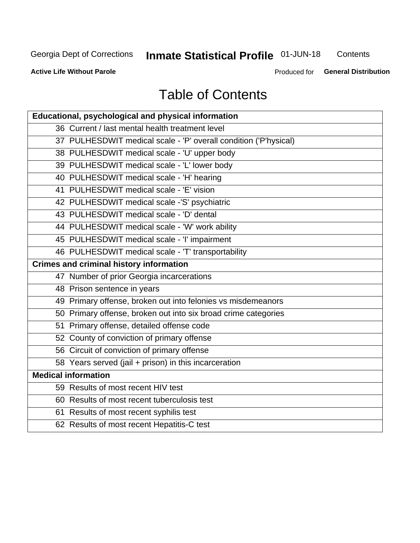# **Inmate Statistical Profile 01-JUN-18**

Contents

**Active Life Without Parole** 

Produced for General Distribution

# **Table of Contents**

| Educational, psychological and physical information              |
|------------------------------------------------------------------|
| 36 Current / last mental health treatment level                  |
| 37 PULHESDWIT medical scale - 'P' overall condition ('P'hysical) |
| 38 PULHESDWIT medical scale - 'U' upper body                     |
| 39 PULHESDWIT medical scale - 'L' lower body                     |
| 40 PULHESDWIT medical scale - 'H' hearing                        |
| 41 PULHESDWIT medical scale - 'E' vision                         |
| 42 PULHESDWIT medical scale -'S' psychiatric                     |
| 43 PULHESDWIT medical scale - 'D' dental                         |
| 44 PULHESDWIT medical scale - 'W' work ability                   |
| 45 PULHESDWIT medical scale - 'I' impairment                     |
| 46 PULHESDWIT medical scale - 'T' transportability               |
| <b>Crimes and criminal history information</b>                   |
| 47 Number of prior Georgia incarcerations                        |
| 48 Prison sentence in years                                      |
| 49 Primary offense, broken out into felonies vs misdemeanors     |
| 50 Primary offense, broken out into six broad crime categories   |
| 51 Primary offense, detailed offense code                        |
| 52 County of conviction of primary offense                       |
| 56 Circuit of conviction of primary offense                      |
| 58 Years served (jail + prison) in this incarceration            |
| <b>Medical information</b>                                       |
| 59 Results of most recent HIV test                               |
| 60 Results of most recent tuberculosis test                      |
| 61 Results of most recent syphilis test                          |
| 62 Results of most recent Hepatitis-C test                       |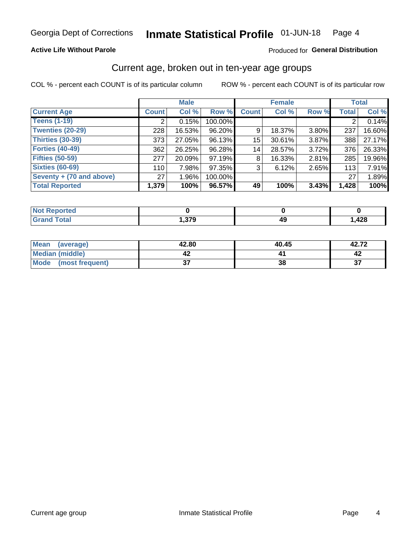### **Active Life Without Parole**

### Produced for General Distribution

# Current age, broken out in ten-year age groups

COL % - percent each COUNT is of its particular column

|                          | <b>Male</b>  |          |         |              | <b>Female</b> |       |              | <b>Total</b> |
|--------------------------|--------------|----------|---------|--------------|---------------|-------|--------------|--------------|
| <b>Current Age</b>       | <b>Count</b> | Col %    | Row %   | <b>Count</b> | Col %         | Row % | <b>Total</b> | Col %        |
| <b>Teens (1-19)</b>      | ◠            | 0.15%    | 100.00% |              |               |       | 2            | 0.14%        |
| <b>Twenties (20-29)</b>  | 228          | 16.53%   | 96.20%  | 9            | 18.37%        | 3.80% | 237          | 16.60%       |
| Thirties (30-39)         | 373          | 27.05%   | 96.13%  | 15           | 30.61%        | 3.87% | 388          | 27.17%       |
| <b>Forties (40-49)</b>   | 362          | 26.25%   | 96.28%  | 14           | 28.57%        | 3.72% | 376          | 26.33%       |
| <b>Fifties (50-59)</b>   | 277          | 20.09%   | 97.19%  | 8            | 16.33%        | 2.81% | 285          | 19.96%       |
| <b>Sixties (60-69)</b>   | 110          | 7.98%    | 97.35%  | 3            | 6.12%         | 2.65% | 113          | 7.91%        |
| Seventy + (70 and above) | 27           | $1.96\%$ | 100.00% |              |               |       | 27           | 1.89%        |
| <b>Total Reported</b>    | 1,379        | 100%     | 96.57%  | 49           | 100%          | 3.43% | 1,428        | 100%         |

| <b>sted</b><br>N |     |         |      |
|------------------|-----|---------|------|
| $C = 4$          | 270 | лι<br>╌ | ,428 |

| Mean<br>(average)       | 42.80  | 40.45 | 42.72     |
|-------------------------|--------|-------|-----------|
| Median (middle)         |        |       |           |
| Mode<br>(most frequent) | ^<br>v | 38    | ^-<br>. پ |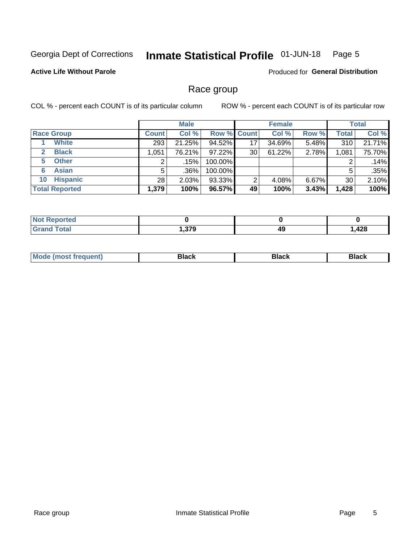#### Inmate Statistical Profile 01-JUN-18 Page 5

### **Active Life Without Parole**

Produced for General Distribution

# Race group

COL % - percent each COUNT is of its particular column

|                              | <b>Male</b>  |        |         | <b>Female</b>      |        |          | <b>Total</b> |        |
|------------------------------|--------------|--------|---------|--------------------|--------|----------|--------------|--------|
| <b>Race Group</b>            | <b>Count</b> | Col %  |         | <b>Row % Count</b> | Col %  | Row %    | Total        | Col %  |
| <b>White</b>                 | 293          | 21.25% | 94.52%  | 17                 | 34.69% | 5.48%    | 310          | 21.71% |
| <b>Black</b><br>$\mathbf{2}$ | 1,051        | 76.21% | 97.22%  | 30                 | 61.22% | 2.78%    | 1,081        | 75.70% |
| <b>Other</b><br>5.           |              | .15%   | 100.00% |                    |        |          | 2            | .14%   |
| <b>Asian</b><br>6            | 5            | .36%   | 100.00% |                    |        |          | 5            | .35%   |
| <b>Hispanic</b><br>10        | 28           | 2.03%  | 93.33%  | ົ                  | 4.08%  | $6.67\%$ | 30           | 2.10%  |
| <b>Total Reported</b>        | 1,379        | 100%   | 96.57%  | 49                 | 100%   | 3.43%    | 1,428        | 100%   |

| <b>rted</b>  |      |    |     |
|--------------|------|----|-----|
| <b>Total</b> | 270  | 49 | 100 |
| _____        | ت ان |    | ᅚᄯ  |

| –•••• |  | M |  |  |  |
|-------|--|---|--|--|--|
|-------|--|---|--|--|--|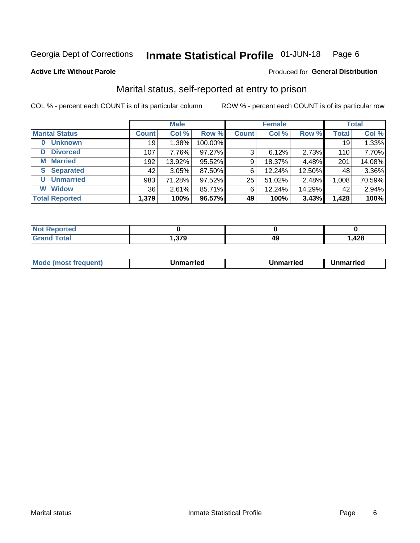#### Inmate Statistical Profile 01-JUN-18 Page 6

### **Active Life Without Parole**

### Produced for General Distribution

# Marital status, self-reported at entry to prison

COL % - percent each COUNT is of its particular column

|                            |              | <b>Male</b> |         |              | <b>Female</b> |        |              | <b>Total</b> |
|----------------------------|--------------|-------------|---------|--------------|---------------|--------|--------------|--------------|
| <b>Marital Status</b>      | <b>Count</b> | Col %       | Row %   | <b>Count</b> | Col %         | Row %  | <b>Total</b> | Col %        |
| <b>Unknown</b><br>$\bf{0}$ | 19           | 1.38%       | 100.00% |              |               |        | 19           | 1.33%        |
| <b>Divorced</b><br>D       | 107          | 7.76%       | 97.27%  | 3            | 6.12%         | 2.73%  | 110          | 7.70%        |
| <b>Married</b><br>М        | 192          | 13.92%      | 95.52%  | 9            | 18.37%        | 4.48%  | 201          | 14.08%       |
| <b>Separated</b><br>S      | 42           | 3.05%       | 87.50%  | 6            | 12.24%        | 12.50% | 48           | 3.36%        |
| <b>Unmarried</b><br>U      | 983          | 71.28%      | 97.52%  | 25           | 51.02%        | 2.48%  | 1,008        | 70.59%       |
| <b>Widow</b><br>W          | 36           | 2.61%       | 85.71%  | 6            | 12.24%        | 14.29% | 42           | 2.94%        |
| <b>Total Reported</b>      | 1,379        | 100%        | 96.57%  | 49           | 100%          | 3.43%  | 1,428        | 100%         |

| <b>Not Reported</b> |              |   |      |
|---------------------|--------------|---|------|
| <b>Total</b>        | 270<br>. טוי | л | ,428 |

|  | M | . | Unmarried | າmarried<br>______ |
|--|---|---|-----------|--------------------|
|--|---|---|-----------|--------------------|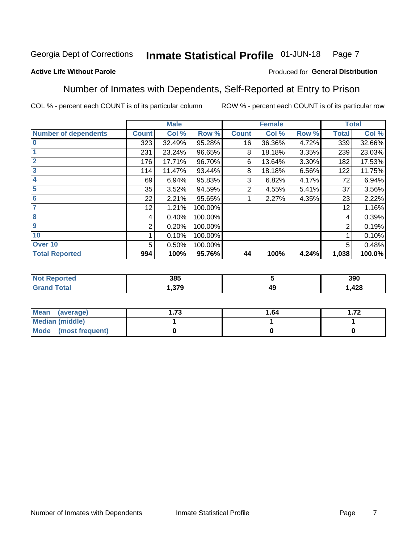#### Inmate Statistical Profile 01-JUN-18 Page 7

### **Active Life Without Parole**

### Produced for General Distribution

# Number of Inmates with Dependents, Self-Reported at Entry to Prison

COL % - percent each COUNT is of its particular column

|                             |                 | <b>Male</b> |         |              | <b>Female</b> |       |              | <b>Total</b> |
|-----------------------------|-----------------|-------------|---------|--------------|---------------|-------|--------------|--------------|
| <b>Number of dependents</b> | <b>Count</b>    | Col %       | Row %   | <b>Count</b> | Col %         | Row % | <b>Total</b> | Col %        |
| $\bf{0}$                    | 323             | 32.49%      | 95.28%  | 16           | 36.36%        | 4.72% | 339          | 32.66%       |
|                             | 231             | 23.24%      | 96.65%  | 8            | 18.18%        | 3.35% | 239          | 23.03%       |
| $\overline{2}$              | 176             | 17.71%      | 96.70%  | 6            | 13.64%        | 3.30% | 182          | 17.53%       |
| 3                           | 114             | 11.47%      | 93.44%  | 8            | 18.18%        | 6.56% | 122          | 11.75%       |
| 4                           | 69              | 6.94%       | 95.83%  | 3            | 6.82%         | 4.17% | 72           | 6.94%        |
| 5                           | 35              | 3.52%       | 94.59%  | 2            | 4.55%         | 5.41% | 37           | 3.56%        |
| $6\phantom{1}6$             | 22              | 2.21%       | 95.65%  |              | 2.27%         | 4.35% | 23           | 2.22%        |
| 7                           | 12 <sub>2</sub> | 1.21%       | 100.00% |              |               |       | 12           | 1.16%        |
| $\overline{\mathbf{8}}$     | 4               | 0.40%       | 100.00% |              |               |       | 4            | 0.39%        |
| $\boldsymbol{9}$            | 2               | 0.20%       | 100.00% |              |               |       | 2            | 0.19%        |
| 10                          |                 | 0.10%       | 100.00% |              |               |       |              | 0.10%        |
| Over 10                     | 5               | 0.50%       | 100.00% |              |               |       | 5            | 0.48%        |
| <b>Total Reported</b>       | 994             | 100%        | 95.76%  | 44           | 100%          | 4.24% | 1,038        | 100.0%       |

| ιcυ | 385        |    | 390           |
|-----|------------|----|---------------|
|     | 270<br>. . | 49 | 100<br>440, ا |

| Mean (average)          | 70 | 1.64 | 70<br>. |
|-------------------------|----|------|---------|
| <b>Median (middle)</b>  |    |      |         |
| Mode<br>(most frequent) |    |      |         |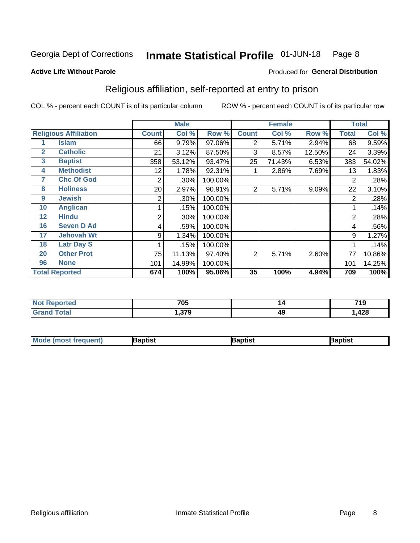#### Inmate Statistical Profile 01-JUN-18 Page 8

### **Active Life Without Parole**

### Produced for General Distribution

# Religious affiliation, self-reported at entry to prison

COL % - percent each COUNT is of its particular column

|              |                              | <b>Male</b>  |        |         |                | <b>Female</b> |        | <b>Total</b> |        |
|--------------|------------------------------|--------------|--------|---------|----------------|---------------|--------|--------------|--------|
|              | <b>Religious Affiliation</b> | <b>Count</b> | Col %  | Row %   | <b>Count</b>   | Col %         | Row %  | Total        | Col %  |
|              | <b>Islam</b>                 | 66           | 9.79%  | 97.06%  | 2              | 5.71%         | 2.94%  | 68           | 9.59%  |
| $\mathbf{2}$ | <b>Catholic</b>              | 21           | 3.12%  | 87.50%  | 3              | 8.57%         | 12.50% | 24           | 3.39%  |
| 3            | <b>Baptist</b>               | 358          | 53.12% | 93.47%  | 25             | 71.43%        | 6.53%  | 383          | 54.02% |
| 4            | <b>Methodist</b>             | 12           | 1.78%  | 92.31%  |                | 2.86%         | 7.69%  | 13           | 1.83%  |
| 7            | <b>Chc Of God</b>            | 2            | .30%   | 100.00% |                |               |        | 2            | .28%   |
| 8            | <b>Holiness</b>              | 20           | 2.97%  | 90.91%  | $\overline{2}$ | 5.71%         | 9.09%  | 22           | 3.10%  |
| 9            | <b>Jewish</b>                | 2            | .30%   | 100.00% |                |               |        | 2            | .28%   |
| 10           | <b>Anglican</b>              |              | .15%   | 100.00% |                |               |        |              | .14%   |
| 12           | <b>Hindu</b>                 | 2            | .30%   | 100.00% |                |               |        | 2            | .28%   |
| 16           | <b>Seven D Ad</b>            | 4            | .59%   | 100.00% |                |               |        | 4            | .56%   |
| 17           | <b>Jehovah Wt</b>            | 9            | 1.34%  | 100.00% |                |               |        | 9            | 1.27%  |
| 18           | <b>Latr Day S</b>            |              | .15%   | 100.00% |                |               |        |              | .14%   |
| 20           | <b>Other Prot</b>            | 75           | 11.13% | 97.40%  | 2              | 5.71%         | 2.60%  | 77           | 10.86% |
| 96           | <b>None</b>                  | 101          | 14.99% | 100.00% |                |               |        | 101          | 14.25% |
|              | <b>Total Reported</b>        | 674          | 100%   | 95.06%  | 35             | 100%          | 4.94%  | 709          | 100%   |

| rtea<br>$\sim$ | 705        | 14 | <b>710</b><br>. . |
|----------------|------------|----|-------------------|
|                | 270<br>. . | 49 | 428               |

| <b>Mode (most frequent)</b> | 3aptist | 3aptist | Baptist |
|-----------------------------|---------|---------|---------|
|-----------------------------|---------|---------|---------|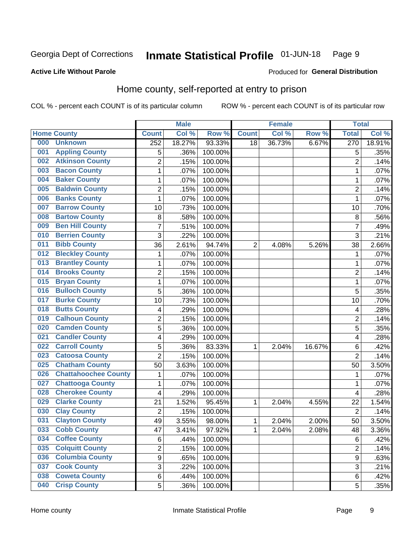#### Inmate Statistical Profile 01-JUN-18 Page 9

### **Active Life Without Parole**

### Produced for General Distribution

# Home county, self-reported at entry to prison

COL % - percent each COUNT is of its particular column

|     |                             |                | <b>Male</b> |                  |                | <b>Female</b> |        | <b>Total</b>   |        |
|-----|-----------------------------|----------------|-------------|------------------|----------------|---------------|--------|----------------|--------|
|     | <b>Home County</b>          | <b>Count</b>   | Col %       | Row <sup>%</sup> | <b>Count</b>   | Col %         | Row %  | <b>Total</b>   | Col %  |
| 000 | <b>Unknown</b>              | 252            | 18.27%      | 93.33%           | 18             | 36.73%        | 6.67%  | 270            | 18.91% |
| 001 | <b>Appling County</b>       | 5              | .36%        | 100.00%          |                |               |        | 5              | .35%   |
| 002 | <b>Atkinson County</b>      | $\overline{2}$ | .15%        | 100.00%          |                |               |        | $\overline{2}$ | .14%   |
| 003 | <b>Bacon County</b>         | 1              | .07%        | 100.00%          |                |               |        | 1              | .07%   |
| 004 | <b>Baker County</b>         | $\mathbf 1$    | .07%        | 100.00%          |                |               |        | 1              | .07%   |
| 005 | <b>Baldwin County</b>       | $\overline{c}$ | .15%        | 100.00%          |                |               |        | $\overline{2}$ | .14%   |
| 006 | <b>Banks County</b>         | $\mathbf{1}$   | .07%        | 100.00%          |                |               |        | 1              | .07%   |
| 007 | <b>Barrow County</b>        | 10             | .73%        | 100.00%          |                |               |        | 10             | .70%   |
| 008 | <b>Bartow County</b>        | 8              | .58%        | 100.00%          |                |               |        | 8              | .56%   |
| 009 | <b>Ben Hill County</b>      | 7              | .51%        | 100.00%          |                |               |        | 7              | .49%   |
| 010 | <b>Berrien County</b>       | 3              | .22%        | 100.00%          |                |               |        | 3              | .21%   |
| 011 | <b>Bibb County</b>          | 36             | 2.61%       | 94.74%           | $\overline{2}$ | 4.08%         | 5.26%  | 38             | 2.66%  |
| 012 | <b>Bleckley County</b>      | 1              | .07%        | 100.00%          |                |               |        | 1              | .07%   |
| 013 | <b>Brantley County</b>      | $\mathbf 1$    | .07%        | 100.00%          |                |               |        | 1              | .07%   |
| 014 | <b>Brooks County</b>        | $\overline{2}$ | .15%        | 100.00%          |                |               |        | $\overline{2}$ | .14%   |
| 015 | <b>Bryan County</b>         | 1              | .07%        | 100.00%          |                |               |        | 1              | .07%   |
| 016 | <b>Bulloch County</b>       | 5              | .36%        | 100.00%          |                |               |        | 5              | .35%   |
| 017 | <b>Burke County</b>         | 10             | .73%        | 100.00%          |                |               |        | 10             | .70%   |
| 018 | <b>Butts County</b>         | 4              | .29%        | 100.00%          |                |               |        | 4              | .28%   |
| 019 | <b>Calhoun County</b>       | $\overline{2}$ | .15%        | 100.00%          |                |               |        | $\overline{2}$ | .14%   |
| 020 | <b>Camden County</b>        | 5              | .36%        | 100.00%          |                |               |        | 5              | .35%   |
| 021 | <b>Candler County</b>       | 4              | .29%        | 100.00%          |                |               |        | 4              | .28%   |
| 022 | <b>Carroll County</b>       | 5              | .36%        | 83.33%           | 1              | 2.04%         | 16.67% | 6              | .42%   |
| 023 | <b>Catoosa County</b>       | $\overline{2}$ | .15%        | 100.00%          |                |               |        | $\overline{2}$ | .14%   |
| 025 | <b>Chatham County</b>       | 50             | 3.63%       | 100.00%          |                |               |        | 50             | 3.50%  |
| 026 | <b>Chattahoochee County</b> | 1              | .07%        | 100.00%          |                |               |        | 1              | .07%   |
| 027 | <b>Chattooga County</b>     | $\mathbf 1$    | .07%        | 100.00%          |                |               |        | 1              | .07%   |
| 028 | <b>Cherokee County</b>      | 4              | .29%        | 100.00%          |                |               |        | 4              | .28%   |
| 029 | <b>Clarke County</b>        | 21             | 1.52%       | 95.45%           | 1              | 2.04%         | 4.55%  | 22             | 1.54%  |
| 030 | <b>Clay County</b>          | $\overline{2}$ | .15%        | 100.00%          |                |               |        | $\overline{2}$ | .14%   |
| 031 | <b>Clayton County</b>       | 49             | 3.55%       | 98.00%           | 1              | 2.04%         | 2.00%  | 50             | 3.50%  |
| 033 | <b>Cobb County</b>          | 47             | 3.41%       | 97.92%           | 1              | 2.04%         | 2.08%  | 48             | 3.36%  |
| 034 | <b>Coffee County</b>        | 6              | .44%        | 100.00%          |                |               |        | 6              | .42%   |
| 035 | <b>Colquitt County</b>      | $\overline{2}$ | .15%        | 100.00%          |                |               |        | $\overline{2}$ | .14%   |
| 036 | <b>Columbia County</b>      | 9              | .65%        | 100.00%          |                |               |        | 9              | .63%   |
| 037 | <b>Cook County</b>          | 3              | .22%        | 100.00%          |                |               |        | 3              | .21%   |
| 038 | <b>Coweta County</b>        | 6              | .44%        | 100.00%          |                |               |        | 6              | .42%   |
| 040 | <b>Crisp County</b>         | 5              | .36%        | 100.00%          |                |               |        | 5              | .35%   |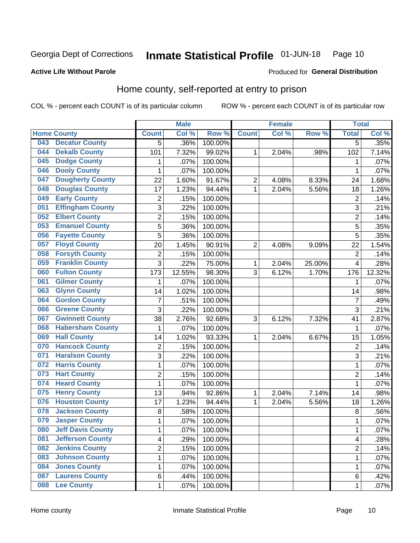#### Inmate Statistical Profile 01-JUN-18 Page 10

Produced for General Distribution

### **Active Life Without Parole**

# Home county, self-reported at entry to prison

COL % - percent each COUNT is of its particular column

|     |                          |                | <b>Male</b> |         |                | <b>Female</b> |        | <b>Total</b>   |        |
|-----|--------------------------|----------------|-------------|---------|----------------|---------------|--------|----------------|--------|
|     | <b>Home County</b>       | <b>Count</b>   | Col %       | Row %   | <b>Count</b>   | Col %         | Row %  | <b>Total</b>   | Col %  |
| 043 | <b>Decatur County</b>    | 5              | .36%        | 100.00% |                |               |        | $\overline{5}$ | .35%   |
| 044 | <b>Dekalb County</b>     | 101            | 7.32%       | 99.02%  | 1              | 2.04%         | .98%   | 102            | 7.14%  |
| 045 | <b>Dodge County</b>      | 1              | .07%        | 100.00% |                |               |        | 1              | .07%   |
| 046 | <b>Dooly County</b>      | $\mathbf 1$    | .07%        | 100.00% |                |               |        | 1              | .07%   |
| 047 | <b>Dougherty County</b>  | 22             | 1.60%       | 91.67%  | $\overline{c}$ | 4.08%         | 8.33%  | 24             | 1.68%  |
| 048 | <b>Douglas County</b>    | 17             | 1.23%       | 94.44%  | 1              | 2.04%         | 5.56%  | 18             | 1.26%  |
| 049 | <b>Early County</b>      | 2              | .15%        | 100.00% |                |               |        | $\overline{2}$ | .14%   |
| 051 | <b>Effingham County</b>  | 3              | .22%        | 100.00% |                |               |        | 3              | .21%   |
| 052 | <b>Elbert County</b>     | 2              | .15%        | 100.00% |                |               |        | 2              | .14%   |
| 053 | <b>Emanuel County</b>    | 5              | .36%        | 100.00% |                |               |        | 5              | .35%   |
| 056 | <b>Fayette County</b>    | 5              | .36%        | 100.00% |                |               |        | 5              | .35%   |
| 057 | <b>Floyd County</b>      | 20             | 1.45%       | 90.91%  | $\overline{2}$ | 4.08%         | 9.09%  | 22             | 1.54%  |
| 058 | <b>Forsyth County</b>    | 2              | .15%        | 100.00% |                |               |        | $\overline{2}$ | .14%   |
| 059 | <b>Franklin County</b>   | 3              | .22%        | 75.00%  | 1              | 2.04%         | 25.00% | 4              | .28%   |
| 060 | <b>Fulton County</b>     | 173            | 12.55%      | 98.30%  | 3              | 6.12%         | 1.70%  | 176            | 12.32% |
| 061 | <b>Gilmer County</b>     | 1              | .07%        | 100.00% |                |               |        | 1              | .07%   |
| 063 | <b>Glynn County</b>      | 14             | 1.02%       | 100.00% |                |               |        | 14             | .98%   |
| 064 | <b>Gordon County</b>     | $\overline{7}$ | .51%        | 100.00% |                |               |        | 7              | .49%   |
| 066 | <b>Greene County</b>     | 3              | .22%        | 100.00% |                |               |        | 3              | .21%   |
| 067 | <b>Gwinnett County</b>   | 38             | 2.76%       | 92.68%  | 3              | 6.12%         | 7.32%  | 41             | 2.87%  |
| 068 | <b>Habersham County</b>  | 1              | .07%        | 100.00% |                |               |        | 1              | .07%   |
| 069 | <b>Hall County</b>       | 14             | 1.02%       | 93.33%  | 1              | 2.04%         | 6.67%  | 15             | 1.05%  |
| 070 | <b>Hancock County</b>    | 2              | .15%        | 100.00% |                |               |        | $\overline{2}$ | .14%   |
| 071 | <b>Haralson County</b>   | 3              | .22%        | 100.00% |                |               |        | 3              | .21%   |
| 072 | <b>Harris County</b>     | 1              | .07%        | 100.00% |                |               |        | 1              | .07%   |
| 073 | <b>Hart County</b>       | $\overline{c}$ | .15%        | 100.00% |                |               |        | 2              | .14%   |
| 074 | <b>Heard County</b>      | 1              | .07%        | 100.00% |                |               |        | 1              | .07%   |
| 075 | <b>Henry County</b>      | 13             | .94%        | 92.86%  | 1              | 2.04%         | 7.14%  | 14             | .98%   |
| 076 | <b>Houston County</b>    | 17             | 1.23%       | 94.44%  | 1              | 2.04%         | 5.56%  | 18             | 1.26%  |
| 078 | <b>Jackson County</b>    | 8              | .58%        | 100.00% |                |               |        | 8              | .56%   |
| 079 | <b>Jasper County</b>     | 1              | .07%        | 100.00% |                |               |        | 1              | .07%   |
| 080 | <b>Jeff Davis County</b> | 1              | .07%        | 100.00% |                |               |        | 1              | .07%   |
| 081 | <b>Jefferson County</b>  | 4              | .29%        | 100.00% |                |               |        | 4              | .28%   |
| 082 | <b>Jenkins County</b>    | $\overline{c}$ | .15%        | 100.00% |                |               |        | 2              | .14%   |
| 083 | <b>Johnson County</b>    | 1              | .07%        | 100.00% |                |               |        | 1              | .07%   |
| 084 | <b>Jones County</b>      | 1              | .07%        | 100.00% |                |               |        | 1              | .07%   |
| 087 | <b>Laurens County</b>    | 6              | .44%        | 100.00% |                |               |        | 6              | .42%   |
| 088 | <b>Lee County</b>        | $\mathbf{1}$   | $.07\%$     | 100.00% |                |               |        | 1              | .07%   |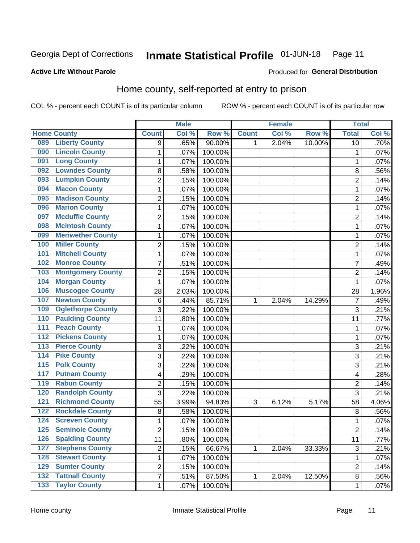#### Inmate Statistical Profile 01-JUN-18 Page 11

### **Active Life Without Parole**

### Produced for General Distribution

# Home county, self-reported at entry to prison

COL % - percent each COUNT is of its particular column

|                  |                          |                         | <b>Male</b> |         |              | <b>Female</b> |        | <b>Total</b>   |       |
|------------------|--------------------------|-------------------------|-------------|---------|--------------|---------------|--------|----------------|-------|
|                  | <b>Home County</b>       | <b>Count</b>            | Col%        | Row %   | <b>Count</b> | Col %         | Row %  | <b>Total</b>   | Col % |
| 089              | <b>Liberty County</b>    | 9                       | .65%        | 90.00%  | 1            | 2.04%         | 10.00% | 10             | .70%  |
| 090              | <b>Lincoln County</b>    | 1                       | .07%        | 100.00% |              |               |        | 1              | .07%  |
| 091              | <b>Long County</b>       | $\mathbf{1}$            | .07%        | 100.00% |              |               |        | 1              | .07%  |
| 092              | <b>Lowndes County</b>    | 8                       | .58%        | 100.00% |              |               |        | 8              | .56%  |
| 093              | <b>Lumpkin County</b>    | $\overline{2}$          | .15%        | 100.00% |              |               |        | $\overline{2}$ | .14%  |
| 094              | <b>Macon County</b>      | $\mathbf{1}$            | .07%        | 100.00% |              |               |        | 1              | .07%  |
| 095              | <b>Madison County</b>    | $\overline{2}$          | .15%        | 100.00% |              |               |        | $\overline{c}$ | .14%  |
| 096              | <b>Marion County</b>     | $\mathbf{1}$            | .07%        | 100.00% |              |               |        | 1              | .07%  |
| 097              | <b>Mcduffie County</b>   | $\overline{2}$          | .15%        | 100.00% |              |               |        | $\overline{c}$ | .14%  |
| 098              | <b>Mcintosh County</b>   | 1                       | .07%        | 100.00% |              |               |        | 1              | .07%  |
| 099              | <b>Meriwether County</b> | $\mathbf{1}$            | .07%        | 100.00% |              |               |        | 1              | .07%  |
| 100              | <b>Miller County</b>     | $\overline{2}$          | .15%        | 100.00% |              |               |        | $\overline{2}$ | .14%  |
| 101              | <b>Mitchell County</b>   | $\mathbf 1$             | .07%        | 100.00% |              |               |        | 1              | .07%  |
| 102              | <b>Monroe County</b>     | $\overline{7}$          | .51%        | 100.00% |              |               |        | 7              | .49%  |
| 103              | <b>Montgomery County</b> | $\overline{2}$          | .15%        | 100.00% |              |               |        | $\overline{2}$ | .14%  |
| 104              | <b>Morgan County</b>     | $\mathbf{1}$            | .07%        | 100.00% |              |               |        | 1              | .07%  |
| 106              | <b>Muscogee County</b>   | 28                      | 2.03%       | 100.00% |              |               |        | 28             | 1.96% |
| 107              | <b>Newton County</b>     | 6                       | .44%        | 85.71%  | 1            | 2.04%         | 14.29% | 7              | .49%  |
| 109              | <b>Oglethorpe County</b> | 3                       | .22%        | 100.00% |              |               |        | 3              | .21%  |
| 110              | <b>Paulding County</b>   | 11                      | .80%        | 100.00% |              |               |        | 11             | .77%  |
| 111              | <b>Peach County</b>      | 1                       | .07%        | 100.00% |              |               |        | 1              | .07%  |
| $\overline{112}$ | <b>Pickens County</b>    | $\mathbf{1}$            | .07%        | 100.00% |              |               |        | 1              | .07%  |
| $\overline{113}$ | <b>Pierce County</b>     | 3                       | .22%        | 100.00% |              |               |        | 3              | .21%  |
| 114              | <b>Pike County</b>       | 3                       | .22%        | 100.00% |              |               |        | 3              | .21%  |
| $\overline{115}$ | <b>Polk County</b>       | 3                       | .22%        | 100.00% |              |               |        | 3              | .21%  |
| 117              | <b>Putnam County</b>     | 4                       | .29%        | 100.00% |              |               |        | 4              | .28%  |
| 119              | <b>Rabun County</b>      | $\overline{2}$          | .15%        | 100.00% |              |               |        | $\overline{2}$ | .14%  |
| 120              | <b>Randolph County</b>   | 3                       | .22%        | 100.00% |              |               |        | 3              | .21%  |
| $121$            | <b>Richmond County</b>   | 55                      | 3.99%       | 94.83%  | 3            | 6.12%         | 5.17%  | 58             | 4.06% |
| 122              | <b>Rockdale County</b>   | 8                       | .58%        | 100.00% |              |               |        | 8              | .56%  |
| 124              | <b>Screven County</b>    | 1                       | .07%        | 100.00% |              |               |        | 1              | .07%  |
| 125              | <b>Seminole County</b>   | 2                       | .15%        | 100.00% |              |               |        | 2              | .14%  |
| 126              | <b>Spalding County</b>   | 11                      | .80%        | 100.00% |              |               |        | 11             | .77%  |
| $127$            | <b>Stephens County</b>   | $\boldsymbol{2}$        | .15%        | 66.67%  | $\mathbf{1}$ | 2.04%         | 33.33% | 3              | .21%  |
| 128              | <b>Stewart County</b>    | $\mathbf{1}$            | .07%        | 100.00% |              |               |        | 1              | .07%  |
| 129              | <b>Sumter County</b>     | $\overline{c}$          | .15%        | 100.00% |              |               |        | 2              | .14%  |
| $\overline{132}$ | <b>Tattnall County</b>   | $\overline{\mathbf{7}}$ | .51%        | 87.50%  | $\mathbf{1}$ | 2.04%         | 12.50% | 8              | .56%  |
| $\overline{133}$ | <b>Taylor County</b>     | $\mathbf 1$             | $.07\%$     | 100.00% |              |               |        | 1              | .07%  |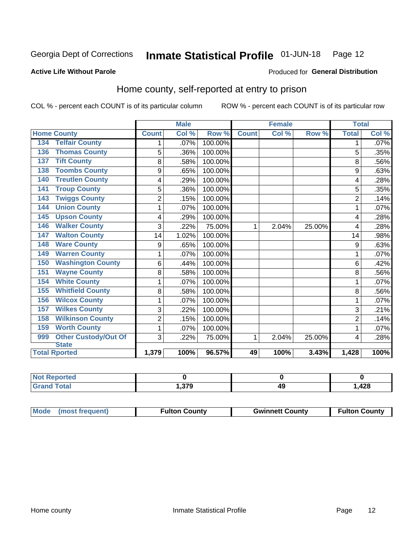#### Inmate Statistical Profile 01-JUN-18 Page 12

### **Active Life Without Parole**

### Produced for General Distribution

# Home county, self-reported at entry to prison

COL % - percent each COUNT is of its particular column

|                                    | <b>Male</b>    |       | <b>Female</b> |              |       | <b>Total</b> |                           |         |
|------------------------------------|----------------|-------|---------------|--------------|-------|--------------|---------------------------|---------|
| <b>Home County</b>                 | <b>Count</b>   | Col % | Row %         | <b>Count</b> | Col % | Row %        | <b>Total</b>              | Col %   |
| <b>Telfair County</b><br>134       | 1              | .07%  | 100.00%       |              |       |              | 1                         | $.07\%$ |
| <b>Thomas County</b><br>136        | 5              | .36%  | 100.00%       |              |       |              | 5                         | .35%    |
| <b>Tift County</b><br>137          | 8              | .58%  | 100.00%       |              |       |              | 8                         | .56%    |
| <b>Toombs County</b><br>138        | 9              | .65%  | 100.00%       |              |       |              | 9                         | .63%    |
| <b>Treutlen County</b><br>140      | 4              | .29%  | 100.00%       |              |       |              | 4                         | .28%    |
| <b>Troup County</b><br>141         | 5              | .36%  | 100.00%       |              |       |              | 5                         | .35%    |
| <b>Twiggs County</b><br>143        | $\overline{2}$ | .15%  | 100.00%       |              |       |              | $\overline{2}$            | .14%    |
| <b>Union County</b><br>144         | 1              | .07%  | 100.00%       |              |       |              | 1                         | .07%    |
| <b>Upson County</b><br>145         | 4              | .29%  | 100.00%       |              |       |              | 4                         | .28%    |
| <b>Walker County</b><br>146        | 3              | .22%  | 75.00%        | 1            | 2.04% | 25.00%       | 4                         | .28%    |
| <b>Walton County</b><br>147        | 14             | 1.02% | 100.00%       |              |       |              | 14                        | .98%    |
| <b>Ware County</b><br>148          | 9              | .65%  | 100.00%       |              |       |              | 9                         | .63%    |
| <b>Warren County</b><br>149        | 1              | .07%  | 100.00%       |              |       |              |                           | .07%    |
| <b>Washington County</b><br>150    | 6              | .44%  | 100.00%       |              |       |              | 6                         | .42%    |
| <b>Wayne County</b><br>151         | 8              | .58%  | 100.00%       |              |       |              | 8                         | .56%    |
| <b>White County</b><br>154         | 1              | .07%  | 100.00%       |              |       |              | 1                         | .07%    |
| <b>Whitfield County</b><br>155     | 8              | .58%  | 100.00%       |              |       |              | 8                         | .56%    |
| <b>Wilcox County</b><br>156        | 1              | .07%  | 100.00%       |              |       |              | 1                         | .07%    |
| <b>Wilkes County</b><br>157        | 3              | .22%  | 100.00%       |              |       |              | $\ensuremath{\mathsf{3}}$ | .21%    |
| <b>Wilkinson County</b><br>158     | 2              | .15%  | 100.00%       |              |       |              | $\overline{c}$            | .14%    |
| <b>Worth County</b><br>159         | 1              | .07%  | 100.00%       |              |       |              |                           | .07%    |
| <b>Other Custody/Out Of</b><br>999 | 3              | .22%  | 75.00%        | 1            | 2.04% | 25.00%       | 4                         | .28%    |
| <b>State</b>                       |                |       |               |              |       |              |                           |         |
| <b>Total Rported</b>               | 1,379          | 100%  | 96.57%        | 49           | 100%  | 3.43%        | 1,428                     | 100%    |

| ported<br>'NI 6 |               |    |       |
|-----------------|---------------|----|-------|
| <b>otal</b>     | 270<br>1.JI J | 49 | 1,428 |

| Mode (most frequent)<br><b>Fulton County</b> | <b>Gwinnett County</b> | <b>Fulton County</b> |
|----------------------------------------------|------------------------|----------------------|
|----------------------------------------------|------------------------|----------------------|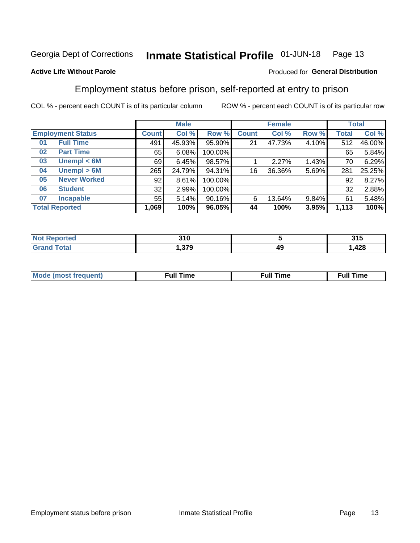#### Inmate Statistical Profile 01-JUN-18 Page 13

### **Active Life Without Parole**

### Produced for General Distribution

# Employment status before prison, self-reported at entry to prison

COL % - percent each COUNT is of its particular column

|                           |              | <b>Male</b> |         |              | <b>Female</b> |       |       | <b>Total</b> |  |
|---------------------------|--------------|-------------|---------|--------------|---------------|-------|-------|--------------|--|
| <b>Employment Status</b>  | <b>Count</b> | Col %       | Row %   | <b>Count</b> | Col %         | Row % | Total | Col %        |  |
| <b>Full Time</b><br>01    | 491          | 45.93%      | 95.90%  | 21           | 47.73%        | 4.10% | 512   | 46.00%       |  |
| <b>Part Time</b><br>02    | 65           | 6.08%       | 100.00% |              |               |       | 65    | 5.84%        |  |
| Unempl $<$ 6M<br>03       | 69           | 6.45%       | 98.57%  |              | 2.27%         | 1.43% | 70    | 6.29%        |  |
| Unempl > 6M<br>04         | 265          | 24.79%      | 94.31%  | 16           | 36.36%        | 5.69% | 281   | 25.25%       |  |
| <b>Never Worked</b><br>05 | 92           | 8.61%       | 100.00% |              |               |       | 92    | 8.27%        |  |
| <b>Student</b><br>06      | 32           | 2.99%       | 100.00% |              |               |       | 32    | 2.88%        |  |
| <b>Incapable</b><br>07    | 55           | 5.14%       | 90.16%  | 6            | 13.64%        | 9.84% | 61    | 5.48%        |  |
| <b>Total Reported</b>     | 1,069        | 100%        | 96.05%  | 44           | 100%          | 3.95% | 1,113 | 100%         |  |

| 21 N<br>JIU<br>- - |    | <b>945</b><br>J I J |
|--------------------|----|---------------------|
| 270<br>. . J I J   | 49 | ៱៱៰<br>420, ا       |

| Mc | ∙u∥<br>----<br>ıme | ίuΙ<br>Πmε |
|----|--------------------|------------|
|    |                    |            |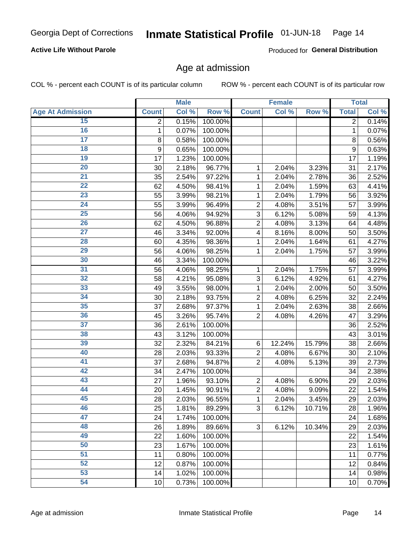### **Active Life Without Parole**

Produced for General Distribution

# Age at admission

COL % - percent each COUNT is of its particular column

|                         |              | <b>Male</b> |         |                | <b>Female</b> |        |              | <b>Total</b> |
|-------------------------|--------------|-------------|---------|----------------|---------------|--------|--------------|--------------|
| <b>Age At Admission</b> | <b>Count</b> | Col %       | Row %   | <b>Count</b>   | Col %         | Row %  | <b>Total</b> | Col %        |
| 15                      | 2            | 0.15%       | 100.00% |                |               |        | 2            | 0.14%        |
| 16                      | 1            | 0.07%       | 100.00% |                |               |        | 1            | 0.07%        |
| $\overline{17}$         | 8            | 0.58%       | 100.00% |                |               |        | 8            | 0.56%        |
| 18                      | 9            | 0.65%       | 100.00% |                |               |        | 9            | 0.63%        |
| 19                      | 17           | 1.23%       | 100.00% |                |               |        | 17           | 1.19%        |
| $\overline{20}$         | 30           | 2.18%       | 96.77%  | 1              | 2.04%         | 3.23%  | 31           | 2.17%        |
| 21                      | 35           | 2.54%       | 97.22%  | 1              | 2.04%         | 2.78%  | 36           | 2.52%        |
| 22                      | 62           | 4.50%       | 98.41%  | 1              | 2.04%         | 1.59%  | 63           | 4.41%        |
| 23                      | 55           | 3.99%       | 98.21%  | 1              | 2.04%         | 1.79%  | 56           | 3.92%        |
| 24                      | 55           | 3.99%       | 96.49%  | $\overline{2}$ | 4.08%         | 3.51%  | 57           | 3.99%        |
| $\overline{25}$         | 56           | 4.06%       | 94.92%  | 3              | 6.12%         | 5.08%  | 59           | 4.13%        |
| 26                      | 62           | 4.50%       | 96.88%  | $\overline{2}$ | 4.08%         | 3.13%  | 64           | 4.48%        |
| $\overline{27}$         | 46           | 3.34%       | 92.00%  | 4              | 8.16%         | 8.00%  | 50           | 3.50%        |
| 28                      | 60           | 4.35%       | 98.36%  | 1              | 2.04%         | 1.64%  | 61           | 4.27%        |
| 29                      | 56           | 4.06%       | 98.25%  | 1              | 2.04%         | 1.75%  | 57           | 3.99%        |
| 30                      | 46           | 3.34%       | 100.00% |                |               |        | 46           | 3.22%        |
| 31                      | 56           | 4.06%       | 98.25%  | 1              | 2.04%         | 1.75%  | 57           | 3.99%        |
| 32                      | 58           | 4.21%       | 95.08%  | 3              | 6.12%         | 4.92%  | 61           | 4.27%        |
| 33                      | 49           | 3.55%       | 98.00%  | 1              | 2.04%         | 2.00%  | 50           | 3.50%        |
| 34                      | 30           | 2.18%       | 93.75%  | $\overline{2}$ | 4.08%         | 6.25%  | 32           | 2.24%        |
| 35                      | 37           | 2.68%       | 97.37%  | 1              | 2.04%         | 2.63%  | 38           | 2.66%        |
| 36                      | 45           | 3.26%       | 95.74%  | $\overline{2}$ | 4.08%         | 4.26%  | 47           | 3.29%        |
| $\overline{37}$         | 36           | 2.61%       | 100.00% |                |               |        | 36           | 2.52%        |
| 38                      | 43           | 3.12%       | 100.00% |                |               |        | 43           | 3.01%        |
| 39                      | 32           | 2.32%       | 84.21%  | 6              | 12.24%        | 15.79% | 38           | 2.66%        |
| 40                      | 28           | 2.03%       | 93.33%  | $\overline{2}$ | 4.08%         | 6.67%  | 30           | 2.10%        |
| 41                      | 37           | 2.68%       | 94.87%  | $\overline{2}$ | 4.08%         | 5.13%  | 39           | 2.73%        |
| 42                      | 34           | 2.47%       | 100.00% |                |               |        | 34           | 2.38%        |
| 43                      | 27           | 1.96%       | 93.10%  | $\overline{2}$ | 4.08%         | 6.90%  | 29           | 2.03%        |
| 44                      | 20           | 1.45%       | 90.91%  | $\overline{2}$ | 4.08%         | 9.09%  | 22           | 1.54%        |
| 45                      | 28           | 2.03%       | 96.55%  | 1              | 2.04%         | 3.45%  | 29           | 2.03%        |
| 46                      | 25           | 1.81%       | 89.29%  | 3              | 6.12%         | 10.71% | 28           | 1.96%        |
| 47                      | 24           | 1.74%       | 100.00% |                |               |        | 24           | 1.68%        |
| 48                      | 26           | 1.89%       | 89.66%  | 3              | 6.12%         | 10.34% | 29           | 2.03%        |
| 49                      | 22           | 1.60%       | 100.00% |                |               |        | 22           | 1.54%        |
| 50                      | 23           | 1.67%       | 100.00% |                |               |        | 23           | 1.61%        |
| $\overline{51}$         | 11           | 0.80%       | 100.00% |                |               |        | 11           | 0.77%        |
| 52                      | 12           | 0.87%       | 100.00% |                |               |        | 12           | 0.84%        |
| 53                      | 14           | 1.02%       | 100.00% |                |               |        | 14           | 0.98%        |
| 54                      | 10           | 0.73%       | 100.00% |                |               |        | 10           | 0.70%        |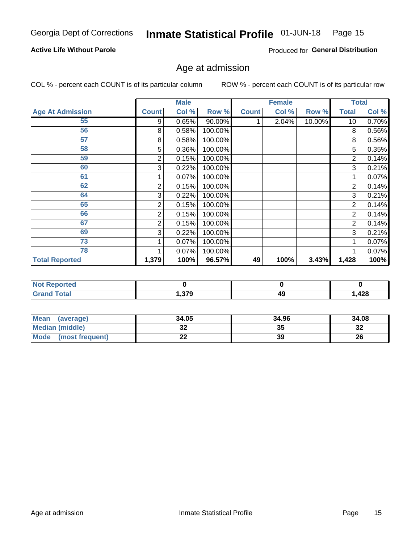### **Active Life Without Parole**

Produced for General Distribution

# Age at admission

COL % - percent each COUNT is of its particular column

|                         |              | <b>Male</b> |         |              | <b>Female</b> |        |                 | <b>Total</b> |
|-------------------------|--------------|-------------|---------|--------------|---------------|--------|-----------------|--------------|
| <b>Age At Admission</b> | <b>Count</b> | Col %       | Row %   | <b>Count</b> | Col %         | Row %  | <b>Total</b>    | Col %        |
| 55                      | 9            | 0.65%       | 90.00%  |              | 2.04%         | 10.00% | 10 <sup>1</sup> | 0.70%        |
| 56                      | 8            | 0.58%       | 100.00% |              |               |        | 8               | 0.56%        |
| 57                      | 8            | 0.58%       | 100.00% |              |               |        | 8               | 0.56%        |
| 58                      | 5            | 0.36%       | 100.00% |              |               |        | 5               | 0.35%        |
| 59                      | 2            | 0.15%       | 100.00% |              |               |        | 2               | 0.14%        |
| 60                      | 3            | 0.22%       | 100.00% |              |               |        | 3               | 0.21%        |
| 61                      |              | $0.07\%$    | 100.00% |              |               |        |                 | 0.07%        |
| 62                      | 2            | 0.15%       | 100.00% |              |               |        | 2               | 0.14%        |
| 64                      | 3            | 0.22%       | 100.00% |              |               |        | 3               | 0.21%        |
| 65                      | 2            | 0.15%       | 100.00% |              |               |        | 2               | 0.14%        |
| 66                      | 2            | 0.15%       | 100.00% |              |               |        | 2               | 0.14%        |
| 67                      | 2            | 0.15%       | 100.00% |              |               |        | 2               | 0.14%        |
| 69                      | 3            | 0.22%       | 100.00% |              |               |        | 3               | 0.21%        |
| 73                      |              | 0.07%       | 100.00% |              |               |        |                 | 0.07%        |
| 78                      |              | 0.07%       | 100.00% |              |               |        |                 | 0.07%        |
| <b>Total Reported</b>   | 1,379        | 100%        | 96.57%  | 49           | 100%          | 3.43%  | 1,428           | 100%         |

| <b>Not Reported</b> |      |    |       |
|---------------------|------|----|-------|
| <b>Total</b>        | ,379 | 49 | 428.، |

| Mean<br>(average)              | 34.05   | 34.96 | 34.08    |
|--------------------------------|---------|-------|----------|
| <b>Median (middle)</b>         | ົ<br>JZ | 35    | ົ<br>-52 |
| <b>Mode</b><br>(most frequent) | --      | 39    | 26       |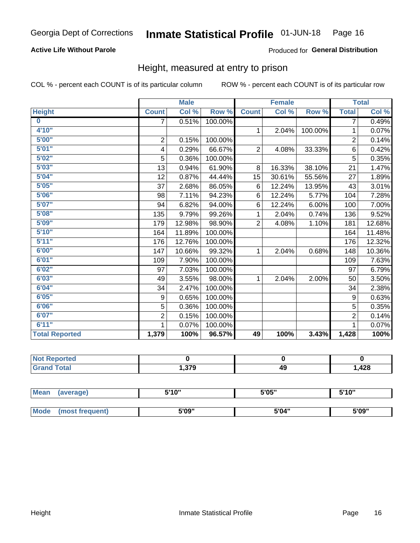### **Active Life Without Parole**

### Produced for General Distribution

# Height, measured at entry to prison

COL % - percent each COUNT is of its particular column

|                       |                | <b>Male</b> |         |                | <b>Female</b> |         |                | <b>Total</b> |
|-----------------------|----------------|-------------|---------|----------------|---------------|---------|----------------|--------------|
| <b>Height</b>         | <b>Count</b>   | Col %       | Row %   | <b>Count</b>   | Col %         | Row %   | <b>Total</b>   | Col %        |
| $\bf{0}$              | $\overline{7}$ | 0.51%       | 100.00% |                |               |         | 7              | 0.49%        |
| 4'10''                |                |             |         | $\mathbf{1}$   | 2.04%         | 100.00% | 1              | 0.07%        |
| 5'00''                | $\mathbf 2$    | 0.15%       | 100.00% |                |               |         | $\overline{2}$ | 0.14%        |
| 5'01"                 | 4              | 0.29%       | 66.67%  | $\overline{2}$ | 4.08%         | 33.33%  | 6              | 0.42%        |
| 5'02"                 | 5              | 0.36%       | 100.00% |                |               |         | 5              | 0.35%        |
| 5'03''                | 13             | 0.94%       | 61.90%  | 8              | 16.33%        | 38.10%  | 21             | 1.47%        |
| 5'04"                 | 12             | 0.87%       | 44.44%  | 15             | 30.61%        | 55.56%  | 27             | 1.89%        |
| 5'05"                 | 37             | 2.68%       | 86.05%  | 6              | 12.24%        | 13.95%  | 43             | 3.01%        |
| 5'06''                | 98             | 7.11%       | 94.23%  | 6              | 12.24%        | 5.77%   | 104            | 7.28%        |
| 5'07''                | 94             | 6.82%       | 94.00%  | 6              | 12.24%        | 6.00%   | 100            | 7.00%        |
| 5'08''                | 135            | 9.79%       | 99.26%  | 1              | 2.04%         | 0.74%   | 136            | 9.52%        |
| 5'09''                | 179            | 12.98%      | 98.90%  | $\overline{2}$ | 4.08%         | 1.10%   | 181            | 12.68%       |
| 5'10''                | 164            | 11.89%      | 100.00% |                |               |         | 164            | 11.48%       |
| 5'11"                 | 176            | 12.76%      | 100.00% |                |               |         | 176            | 12.32%       |
| 6'00''                | 147            | 10.66%      | 99.32%  | 1.             | 2.04%         | 0.68%   | 148            | 10.36%       |
| 6'01''                | 109            | 7.90%       | 100.00% |                |               |         | 109            | 7.63%        |
| 6'02"                 | 97             | 7.03%       | 100.00% |                |               |         | 97             | 6.79%        |
| 6'03''                | 49             | 3.55%       | 98.00%  | $\mathbf{1}$   | 2.04%         | 2.00%   | 50             | 3.50%        |
| 6'04"                 | 34             | 2.47%       | 100.00% |                |               |         | 34             | 2.38%        |
| 6'05"                 | 9              | 0.65%       | 100.00% |                |               |         | 9              | 0.63%        |
| 6'06''                | 5              | 0.36%       | 100.00% |                |               |         | 5              | 0.35%        |
| 6'07''                | $\overline{2}$ | 0.15%       | 100.00% |                |               |         | $\overline{2}$ | 0.14%        |
| 6'11''                | 1              | 0.07%       | 100.00% |                |               |         | 1              | 0.07%        |
| <b>Total Reported</b> | 1,379          | 100%        | 96.57%  | 49             | 100%          | 3.43%   | 1,428          | 100%         |

| <b>eported</b> |              |         |      |
|----------------|--------------|---------|------|
| <b>otal</b>    | 270<br>.ა. ა | "<br>49 | ,428 |

| <b>Mean</b> | (average)       | 5'10" | 5'05" | 5'10'' |  |
|-------------|-----------------|-------|-------|--------|--|
|             |                 |       |       |        |  |
| <b>Mode</b> | (most frequent) | 5'09" | 5'04" | 5'09"  |  |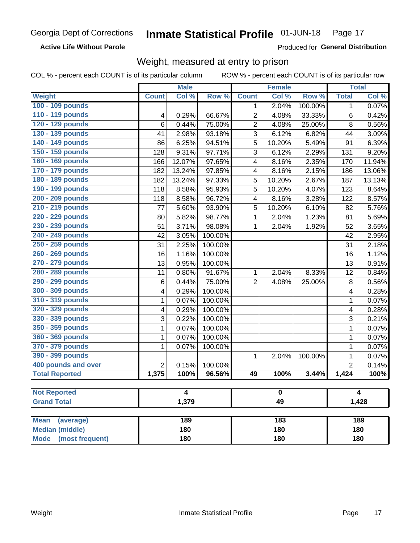**Active Life Without Parole** 

Produced for General Distribution

# Weight, measured at entry to prison

COL % - percent each COUNT is of its particular column

|                                |                | <b>Male</b> |         |                | <b>Female</b> |         |                | <b>Total</b> |  |
|--------------------------------|----------------|-------------|---------|----------------|---------------|---------|----------------|--------------|--|
| <b>Weight</b>                  | <b>Count</b>   | Col %       | Row %   | <b>Count</b>   | Col %         | Row %   | <b>Total</b>   | Col %        |  |
| 100 - 109 pounds               |                |             |         | 1              | 2.04%         | 100.00% | 1              | 0.07%        |  |
| 110 - 119 pounds               | 4              | 0.29%       | 66.67%  | $\overline{2}$ | 4.08%         | 33.33%  | 6              | 0.42%        |  |
| 120 - 129 pounds               | 6              | 0.44%       | 75.00%  | $\overline{2}$ | 4.08%         | 25.00%  | 8              | 0.56%        |  |
| 130 - 139 pounds               | 41             | 2.98%       | 93.18%  | 3              | 6.12%         | 6.82%   | 44             | 3.09%        |  |
| 140 - 149 pounds               | 86             | 6.25%       | 94.51%  | 5              | 10.20%        | 5.49%   | 91             | 6.39%        |  |
| 150 - 159 pounds               | 128            | 9.31%       | 97.71%  | 3              | 6.12%         | 2.29%   | 131            | 9.20%        |  |
| 160 - 169 pounds               | 166            | 12.07%      | 97.65%  | 4              | 8.16%         | 2.35%   | 170            | 11.94%       |  |
| 170 - 179 pounds               | 182            | 13.24%      | 97.85%  | 4              | 8.16%         | 2.15%   | 186            | 13.06%       |  |
| 180 - 189 pounds               | 182            | 13.24%      | 97.33%  | 5              | 10.20%        | 2.67%   | 187            | 13.13%       |  |
| 190 - 199 pounds               | 118            | 8.58%       | 95.93%  | 5              | 10.20%        | 4.07%   | 123            | 8.64%        |  |
| 200 - 209 pounds               | 118            | 8.58%       | 96.72%  | 4              | 8.16%         | 3.28%   | 122            | 8.57%        |  |
| 210 - 219 pounds               | 77             | 5.60%       | 93.90%  | 5              | 10.20%        | 6.10%   | 82             | 5.76%        |  |
| 220 - 229 pounds               | 80             | 5.82%       | 98.77%  | 1              | 2.04%         | 1.23%   | 81             | 5.69%        |  |
| 230 - 239 pounds               | 51             | 3.71%       | 98.08%  | 1              | 2.04%         | 1.92%   | 52             | 3.65%        |  |
| 240 - 249 pounds               | 42             | 3.05%       | 100.00% |                |               |         | 42             | 2.95%        |  |
| 250 - 259 pounds               | 31             | 2.25%       | 100.00% |                |               |         | 31             | 2.18%        |  |
| 260 - 269 pounds               | 16             | 1.16%       | 100.00% |                |               |         | 16             | 1.12%        |  |
| 270 - 279 pounds               | 13             | 0.95%       | 100.00% |                |               |         | 13             | 0.91%        |  |
| 280 - 289 pounds               | 11             | 0.80%       | 91.67%  | 1              | 2.04%         | 8.33%   | 12             | 0.84%        |  |
| 290 - 299 pounds               | 6              | 0.44%       | 75.00%  | $\overline{2}$ | 4.08%         | 25.00%  | 8              | 0.56%        |  |
| 300 - 309 pounds               | 4              | 0.29%       | 100.00% |                |               |         | 4              | 0.28%        |  |
| 310 - 319 pounds               | 1              | 0.07%       | 100.00% |                |               |         | $\mathbf 1$    | 0.07%        |  |
| 320 - 329 pounds               | 4              | $0.29\%$    | 100.00% |                |               |         | 4              | 0.28%        |  |
| 330 - 339 pounds               | 3              | 0.22%       | 100.00% |                |               |         | 3              | 0.21%        |  |
| 350 - 359 pounds               | 1              | 0.07%       | 100.00% |                |               |         | 1              | 0.07%        |  |
| 360 - 369 pounds               | 1              | 0.07%       | 100.00% |                |               |         | $\mathbf 1$    | 0.07%        |  |
| 370 - 379 pounds               | 1              | 0.07%       | 100.00% |                |               |         | $\mathbf 1$    | 0.07%        |  |
| 390 - 399 pounds               |                |             |         | 1              | 2.04%         | 100.00% | 1              | 0.07%        |  |
| 400 pounds and over            | $\overline{2}$ | 0.15%       | 100.00% |                |               |         | $\overline{2}$ | 0.14%        |  |
| <b>Total Reported</b>          | 1,375          | 100%        | 96.56%  | 49             | 100%          | 3.44%   | 1,424          | 100%         |  |
|                                |                |             |         |                |               |         |                |              |  |
| <b>Not Reported</b>            | 4<br>$\bf{0}$  |             |         |                | 4             |         |                |              |  |
| <b>Grand Total</b>             |                | 1,379       |         | 49             |               |         |                | 1,428        |  |
|                                |                |             |         |                |               |         |                |              |  |
| <b>Mean</b><br>(average)       |                | 189         |         |                | 183           |         |                | 189          |  |
| <b>Median (middle)</b>         |                | 180         |         |                | 180           |         | 180            |              |  |
| <b>Mode</b><br>(most frequent) |                | 180         |         | 180            |               |         | <b>180</b>     |              |  |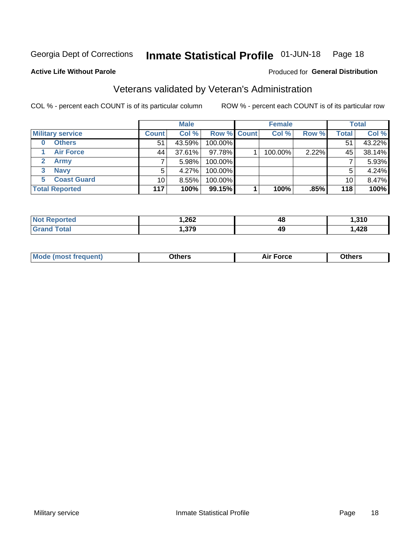#### Inmate Statistical Profile 01-JUN-18 Page 18

### **Active Life Without Parole**

### Produced for General Distribution

# Veterans validated by Veteran's Administration

COL % - percent each COUNT is of its particular column

|                          |              | <b>Male</b> |             | <b>Female</b> |       |       | <b>Total</b> |
|--------------------------|--------------|-------------|-------------|---------------|-------|-------|--------------|
| <b>Military service</b>  | <b>Count</b> | Col %       | Row % Count | Col %         | Row % | Total | Col %        |
| <b>Others</b>            | 51           | 43.59%      | 100.00%     |               |       | 51    | 43.22%       |
| <b>Air Force</b>         | 44           | 37.61%      | 97.78%      | 100.00%       | 2.22% | 45    | 38.14%       |
| <b>Army</b>              |              | 5.98%       | 100.00%     |               |       |       | 5.93%        |
| <b>Navy</b><br>3         | 5            | $4.27\%$    | 100.00%     |               |       | 5     | 4.24%        |
| <b>Coast Guard</b><br>5. | 10           | 8.55%       | 100.00%     |               |       | 10    | 8.47%        |
| <b>Total Reported</b>    | 117          | 100%        | 99.15%      | 100%          | .85%  | 118   | 100%         |

| чес<br>N | ,262<br>$\sim$ $\sim$ | 48 | 240         |
|----------|-----------------------|----|-------------|
| $G = F$  | 270<br>.JI J          | 49 | 120<br>44 U |

| Mo<br>m | ∖‡h∧rc<br>____ | $-0.002$<br>28 F T<br>UI CE | <b>Others</b><br>____ |
|---------|----------------|-----------------------------|-----------------------|
|         |                |                             |                       |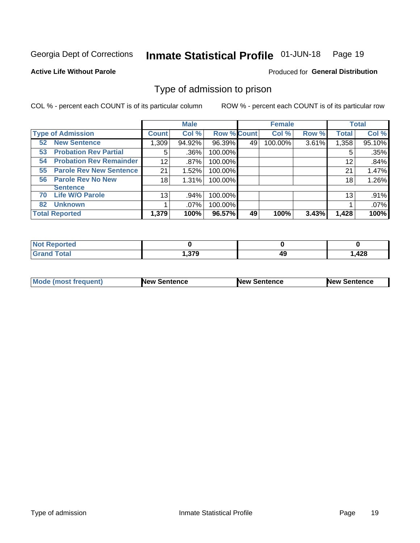#### Inmate Statistical Profile 01-JUN-18 Page 19

**Active Life Without Parole** 

Produced for General Distribution

# Type of admission to prison

COL % - percent each COUNT is of its particular column

|                                      |                 | <b>Male</b> |                    |    | <b>Female</b> |       |              | <b>Total</b> |
|--------------------------------------|-----------------|-------------|--------------------|----|---------------|-------|--------------|--------------|
| <b>Type of Admission</b>             | <b>Count</b>    | Col %       | <b>Row % Count</b> |    | Col %         | Row % | <b>Total</b> | Col %        |
| <b>New Sentence</b><br>52            | 1,309           | 94.92%      | 96.39%             | 49 | 100.00%       | 3.61% | 1,358        | 95.10%       |
| <b>Probation Rev Partial</b><br>53   | 5               | .36%        | 100.00%            |    |               |       | 5            | .35%         |
| <b>Probation Rev Remainder</b><br>54 | 12              | .87%        | 100.00%            |    |               |       | 12           | .84%         |
| <b>Parole Rev New Sentence</b><br>55 | 21              | 1.52%       | 100.00%            |    |               |       | 21           | 1.47%        |
| <b>Parole Rev No New</b><br>56       | 18              | 1.31%       | 100.00%            |    |               |       | 18           | 1.26%        |
| <b>Sentence</b>                      |                 |             |                    |    |               |       |              |              |
| <b>Life W/O Parole</b><br>70         | 13 <sub>1</sub> | .94%        | 100.00%            |    |               |       | 13           | .91%         |
| <b>Unknown</b><br>82                 |                 | $.07\%$     | 100.00%            |    |               |       |              | .07%         |
| <b>Total Reported</b>                | 1,379           | 100%        | 96.57%             | 49 | 100%          | 3.43% | 1,428        | 100%         |

| <b>Not Reported</b> |                 |          |       |
|---------------------|-----------------|----------|-------|
| <b>Grand Total</b>  | 27Q<br>7. J I J | лч<br>᠇. | 428،، |

| Mode (most frequent) | <b>New Sentence</b> | <b>New Sentence</b> | <b>New Sentence</b> |
|----------------------|---------------------|---------------------|---------------------|
|                      |                     |                     |                     |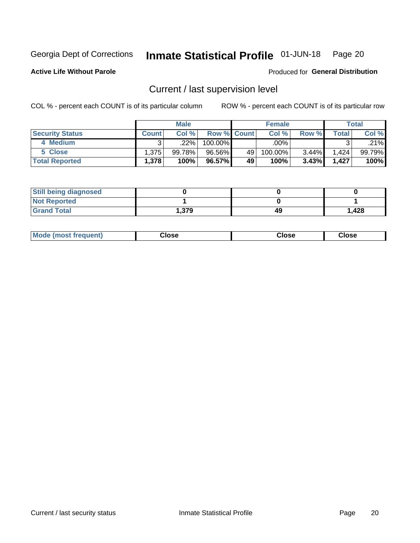#### Inmate Statistical Profile 01-JUN-18 Page 20

**Active Life Without Parole** 

Produced for General Distribution

# Current / last supervision level

COL % - percent each COUNT is of its particular column

|                        |              | <b>Male</b> |                    |    | <b>Female</b> |          |       | <b>Total</b> |
|------------------------|--------------|-------------|--------------------|----|---------------|----------|-------|--------------|
| <b>Security Status</b> | <b>Count</b> | Col%        | <b>Row % Count</b> |    | Col %         | Row %    | Total | Col %        |
| 4 Medium               | ົ            | .22%        | 100.00%            |    | .00%          |          |       | .21%         |
| 5 Close                | 1,375        | 99.78%      | 96.56%             | 49 | 100.00%       | 3.44%    | 1,424 | 99.79%       |
| <b>Total Reported</b>  | 1,378        | 100%        | 96.57%             | 49 | 100%          | $3.43\%$ | 1.427 | 100%         |

| <b>Still being diagnosed</b> |      |    |       |
|------------------------------|------|----|-------|
| <b>Not Reported</b>          |      |    |       |
| <b>Grand Total</b>           | .379 | 49 | 1,428 |

| <b>Mode (most frequent)</b> | Close | ∵lose | Close |
|-----------------------------|-------|-------|-------|
|                             |       |       |       |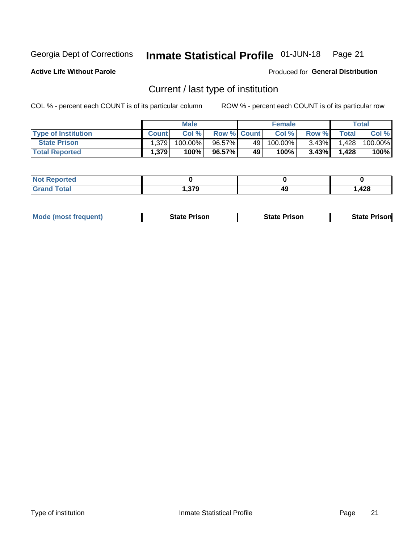#### Inmate Statistical Profile 01-JUN-18 Page 21

**Active Life Without Parole** 

Produced for General Distribution

# Current / last type of institution

COL % - percent each COUNT is of its particular column

|                            |              | <b>Male</b> |                    |    | <b>Female</b> |          |              | Total   |
|----------------------------|--------------|-------------|--------------------|----|---------------|----------|--------------|---------|
| <b>Type of Institution</b> | <b>Count</b> | Col %       | <b>Row % Count</b> |    | Col %         | Row %    | <b>Total</b> | Col %   |
| <b>State Prison</b>        | 1,379        | 100.00%     | 96.57%             | 49 | $100.00\%$    | $3.43\%$ | 1,428        | 100.00% |
| <b>Total Reported</b>      | 1,379        | 100%        | 96.57%             | 49 | 100%          | $3.43\%$ | 1.428        | 100%    |

| 'ted<br>$\sim$ |       |    |      |
|----------------|-------|----|------|
|                | - 270 | 49 | ,428 |

|  | <b>Mode (most frequent)</b> | State Prison | <b>State Prison</b> | <b>State Prison</b> |
|--|-----------------------------|--------------|---------------------|---------------------|
|--|-----------------------------|--------------|---------------------|---------------------|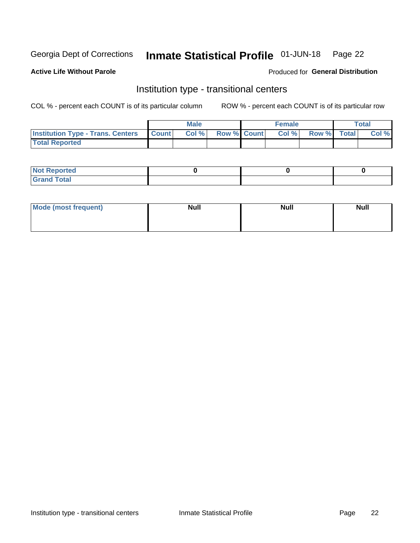#### Inmate Statistical Profile 01-JUN-18 Page 22

### **Active Life Without Parole**

### Produced for General Distribution

# Institution type - transitional centers

COL % - percent each COUNT is of its particular column

|                                                | Male  |                    | <b>Female</b> |                   | Total |
|------------------------------------------------|-------|--------------------|---------------|-------------------|-------|
| <b>Institution Type - Trans. Centers Count</b> | Col % | <b>Row % Count</b> |               | Col % Row % Total | Col % |
| <b>Total Reported</b>                          |       |                    |               |                   |       |

| <b>Reported</b><br><b>NOT</b><br>$\sim$            |  |  |
|----------------------------------------------------|--|--|
| $f$ $f \circ f \circ f$<br>$C = 1$<br><b>TULAI</b> |  |  |

| Mode (most frequent) | <b>Null</b> | <b>Null</b> | <b>Null</b> |
|----------------------|-------------|-------------|-------------|
|                      |             |             |             |
|                      |             |             |             |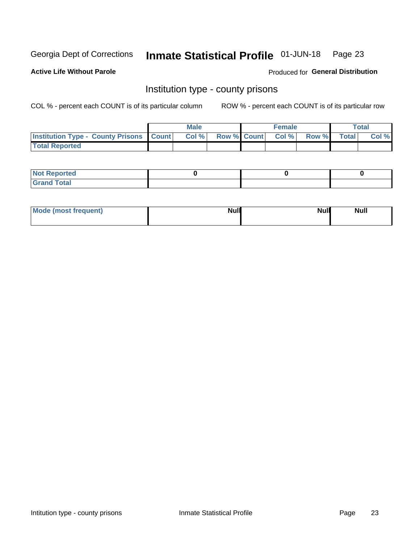#### Inmate Statistical Profile 01-JUN-18 Page 23

**Active Life Without Parole** 

Produced for General Distribution

# Institution type - county prisons

COL % - percent each COUNT is of its particular column

|                                                    | <b>Male</b> |  | <b>Female</b>            |             | <b>Total</b> |
|----------------------------------------------------|-------------|--|--------------------------|-------------|--------------|
| <b>Institution Type - County Prisons   Count  </b> | Col %       |  | <b>Row % Count Col %</b> | Row % Total | Col %        |
| <b>Total Reported</b>                              |             |  |                          |             |              |

| <b>Not Reported</b>   |  |  |
|-----------------------|--|--|
| <b>Total</b><br>Granc |  |  |

| Mode (most frequent) | <b>Null</b> | <b>Null</b><br><b>Null</b> |
|----------------------|-------------|----------------------------|
|                      |             |                            |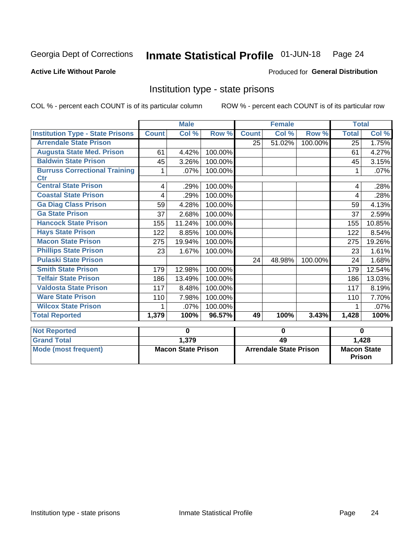#### Inmate Statistical Profile 01-JUN-18 Page 24

### **Active Life Without Parole**

### Produced for General Distribution

# Institution type - state prisons

COL % - percent each COUNT is of its particular column

|                                                    | <b>Male</b>               |        |                               | <b>Female</b> |        |                                     | <b>Total</b> |        |
|----------------------------------------------------|---------------------------|--------|-------------------------------|---------------|--------|-------------------------------------|--------------|--------|
| <b>Institution Type - State Prisons</b>            | <b>Count</b>              | Col %  | Row %                         | <b>Count</b>  | Col %  | Row %                               | <b>Total</b> | Col %  |
| <b>Arrendale State Prison</b>                      |                           |        |                               | 25            | 51.02% | 100.00%                             | 25           | 1.75%  |
| <b>Augusta State Med. Prison</b>                   | 61                        | 4.42%  | 100.00%                       |               |        |                                     | 61           | 4.27%  |
| <b>Baldwin State Prison</b>                        | 45                        | 3.26%  | 100.00%                       |               |        |                                     | 45           | 3.15%  |
| <b>Burruss Correctional Training</b><br><b>Ctr</b> | 1                         | .07%   | 100.00%                       |               |        |                                     |              | .07%   |
| <b>Central State Prison</b>                        | 4                         | .29%   | 100.00%                       |               |        |                                     | 4            | .28%   |
| <b>Coastal State Prison</b>                        | 4                         | .29%   | 100.00%                       |               |        |                                     | 4            | .28%   |
| <b>Ga Diag Class Prison</b>                        | 59                        | 4.28%  | 100.00%                       |               |        |                                     | 59           | 4.13%  |
| <b>Ga State Prison</b>                             | 37                        | 2.68%  | 100.00%                       |               |        |                                     | 37           | 2.59%  |
| <b>Hancock State Prison</b>                        | 155                       | 11.24% | 100.00%                       |               |        |                                     | 155          | 10.85% |
| <b>Hays State Prison</b>                           | 122                       | 8.85%  | 100.00%                       |               |        |                                     | 122          | 8.54%  |
| <b>Macon State Prison</b>                          | 275                       | 19.94% | 100.00%                       |               |        |                                     | 275          | 19.26% |
| <b>Phillips State Prison</b>                       | 23                        | 1.67%  | 100.00%                       |               |        |                                     | 23           | 1.61%  |
| <b>Pulaski State Prison</b>                        |                           |        |                               | 24            | 48.98% | 100.00%                             | 24           | 1.68%  |
| <b>Smith State Prison</b>                          | 179                       | 12.98% | 100.00%                       |               |        |                                     | 179          | 12.54% |
| <b>Telfair State Prison</b>                        | 186                       | 13.49% | 100.00%                       |               |        |                                     | 186          | 13.03% |
| <b>Valdosta State Prison</b>                       | 117                       | 8.48%  | 100.00%                       |               |        |                                     | 117          | 8.19%  |
| <b>Ware State Prison</b>                           | 110                       | 7.98%  | 100.00%                       |               |        |                                     | 110          | 7.70%  |
| <b>Wilcox State Prison</b>                         | 1                         | .07%   | 100.00%                       |               |        |                                     |              | .07%   |
| <b>Total Reported</b>                              | 1,379                     | 100%   | 96.57%                        | 49            | 100%   | 3.43%                               | 1,428        | 100%   |
| <b>Not Reported</b>                                | $\bf{0}$                  |        | 0                             |               |        | $\bf{0}$                            |              |        |
| <b>Grand Total</b>                                 |                           | 1,379  |                               | 49            |        |                                     |              | 1,428  |
| <b>Mode (most frequent)</b>                        | <b>Macon State Prison</b> |        | <b>Arrendale State Prison</b> |               |        | <b>Macon State</b><br><b>Prison</b> |              |        |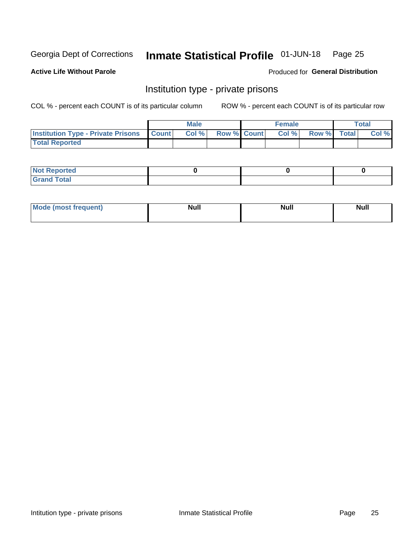#### Inmate Statistical Profile 01-JUN-18 Page 25

### **Active Life Without Parole**

### Produced for General Distribution

# Institution type - private prisons

COL % - percent each COUNT is of its particular column

|                                                 | <b>Male</b> |       |                    | <b>Female</b> |       |             | Total |       |
|-------------------------------------------------|-------------|-------|--------------------|---------------|-------|-------------|-------|-------|
| <b>Institution Type - Private Prisons Count</b> |             | Col % | <b>Row % Count</b> |               | Col % | Row % Total |       | Col % |
| <b>Total Reported</b>                           |             |       |                    |               |       |             |       |       |

| Not Reported           |  |  |
|------------------------|--|--|
| <b>Cotal</b><br>______ |  |  |

| <b>Mo</b><br>frequent) | <b>Null</b> | <b>Null</b> | . . I *<br><b>IVUII</b> |
|------------------------|-------------|-------------|-------------------------|
|                        |             |             |                         |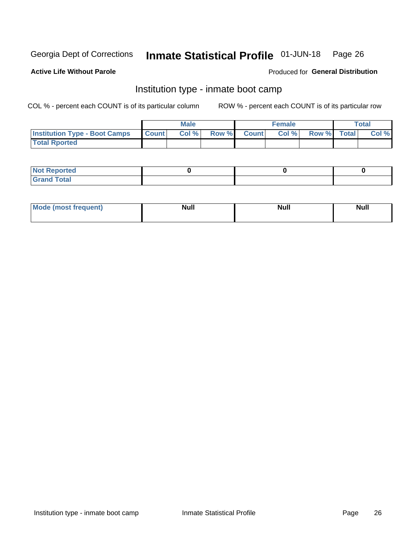#### Inmate Statistical Profile 01-JUN-18 Page 26

### **Active Life Without Parole**

### Produced for General Distribution

# Institution type - inmate boot camp

COL % - percent each COUNT is of its particular column

|                                      | <b>Male</b>     |       |              | <b>Female</b> |       |             | <b>Total</b> |       |
|--------------------------------------|-----------------|-------|--------------|---------------|-------|-------------|--------------|-------|
| <b>Institution Type - Boot Camps</b> | <b>I</b> Count⊥ | Col % | <b>Row %</b> | <b>Count</b>  | Col % | Row % Total |              | Col % |
| <b>Total Rported</b>                 |                 |       |              |               |       |             |              |       |

| <b>Not Reported</b>            |  |  |
|--------------------------------|--|--|
| <b>Total</b><br>C <sub>r</sub> |  |  |

| Mod<br>uamo | Nul.<br>$- - - - - -$ | <b>Null</b> | <br>uu.<br>------ |
|-------------|-----------------------|-------------|-------------------|
|             |                       |             |                   |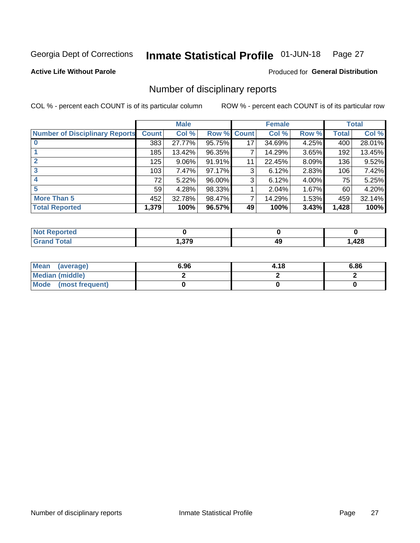#### Inmate Statistical Profile 01-JUN-18 Page 27

**Active Life Without Parole** 

Produced for General Distribution

# Number of disciplinary reports

COL % - percent each COUNT is of its particular column

|                                       | <b>Male</b>  |          |                    | <b>Female</b> |        |       | <b>Total</b> |        |
|---------------------------------------|--------------|----------|--------------------|---------------|--------|-------|--------------|--------|
| <b>Number of Disciplinary Reports</b> | <b>Count</b> | Col %    | <b>Row % Count</b> |               | Col %  | Row % | <b>Total</b> | Col %  |
|                                       | 383          | 27.77%   | 95.75%             | 17            | 34.69% | 4.25% | 400          | 28.01% |
|                                       | 185          | 13.42%   | 96.35%             | 7             | 14.29% | 3.65% | 192          | 13.45% |
| 2                                     | 125          | $9.06\%$ | 91.91%             | 11            | 22.45% | 8.09% | 136          | 9.52%  |
| 3                                     | 103          | 7.47%    | 97.17%             | 3             | 6.12%  | 2.83% | 106          | 7.42%  |
|                                       | 72           | 5.22%    | 96.00%             | 3             | 6.12%  | 4.00% | 75           | 5.25%  |
| 5                                     | 59           | 4.28%    | 98.33%             |               | 2.04%  | 1.67% | 60           | 4.20%  |
| <b>More Than 5</b>                    | 452          | 32.78%   | 98.47%             | 7             | 14.29% | 1.53% | 459          | 32.14% |
| <b>Total Reported</b>                 | 1,379        | 100%     | 96.57%             | 49            | 100%   | 3.43% | 1,428        | 100%   |

| prted<br>NOT      |                  |    |      |
|-------------------|------------------|----|------|
| <sup>-</sup> otal | 370<br>. . J I J | 49 | ,428 |

| Mean (average)         | 6.96 | 4.18 | 6.86 |
|------------------------|------|------|------|
| <b>Median (middle)</b> |      |      |      |
| Mode (most frequent)   |      |      |      |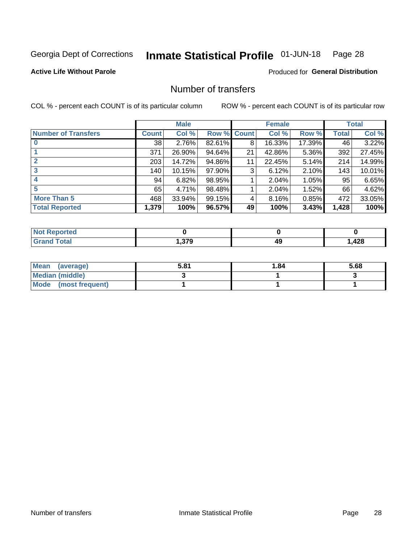#### Inmate Statistical Profile 01-JUN-18 Page 28

### **Active Life Without Parole**

### Produced for General Distribution

# Number of transfers

COL % - percent each COUNT is of its particular column

|                            |         | <b>Male</b> |        |              | <b>Female</b> |        |              | <b>Total</b> |
|----------------------------|---------|-------------|--------|--------------|---------------|--------|--------------|--------------|
| <b>Number of Transfers</b> | Count l | Col %       | Row %  | <b>Count</b> | Col %         | Row %  | <b>Total</b> | Col %        |
|                            | 38      | 2.76%       | 82.61% | 8            | 16.33%        | 17.39% | 46           | 3.22%        |
|                            | 371     | 26.90%      | 94.64% | 21           | 42.86%        | 5.36%  | 392          | 27.45%       |
| 2                          | 203     | 14.72%      | 94.86% | 11           | 22.45%        | 5.14%  | 214          | 14.99%       |
| 3                          | 140     | 10.15%      | 97.90% | 3            | 6.12%         | 2.10%  | 143          | 10.01%       |
|                            | 94      | 6.82%       | 98.95% |              | 2.04%         | 1.05%  | 95           | 6.65%        |
| 5                          | 65      | 4.71%       | 98.48% |              | 2.04%         | 1.52%  | 66           | 4.62%        |
| <b>More Than 5</b>         | 468     | 33.94%      | 99.15% | 4            | 8.16%         | 0.85%  | 472          | 33.05%       |
| <b>Total Reported</b>      | 1,379   | 100%        | 96.57% | 49           | 100%          | 3.43%  | 1,428        | 100%         |

| тео<br>NO    |          |    |      |
|--------------|----------|----|------|
| <b>Total</b> | 370<br>u | 49 | ,428 |

| Mean (average)         | 5.81 | 1.84 | 5.68 |
|------------------------|------|------|------|
| <b>Median (middle)</b> |      |      |      |
| Mode (most frequent)   |      |      |      |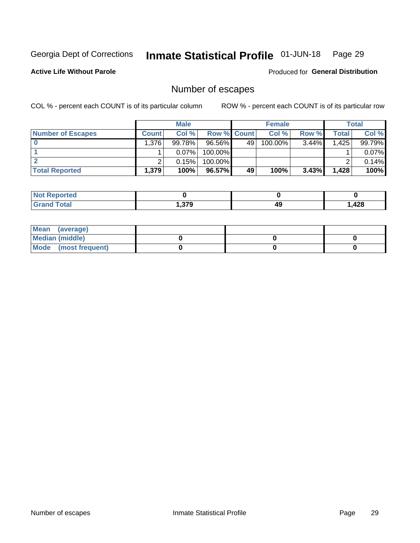#### Inmate Statistical Profile 01-JUN-18 Page 29

**Active Life Without Parole** 

Produced for General Distribution

# Number of escapes

COL % - percent each COUNT is of its particular column

|                          | <b>Male</b>  |          |                    | <b>Female</b> |         |          | Total |        |
|--------------------------|--------------|----------|--------------------|---------------|---------|----------|-------|--------|
| <b>Number of Escapes</b> | <b>Count</b> | Col %    | <b>Row % Count</b> |               | Col %   | Row %    | Total | Col %  |
|                          | 1,376        | 99.78%   | 96.56%             | 49            | 100.00% | $3.44\%$ | 1,425 | 99.79% |
|                          |              | $0.07\%$ | $100.00\%$         |               |         |          |       | 0.07%  |
|                          |              | 0.15%    | $100.00\%$         |               |         |          |       | 0.14%  |
| <b>Total Reported</b>    | 1,379        | 100%     | 96.57%             | 49            | 100%    | 3.43%    | 1,428 | 100%   |

| <b>Reported</b><br>NOT |      |    |      |
|------------------------|------|----|------|
| Total                  | .379 | 49 | ,428 |

| Mean (average)       |  |  |
|----------------------|--|--|
| Median (middle)      |  |  |
| Mode (most frequent) |  |  |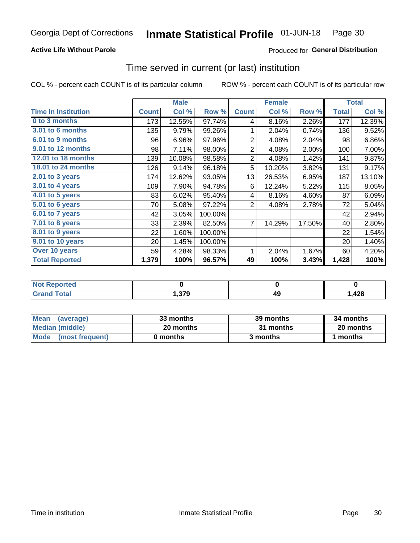### **Active Life Without Parole**

### **Produced for General Distribution**

# Time served in current (or last) institution

COL % - percent each COUNT is of its particular column

|                            |              | <b>Male</b> |         |                | <b>Female</b> |        |              | <b>Total</b> |
|----------------------------|--------------|-------------|---------|----------------|---------------|--------|--------------|--------------|
| <b>Time In Institution</b> | <b>Count</b> | Col %       | Row %   | <b>Count</b>   | Col %         | Row %  | <b>Total</b> | Col %        |
| 0 to 3 months              | 173          | 12.55%      | 97.74%  | 4              | 8.16%         | 2.26%  | 177          | 12.39%       |
| <b>3.01 to 6 months</b>    | 135          | 9.79%       | 99.26%  | 1              | 2.04%         | 0.74%  | 136          | 9.52%        |
| 6.01 to 9 months           | 96           | 6.96%       | 97.96%  | $\overline{2}$ | 4.08%         | 2.04%  | 98           | 6.86%        |
| 9.01 to 12 months          | 98           | 7.11%       | 98.00%  | $\overline{2}$ | 4.08%         | 2.00%  | 100          | 7.00%        |
| 12.01 to 18 months         | 139          | 10.08%      | 98.58%  | $\overline{2}$ | 4.08%         | 1.42%  | 141          | 9.87%        |
| <b>18.01 to 24 months</b>  | 126          | 9.14%       | 96.18%  | 5              | 10.20%        | 3.82%  | 131          | 9.17%        |
| $2.01$ to 3 years          | 174          | 12.62%      | 93.05%  | 13             | 26.53%        | 6.95%  | 187          | 13.10%       |
| $3.01$ to 4 years          | 109          | 7.90%       | 94.78%  | 6              | 12.24%        | 5.22%  | 115          | 8.05%        |
| 4.01 to 5 years            | 83           | 6.02%       | 95.40%  | 4              | 8.16%         | 4.60%  | 87           | 6.09%        |
| 5.01 to 6 years            | 70           | 5.08%       | 97.22%  | 2              | 4.08%         | 2.78%  | 72           | 5.04%        |
| 6.01 to 7 years            | 42           | 3.05%       | 100.00% |                |               |        | 42           | 2.94%        |
| 7.01 to 8 years            | 33           | 2.39%       | 82.50%  | 7              | 14.29%        | 17.50% | 40           | 2.80%        |
| 8.01 to 9 years            | 22           | 1.60%       | 100.00% |                |               |        | 22           | 1.54%        |
| 9.01 to 10 years           | 20           | 1.45%       | 100.00% |                |               |        | 20           | 1.40%        |
| Over 10 years              | 59           | 4.28%       | 98.33%  | 1              | 2.04%         | 1.67%  | 60           | 4.20%        |
| <b>Total Reported</b>      | 1,379        | 100%        | 96.57%  | 49             | 100%          | 3.43%  | 1,428        | 100%         |

| <b>Not Reported</b> |                        |    |      |
|---------------------|------------------------|----|------|
| <b>Grand Total</b>  | 270<br><b>ت ا ب.</b> ا | 49 | ,428 |

| <b>Mean</b><br>(average) | 33 months | 39 months | 34 months |
|--------------------------|-----------|-----------|-----------|
| Median (middle)          | 20 months | 31 months | 20 months |
| Mode (most frequent)     | 0 months  | 3 months  | 1 months  |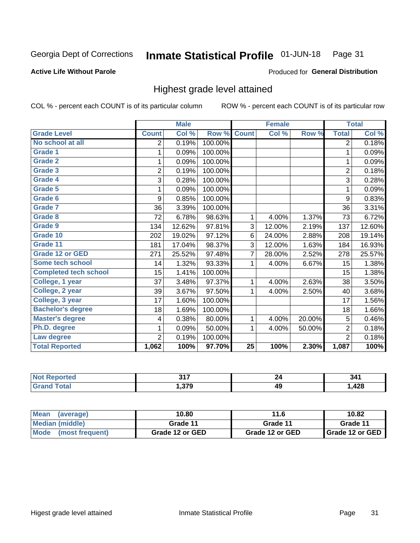#### Inmate Statistical Profile 01-JUN-18 Page 31

### **Active Life Without Parole**

### Produced for General Distribution

# Highest grade level attained

COL % - percent each COUNT is of its particular column

|                              |                | <b>Male</b> |         |                 | <b>Female</b> |        |                | <b>Total</b> |
|------------------------------|----------------|-------------|---------|-----------------|---------------|--------|----------------|--------------|
| <b>Grade Level</b>           | <b>Count</b>   | Col %       | Row %   | <b>Count</b>    | Col %         | Row %  | <b>Total</b>   | Col %        |
| No school at all             | 2              | 0.19%       | 100.00% |                 |               |        | $\overline{2}$ | 0.18%        |
| <b>Grade 1</b>               | 1              | 0.09%       | 100.00% |                 |               |        | 1              | 0.09%        |
| <b>Grade 2</b>               | 1              | 0.09%       | 100.00% |                 |               |        | 1              | 0.09%        |
| <b>Grade 3</b>               | $\overline{2}$ | 0.19%       | 100.00% |                 |               |        | $\overline{2}$ | 0.18%        |
| <b>Grade 4</b>               | 3              | 0.28%       | 100.00% |                 |               |        | 3              | 0.28%        |
| <b>Grade 5</b>               | 1              | 0.09%       | 100.00% |                 |               |        | 1              | 0.09%        |
| Grade 6                      | 9              | 0.85%       | 100.00% |                 |               |        | 9              | 0.83%        |
| <b>Grade 7</b>               | 36             | 3.39%       | 100.00% |                 |               |        | 36             | 3.31%        |
| Grade 8                      | 72             | 6.78%       | 98.63%  | 1               | 4.00%         | 1.37%  | 73             | 6.72%        |
| Grade 9                      | 134            | 12.62%      | 97.81%  | 3               | 12.00%        | 2.19%  | 137            | 12.60%       |
| Grade 10                     | 202            | 19.02%      | 97.12%  | 6               | 24.00%        | 2.88%  | 208            | 19.14%       |
| Grade 11                     | 181            | 17.04%      | 98.37%  | 3               | 12.00%        | 1.63%  | 184            | 16.93%       |
| <b>Grade 12 or GED</b>       | 271            | 25.52%      | 97.48%  | $\overline{7}$  | 28.00%        | 2.52%  | 278            | 25.57%       |
| Some tech school             | 14             | 1.32%       | 93.33%  | 1               | 4.00%         | 6.67%  | 15             | 1.38%        |
| <b>Completed tech school</b> | 15             | 1.41%       | 100.00% |                 |               |        | 15             | 1.38%        |
| College, 1 year              | 37             | 3.48%       | 97.37%  | 1               | 4.00%         | 2.63%  | 38             | 3.50%        |
| College, 2 year              | 39             | 3.67%       | 97.50%  | 1               | 4.00%         | 2.50%  | 40             | 3.68%        |
| College, 3 year              | 17             | 1.60%       | 100.00% |                 |               |        | 17             | 1.56%        |
| <b>Bachelor's degree</b>     | 18             | 1.69%       | 100.00% |                 |               |        | 18             | 1.66%        |
| <b>Master's degree</b>       | 4              | 0.38%       | 80.00%  | 1               | 4.00%         | 20.00% | 5              | 0.46%        |
| Ph.D. degree                 | 1              | 0.09%       | 50.00%  | 1               | 4.00%         | 50.00% | $\overline{2}$ | 0.18%        |
| Law degree                   | $\overline{2}$ | 0.19%       | 100.00% |                 |               |        | $\overline{2}$ | 0.18%        |
| <b>Total Reported</b>        | 1,062          | 100%        | 97.70%  | $\overline{25}$ | 100%          | 2.30%  | 1,087          | 100%         |

| rtec<br>NO  | 247<br>, , ,         |    | 341  |
|-------------|----------------------|----|------|
| <b>Utal</b> | <b>270</b><br>I.JI J | 49 | ,428 |

| <b>Mean</b><br>(average) | 10.80           | 11.6            | 10.82           |
|--------------------------|-----------------|-----------------|-----------------|
| Median (middle)          | Grade 11        | Grade 11        | Grade 11        |
| Mode<br>(most frequent)  | Grade 12 or GED | Grade 12 or GED | Grade 12 or GED |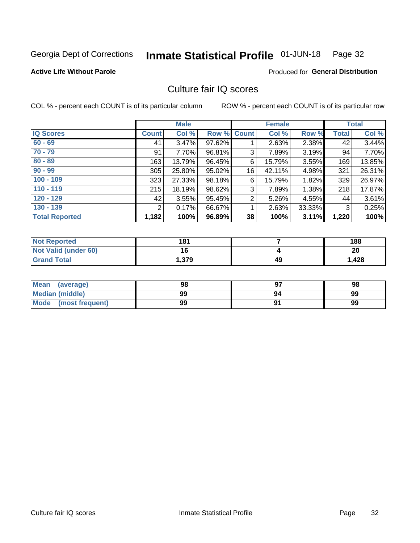#### Inmate Statistical Profile 01-JUN-18 Page 32

### **Active Life Without Parole**

### Produced for General Distribution

# Culture fair IQ scores

COL % - percent each COUNT is of its particular column

|                       |              | <b>Male</b> |                    |                | <b>Female</b> |          |              | <b>Total</b> |
|-----------------------|--------------|-------------|--------------------|----------------|---------------|----------|--------------|--------------|
| <b>IQ Scores</b>      | <b>Count</b> | Col %       | <b>Row % Count</b> |                | Col %         | Row %    | <b>Total</b> | Col %        |
| $60 - 69$             | 41           | 3.47%       | 97.62%             |                | 2.63%         | 2.38%    | 42           | 3.44%        |
| $70 - 79$             | 91           | 7.70%       | 96.81%             | 3              | 7.89%         | 3.19%    | 94           | 7.70%        |
| $80 - 89$             | 163          | 13.79%      | 96.45%             | 6              | 15.79%        | $3.55\%$ | 169          | 13.85%       |
| $90 - 99$             | 305          | 25.80%      | 95.02%             | 16             | 42.11%        | 4.98%    | 321          | 26.31%       |
| $100 - 109$           | 323          | 27.33%      | 98.18%             | 6              | 15.79%        | 1.82%    | 329          | 26.97%       |
| $110 - 119$           | 215          | 18.19%      | 98.62%             | 3              | 7.89%         | $1.38\%$ | 218          | 17.87%       |
| $120 - 129$           | 42           | 3.55%       | 95.45%             | $\overline{2}$ | 5.26%         | 4.55%    | 44           | 3.61%        |
| $130 - 139$           | 2            | 0.17%       | 66.67%             | 1              | 2.63%         | 33.33%   | 3            | 0.25%        |
| <b>Total Reported</b> | 1,182        | 100%        | 96.89%             | 38             | 100%          | 3.11%    | 1,220        | 100%         |

| <b>Not Reported</b>  | 181   |    | 188   |
|----------------------|-------|----|-------|
| Not Valid (under 60) | 4 C   |    | 20    |
| <b>Grand Total</b>   | .379. | 49 | 1,428 |

| Mean<br>(average)      | 98 |    | 98 |
|------------------------|----|----|----|
| <b>Median (middle)</b> | 99 | 94 | 99 |
| Mode (most frequent)   | 99 |    | 99 |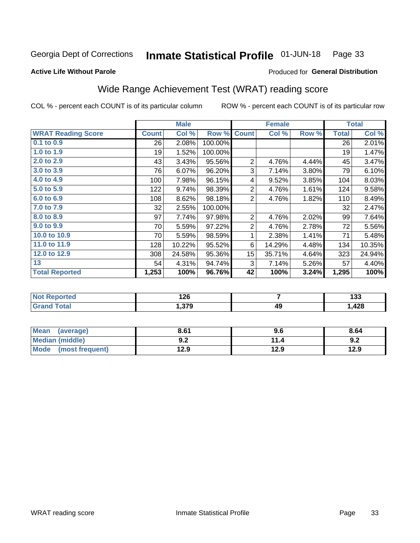#### Inmate Statistical Profile 01-JUN-18 Page 33

Produced for General Distribution

### **Active Life Without Parole**

# Wide Range Achievement Test (WRAT) reading score

COL % - percent each COUNT is of its particular column

|                           |              | <b>Male</b> |         |                | <b>Female</b> |       |              | <b>Total</b> |
|---------------------------|--------------|-------------|---------|----------------|---------------|-------|--------------|--------------|
| <b>WRAT Reading Score</b> | <b>Count</b> | Col %       | Row %   | <b>Count</b>   | Col %         | Row % | <b>Total</b> | Col %        |
| $0.1$ to $0.9$            | 26           | 2.08%       | 100.00% |                |               |       | 26           | 2.01%        |
| 1.0 to 1.9                | 19           | 1.52%       | 100.00% |                |               |       | 19           | 1.47%        |
| 2.0 to 2.9                | 43           | 3.43%       | 95.56%  | $\overline{2}$ | 4.76%         | 4.44% | 45           | 3.47%        |
| 3.0 to 3.9                | 76           | 6.07%       | 96.20%  | 3              | 7.14%         | 3.80% | 79           | 6.10%        |
| 4.0 to 4.9                | 100          | 7.98%       | 96.15%  | 4              | 9.52%         | 3.85% | 104          | 8.03%        |
| 5.0 to 5.9                | 122          | 9.74%       | 98.39%  | $\overline{2}$ | 4.76%         | 1.61% | 124          | 9.58%        |
| 6.0 to 6.9                | 108          | 8.62%       | 98.18%  | $\overline{2}$ | 4.76%         | 1.82% | 110          | 8.49%        |
| 7.0 to 7.9                | 32           | 2.55%       | 100.00% |                |               |       | 32           | 2.47%        |
| 8.0 to 8.9                | 97           | 7.74%       | 97.98%  | 2              | 4.76%         | 2.02% | 99           | 7.64%        |
| 9.0 to 9.9                | 70           | 5.59%       | 97.22%  | $\overline{2}$ | 4.76%         | 2.78% | 72           | 5.56%        |
| 10.0 to 10.9              | 70           | 5.59%       | 98.59%  | 1              | 2.38%         | 1.41% | 71           | 5.48%        |
| 11.0 to 11.9              | 128          | 10.22%      | 95.52%  | 6              | 14.29%        | 4.48% | 134          | 10.35%       |
| 12.0 to 12.9              | 308          | 24.58%      | 95.36%  | 15             | 35.71%        | 4.64% | 323          | 24.94%       |
| 13                        | 54           | 4.31%       | 94.74%  | 3              | 7.14%         | 5.26% | 57           | 4.40%        |
| <b>Total Reported</b>     | 1,253        | 100%        | 96.76%  | 42             | 100%          | 3.24% | 1,295        | 100%         |
|                           |              |             |         |                |               |       |              |              |

| <b>Not Reported</b>   | 126   |    | .<br>טטו |
|-----------------------|-------|----|----------|
| <b>Total</b><br>Grand | 1,379 | 49 | ,428     |

| <b>Mean</b><br>(average)       | 8.61       | 9.6  | 8.64 |
|--------------------------------|------------|------|------|
| <b>Median (middle)</b>         | י ה<br>J.Z | 14   | 9.2  |
| <b>Mode</b><br>(most frequent) | 12.9       | 12.9 | 12.9 |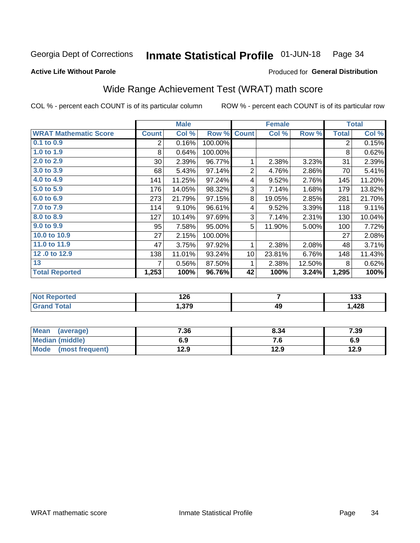#### Inmate Statistical Profile 01-JUN-18 Page 34

**Active Life Without Parole** 

### **Produced for General Distribution**

# Wide Range Achievement Test (WRAT) math score

COL % - percent each COUNT is of its particular column

|                              |              | <b>Male</b> |         |                | <b>Female</b> |        |              | <b>Total</b> |
|------------------------------|--------------|-------------|---------|----------------|---------------|--------|--------------|--------------|
| <b>WRAT Mathematic Score</b> | <b>Count</b> | Col %       | Row %   | <b>Count</b>   | Col %         | Row %  | <b>Total</b> | Col %        |
| 0.1 to 0.9                   | 2            | 0.16%       | 100.00% |                |               |        | 2            | 0.15%        |
| 1.0 to 1.9                   | 8            | 0.64%       | 100.00% |                |               |        | 8            | 0.62%        |
| 2.0 to 2.9                   | $30$         | 2.39%       | 96.77%  | 1              | 2.38%         | 3.23%  | 31           | 2.39%        |
| 3.0 to 3.9                   | 68           | 5.43%       | 97.14%  | $\overline{2}$ | 4.76%         | 2.86%  | 70           | 5.41%        |
| 4.0 to 4.9                   | 141          | 11.25%      | 97.24%  | 4              | 9.52%         | 2.76%  | 145          | 11.20%       |
| 5.0 to 5.9                   | 176          | 14.05%      | 98.32%  | 3              | 7.14%         | 1.68%  | 179          | 13.82%       |
| 6.0 to 6.9                   | 273          | 21.79%      | 97.15%  | 8              | 19.05%        | 2.85%  | 281          | 21.70%       |
| 7.0 to 7.9                   | 114          | 9.10%       | 96.61%  | 4              | 9.52%         | 3.39%  | 118          | 9.11%        |
| 8.0 to 8.9                   | 127          | 10.14%      | 97.69%  | 3              | 7.14%         | 2.31%  | 130          | 10.04%       |
| 9.0 to 9.9                   | 95           | 7.58%       | 95.00%  | 5              | 11.90%        | 5.00%  | 100          | 7.72%        |
| 10.0 to 10.9                 | 27           | 2.15%       | 100.00% |                |               |        | 27           | 2.08%        |
| 11.0 to 11.9                 | 47           | 3.75%       | 97.92%  | 1              | 2.38%         | 2.08%  | 48           | 3.71%        |
| 12.0 to 12.9                 | 138          | 11.01%      | 93.24%  | 10             | 23.81%        | 6.76%  | 148          | 11.43%       |
| 13                           | 7            | 0.56%       | 87.50%  | 1              | 2.38%         | 12.50% | 8            | 0.62%        |
| <b>Total Reported</b>        | 1,253        | 100%        | 96.76%  | 42             | 100%          | 3.24%  | 1,295        | 100%         |

| Reported<br><b>NOT</b><br>$\sim$ | מר ו<br>140 |    | . מ<br>195 |
|----------------------------------|-------------|----|------------|
| <b>otal</b>                      | .379        | 49 | .,428      |

| <b>Mean</b><br>(average) | 7.36 | 8.34 | 7.39 |
|--------------------------|------|------|------|
| <b>Median (middle)</b>   | 6.9  | 7. J | 6.9  |
| Mode (most frequent)     | 12.9 | 12.9 | 12.9 |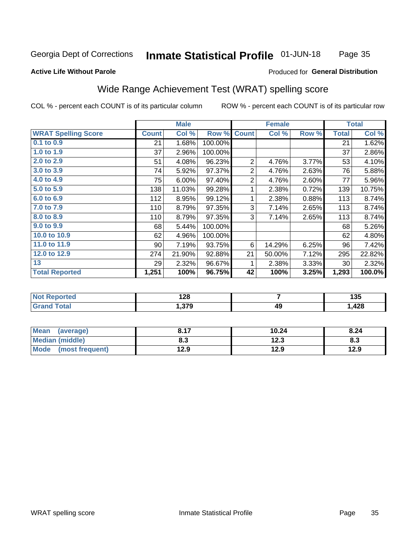#### **Inmate Statistical Profile 01-JUN-18** Page 35

### **Active Life Without Parole**

### Produced for General Distribution

# Wide Range Achievement Test (WRAT) spelling score

COL % - percent each COUNT is of its particular column

|                            |              | <b>Male</b> |         |                | <b>Female</b> |       | <b>Total</b> |        |
|----------------------------|--------------|-------------|---------|----------------|---------------|-------|--------------|--------|
| <b>WRAT Spelling Score</b> | <b>Count</b> | Col %       | Row %   | <b>Count</b>   | Col %         | Row % | <b>Total</b> | Col %  |
| 0.1 to 0.9                 | 21           | 1.68%       | 100.00% |                |               |       | 21           | 1.62%  |
| 1.0 to $1.9$               | 37           | 2.96%       | 100.00% |                |               |       | 37           | 2.86%  |
| 2.0 to 2.9                 | 51           | 4.08%       | 96.23%  | $\overline{2}$ | 4.76%         | 3.77% | 53           | 4.10%  |
| 3.0 to 3.9                 | 74           | 5.92%       | 97.37%  | $\overline{2}$ | 4.76%         | 2.63% | 76           | 5.88%  |
| 4.0 to 4.9                 | 75           | 6.00%       | 97.40%  | $\overline{2}$ | 4.76%         | 2.60% | 77           | 5.96%  |
| 5.0 to 5.9                 | 138          | 11.03%      | 99.28%  | 1              | 2.38%         | 0.72% | 139          | 10.75% |
| 6.0 to 6.9                 | 112          | 8.95%       | 99.12%  | 1              | 2.38%         | 0.88% | 113          | 8.74%  |
| 7.0 to 7.9                 | 110          | 8.79%       | 97.35%  | 3              | 7.14%         | 2.65% | 113          | 8.74%  |
| 8.0 to 8.9                 | 110          | 8.79%       | 97.35%  | 3              | 7.14%         | 2.65% | 113          | 8.74%  |
| 9.0 to 9.9                 | 68           | 5.44%       | 100.00% |                |               |       | 68           | 5.26%  |
| 10.0 to 10.9               | 62           | 4.96%       | 100.00% |                |               |       | 62           | 4.80%  |
| 11.0 to 11.9               | 90           | 7.19%       | 93.75%  | 6              | 14.29%        | 6.25% | 96           | 7.42%  |
| 12.0 to 12.9               | 274          | 21.90%      | 92.88%  | 21             | 50.00%        | 7.12% | 295          | 22.82% |
| 13                         | 29           | 2.32%       | 96.67%  | 1              | 2.38%         | 3.33% | 30           | 2.32%  |
| <b>Total Reported</b>      | 1,251        | 100%        | 96.75%  | 42             | 100%          | 3.25% | 1,293        | 100.0% |
|                            |              |             |         |                |               |       |              |        |
| <b>Not Reported</b>        |              | 128         |         | $\overline{7}$ |               |       | 135          |        |
| <b>Grand Total</b>         |              | 1,379       |         |                | 49            |       |              | 1,428  |

| <b>Mean</b><br>(average)       | 0. I 1 | 10.24       | 8.24 |
|--------------------------------|--------|-------------|------|
| Median (middle)                | o. J   | 122<br>12.J | ი.ა  |
| <b>Mode</b><br>(most frequent) | 12.9   | 12.9        | 12.9 |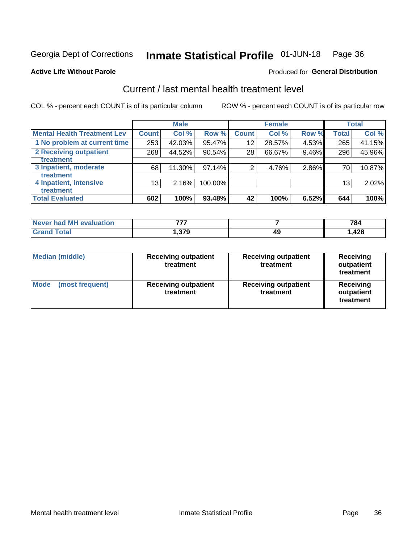#### Inmate Statistical Profile 01-JUN-18 Page 36

### **Active Life Without Parole**

### **Produced for General Distribution**

# Current / last mental health treatment level

COL % - percent each COUNT is of its particular column

|                                    |              | <b>Male</b> |         |              | <b>Female</b> |       |                 | <b>Total</b> |
|------------------------------------|--------------|-------------|---------|--------------|---------------|-------|-----------------|--------------|
| <b>Mental Health Treatment Lev</b> | <b>Count</b> | Col %       | Row %   | <b>Count</b> | Col %         | Row % | <b>Total</b>    | Col %        |
| 1 No problem at current time       | 253          | 42.03%      | 95.47%  | 12           | 28.57%        | 4.53% | 265             | 41.15%       |
| 2 Receiving outpatient             | 268          | 44.52%      | 90.54%  | 28           | 66.67%        | 9.46% | 296             | 45.96%       |
| <b>Treatment</b>                   |              |             |         |              |               |       |                 |              |
| 3 Inpatient, moderate              | 68           | 11.30%      | 97.14%  | 2            | 4.76%         | 2.86% | 70              | 10.87%       |
| <b>Treatment</b>                   |              |             |         |              |               |       |                 |              |
| 4 Inpatient, intensive             | 13           | 2.16%       | 100.00% |              |               |       | 13 <sub>1</sub> | 2.02%        |
| Treatment                          |              |             |         |              |               |       |                 |              |
| <b>Total Evaluated</b>             | 602          | 100%        | 93.48%  | 42           | 100%          | 6.52% | 644             | 100%         |

| Never had MH evaluation | ---            |    | 784  |
|-------------------------|----------------|----|------|
| Total                   | . 276<br>1.913 | 49 | ,428 |

| <b>Median (middle)</b>         | <b>Receiving outpatient</b><br>treatment | <b>Receiving outpatient</b><br>treatment | <b>Receiving</b><br>outpatient<br>treatment |  |
|--------------------------------|------------------------------------------|------------------------------------------|---------------------------------------------|--|
| <b>Mode</b><br>(most frequent) | <b>Receiving outpatient</b><br>treatment | <b>Receiving outpatient</b><br>treatment | <b>Receiving</b><br>outpatient<br>treatment |  |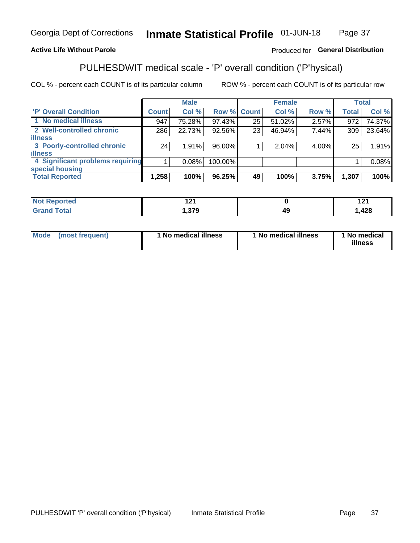#### **Inmate Statistical Profile 01-JUN-18** Page 37

### **Active Life Without Parole**

### Produced for General Distribution

# PULHESDWIT medical scale - 'P' overall condition ('P'hysical)

COL % - percent each COUNT is of its particular column

|                                  |              | <b>Male</b> |             |    | <b>Female</b> |       |              | <b>Total</b> |
|----------------------------------|--------------|-------------|-------------|----|---------------|-------|--------------|--------------|
| 'P' Overall Condition            | <b>Count</b> | Col %       | Row % Count |    | Col %         | Row % | <b>Total</b> | Col %        |
| 1 No medical illness             | 947          | 75.28%      | 97.43%      | 25 | 51.02%        | 2.57% | 972          | 74.37%       |
| 2 Well-controlled chronic        | 286          | 22.73%      | 92.56%      | 23 | 46.94%        | 7.44% | 309          | 23.64%       |
| <b>illness</b>                   |              |             |             |    |               |       |              |              |
| 3 Poorly-controlled chronic      | 24           | 1.91%       | 96.00%      |    | 2.04%         | 4.00% | 25           | 1.91%        |
| <b>illness</b>                   |              |             |             |    |               |       |              |              |
| 4 Significant problems requiring |              | 0.08%       | 100.00%     |    |               |       |              | 0.08%        |
| special housing                  |              |             |             |    |               |       |              |              |
| <b>Total Reported</b>            | 1,258        | 100%        | 96.25%      | 49 | 100%          | 3.75% | 1,307        | 100%         |

| нею    | . .       |    |     |
|--------|-----------|----|-----|
| ______ | היה<br>-- | 49 | 428 |

| <b>Mode</b> | (most frequent) | 1 No medical illness | 1 No medical illness | 1 No medical<br>illness |
|-------------|-----------------|----------------------|----------------------|-------------------------|
|-------------|-----------------|----------------------|----------------------|-------------------------|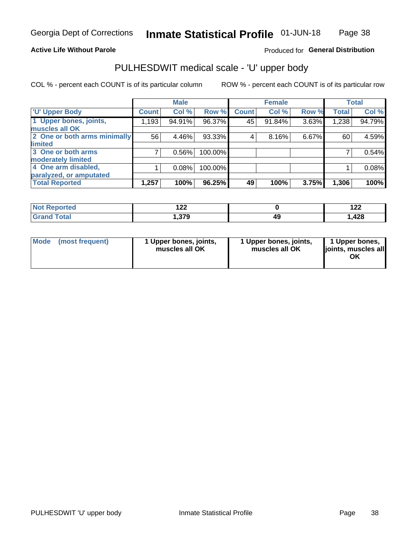### **Active Life Without Parole**

### Produced for General Distribution

# PULHESDWIT medical scale - 'U' upper body

COL % - percent each COUNT is of its particular column

|                              |              | <b>Male</b> |         |              | <b>Female</b> |       |              | <b>Total</b> |
|------------------------------|--------------|-------------|---------|--------------|---------------|-------|--------------|--------------|
| <b>'U' Upper Body</b>        | <b>Count</b> | Col %       | Row %   | <b>Count</b> | Col %         | Row % | <b>Total</b> | Col %        |
| 1 Upper bones, joints,       | 1,193        | 94.91%      | 96.37%  | 45           | 91.84%        | 3.63% | 1,238        | 94.79%       |
| muscles all OK               |              |             |         |              |               |       |              |              |
| 2 One or both arms minimally | 56           | 4.46%       | 93.33%  | 4            | 8.16%         | 6.67% | 60           | 4.59%        |
| limited                      |              |             |         |              |               |       |              |              |
| 3 One or both arms           |              | 0.56%       | 100.00% |              |               |       |              | 0.54%        |
| <b>moderately limited</b>    |              |             |         |              |               |       |              |              |
| 4 One arm disabled,          |              | 0.08%       | 100.00% |              |               |       |              | 0.08%        |
| paralyzed, or amputated      |              |             |         |              |               |       |              |              |
| <b>Total Reported</b>        | 1,257        | 100%        | 96.25%  | 49           | 100%          | 3.75% | 1,306        | 100%         |

| <b>Not Reported</b> | ៱៱៱<br>$\overline{1}$ |    | . הו<br>17 L |
|---------------------|-----------------------|----|--------------|
| <b>Total</b>        | 270                   | AС | ,428         |
| ا الله ا            | . J I J               | ᠇  |              |

|  | Mode (most frequent) | 1 Upper bones, joints,<br>muscles all OK | 1 Upper bones, joints,<br>muscles all OK | 1 Upper bones,<br>ljoints, muscles all<br>ΟK |
|--|----------------------|------------------------------------------|------------------------------------------|----------------------------------------------|
|--|----------------------|------------------------------------------|------------------------------------------|----------------------------------------------|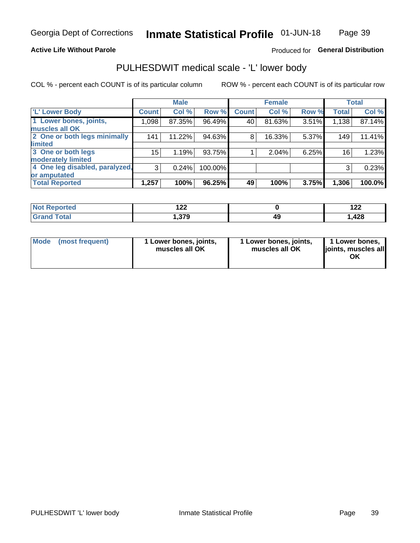### **Active Life Without Parole**

### Produced for General Distribution

# PULHESDWIT medical scale - 'L' lower body

COL % - percent each COUNT is of its particular column

|                                |              | <b>Male</b> |         |              | <b>Female</b> |       |              | <b>Total</b> |
|--------------------------------|--------------|-------------|---------|--------------|---------------|-------|--------------|--------------|
| 'L' Lower Body                 | <b>Count</b> | Col %       | Row %   | <b>Count</b> | Col %         | Row % | <b>Total</b> | Col %        |
| 1 Lower bones, joints,         | 1,098        | 87.35%      | 96.49%  | 40           | 81.63%        | 3.51% | 1,138        | 87.14%       |
| muscles all OK                 |              |             |         |              |               |       |              |              |
| 2 One or both legs minimally   | 141          | 11.22%      | 94.63%  | 8            | 16.33%        | 5.37% | 149          | 11.41%       |
| limited                        |              |             |         |              |               |       |              |              |
| 3 One or both legs             | $15\,$       | 1.19%       | 93.75%  |              | 2.04%         | 6.25% | 16           | 1.23%        |
| moderately limited             |              |             |         |              |               |       |              |              |
| 4 One leg disabled, paralyzed, | 3            | 0.24%       | 100.00% |              |               |       | 3            | 0.23%        |
| or amputated                   |              |             |         |              |               |       |              |              |
| <b>Total Reported</b>          | 1,257        | 100%        | 96.25%  | 49           | 100%          | 3.75% | 1,306        | 100.0%       |

| <b>Not Reported</b> | ៱៱៱<br>$\overline{1}$ |    | . הו<br>17 L |
|---------------------|-----------------------|----|--------------|
| <b>Total</b>        | 270                   | AС | ,428         |
| ا الله ا            | . J I J               | ᠇  |              |

| Mode | (most frequent) | 1 Lower bones, joints,<br>muscles all OK | 1 Lower bones, joints,<br>muscles all OK | 1 Lower bones,<br>ljoints, muscles all<br>OK |
|------|-----------------|------------------------------------------|------------------------------------------|----------------------------------------------|
|------|-----------------|------------------------------------------|------------------------------------------|----------------------------------------------|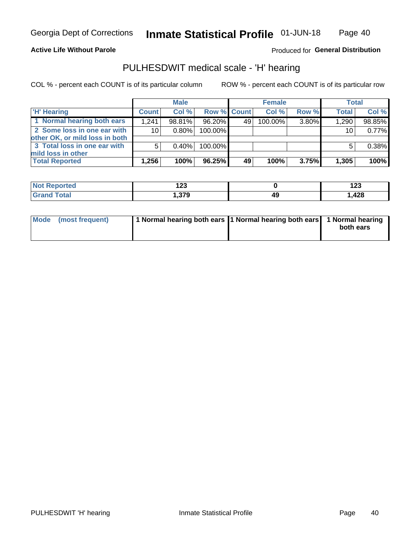### **Active Life Without Parole**

Produced for General Distribution

# PULHESDWIT medical scale - 'H' hearing

COL % - percent each COUNT is of its particular column

|                                                               |              | <b>Male</b> |             |    | <b>Female</b> |       | <b>Total</b> |        |
|---------------------------------------------------------------|--------------|-------------|-------------|----|---------------|-------|--------------|--------|
| <b>H'</b> Hearing                                             | <b>Count</b> | Col%        | Row % Count |    | Col%          | Row % | <b>Total</b> | Col %  |
| 1 Normal hearing both ears                                    | 1.241        | 98.81%      | 96.20%      | 49 | 100.00%       | 3.80% | 1,290        | 98.85% |
| 2 Some loss in one ear with<br>other OK, or mild loss in both | 10           | $0.80\%$    | 100.00%     |    |               |       | 10           | 0.77%  |
| 3 Total loss in one ear with<br>mild loss in other            | 5            | 0.40%       | 100.00%     |    |               |       |              | 0.38%  |
| <b>Total Reported</b>                                         | 1,256        | 100%        | 96.25%      | 49 | 100%          | 3.75% | 1,305        | 100%   |

| <b>Not</b><br>Reported | ^^^<br>נ⊾ ו<br>$\sim$ |    | 1 つつ<br>ט∡ו |
|------------------------|-----------------------|----|-------------|
| <b>otal</b>            | 270<br>3 ، 7 ، 7      | 49 | .,428       |

| Mode (most frequent) | 1 Normal hearing both ears 1 Normal hearing both ears 1 Normal hearing | both ears |
|----------------------|------------------------------------------------------------------------|-----------|
|                      |                                                                        |           |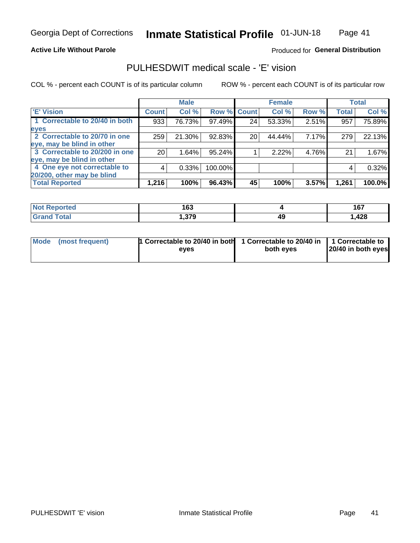### **Active Life Without Parole**

### Produced for General Distribution

# PULHESDWIT medical scale - 'E' vision

COL % - percent each COUNT is of its particular column

|                                |                 | <b>Male</b> |             |    | <b>Female</b> |       |              | <b>Total</b> |
|--------------------------------|-----------------|-------------|-------------|----|---------------|-------|--------------|--------------|
| <b>E' Vision</b>               | <b>Count</b>    | Col %       | Row % Count |    | Col %         | Row % | <b>Total</b> | Col %        |
| 1 Correctable to 20/40 in both | 933             | 76.73%      | 97.49%      | 24 | 53.33%        | 2.51% | 957          | 75.89%       |
| eyes                           |                 |             |             |    |               |       |              |              |
| 2 Correctable to 20/70 in one  | 259             | 21.30%      | 92.83%      | 20 | 44.44%        | 7.17% | 279          | 22.13%       |
| eye, may be blind in other     |                 |             |             |    |               |       |              |              |
| 3 Correctable to 20/200 in one | 20 <sub>1</sub> | 1.64%       | $95.24\%$   |    | 2.22%         | 4.76% | 21           | 1.67%        |
| eye, may be blind in other     |                 |             |             |    |               |       |              |              |
| 4 One eye not correctable to   | 4               | 0.33%       | 100.00%     |    |               |       | 4            | 0.32%        |
| 20/200, other may be blind     |                 |             |             |    |               |       |              |              |
| <b>Total Reported</b>          | 1,216           | 100%        | $96.43\%$   | 45 | 100%          | 3.57% | 1,261        | 100.0%       |

| <b>Not Reported</b> | 1 C D<br>. v j |    | 167<br>197 |
|---------------------|----------------|----|------------|
| <b>Total</b>        | 270            | 49 | 120        |
| Grand               | . שונ          |    | ,440       |

| Mode (most frequent) | 1 Correctable to 20/40 in both<br>eves | 1 Correctable to 20/40 in   1 Correctable to<br>both eves | 20/40 in both eyes |
|----------------------|----------------------------------------|-----------------------------------------------------------|--------------------|
|                      |                                        |                                                           |                    |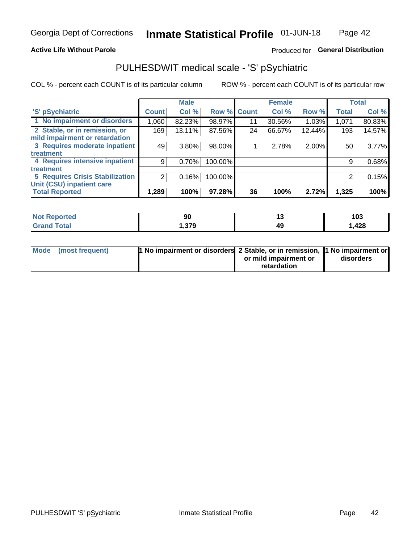### **Active Life Without Parole**

### Produced for General Distribution

# PULHESDWIT medical scale - 'S' pSychiatric

COL % - percent each COUNT is of its particular column

|                                 |              | <b>Male</b> |         |             | <b>Female</b> |        |              | <b>Total</b> |
|---------------------------------|--------------|-------------|---------|-------------|---------------|--------|--------------|--------------|
| 'S' pSychiatric                 | <b>Count</b> | Col %       |         | Row % Count | Col %         | Row %  | <b>Total</b> | Col %        |
| 1 No impairment or disorders    | 1,060        | 82.23%      | 98.97%  | 11          | 30.56%        | 1.03%  | 1,071        | 80.83%       |
| 2 Stable, or in remission, or   | 169          | 13.11%      | 87.56%  | 24          | 66.67%        | 12.44% | 193          | 14.57%       |
| mild impairment or retardation  |              |             |         |             |               |        |              |              |
| 3 Requires moderate inpatient   | 49           | $3.80\%$    | 98.00%  |             | 2.78%         | 2.00%  | 50           | 3.77%        |
| <b>treatment</b>                |              |             |         |             |               |        |              |              |
| 4 Requires intensive inpatient  | 9            | 0.70%       | 100.00% |             |               |        | 9            | 0.68%        |
| <b>treatment</b>                |              |             |         |             |               |        |              |              |
| 5 Requires Crisis Stabilization | 2            | 0.16%       | 100.00% |             |               |        | 2            | 0.15%        |
| Unit (CSU) inpatient care       |              |             |         |             |               |        |              |              |
| <b>Total Reported</b>           | 1,289        | 100%        | 97.28%  | 36          | 100%          | 2.72%  | 1,325        | 100%         |

| <b>Reported</b><br><b>Not</b> | ึฃ   | יי | 103   |
|-------------------------------|------|----|-------|
| <b>Total</b>                  | ,379 | 49 | 428،، |

| Mode (most frequent) | <b>1 No impairment or disorders</b> 2 Stable, or in remission, 11 No impairment or |                       |           |
|----------------------|------------------------------------------------------------------------------------|-----------------------|-----------|
|                      |                                                                                    | or mild impairment or | disorders |
|                      |                                                                                    | retardation           |           |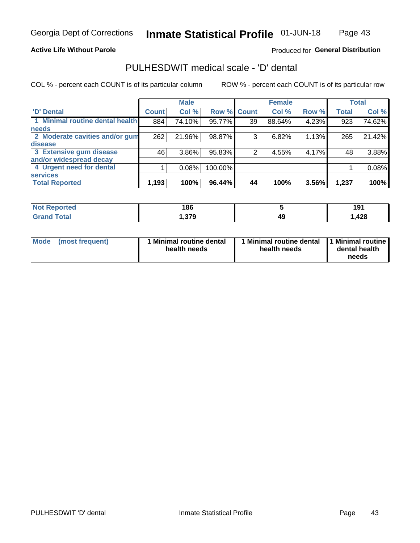### **Active Life Without Parole**

### Produced for General Distribution

# PULHESDWIT medical scale - 'D' dental

COL % - percent each COUNT is of its particular column

|                                 |              | <b>Male</b> |         |              | <b>Female</b> |       |              | <b>Total</b> |
|---------------------------------|--------------|-------------|---------|--------------|---------------|-------|--------------|--------------|
| <b>D'</b> Dental                | <b>Count</b> | Col %       | Row %   | <b>Count</b> | Col %         | Row % | <b>Total</b> | Col %        |
| 1 Minimal routine dental health | 884          | 74.10%      | 95.77%  | 39           | 88.64%        | 4.23% | 923          | 74.62%       |
| <b>needs</b>                    |              |             |         |              |               |       |              |              |
| 2 Moderate cavities and/or gum  | 262          | 21.96%      | 98.87%  | 3            | 6.82%         | 1.13% | 265          | 21.42%       |
| disease                         |              |             |         |              |               |       |              |              |
| 3 Extensive gum disease         | 46           | 3.86%       | 95.83%  |              | 4.55%         | 4.17% | 48           | 3.88%        |
| and/or widespread decay         |              |             |         |              |               |       |              |              |
| 4 Urgent need for dental        |              | 0.08%       | 100.00% |              |               |       |              | 0.08%        |
| <b>services</b>                 |              |             |         |              |               |       |              |              |
| <b>Total Reported</b>           | 1,193        | 100%        | 96.44%  | 44           | 100%          | 3.56% | 1,237        | 100%         |

| <b>Not Reported</b> | 186          |    | ۰۵۰<br>IJ   |
|---------------------|--------------|----|-------------|
| Total               | 270<br>. היה | 49 | 100<br>,420 |

| <b>Mode</b> | (most frequent) | <b>Minimal routine dental</b><br>health needs | 1 Minimal routine dental   1 Minimal routine  <br>health needs | dental health<br>needs |
|-------------|-----------------|-----------------------------------------------|----------------------------------------------------------------|------------------------|
|-------------|-----------------|-----------------------------------------------|----------------------------------------------------------------|------------------------|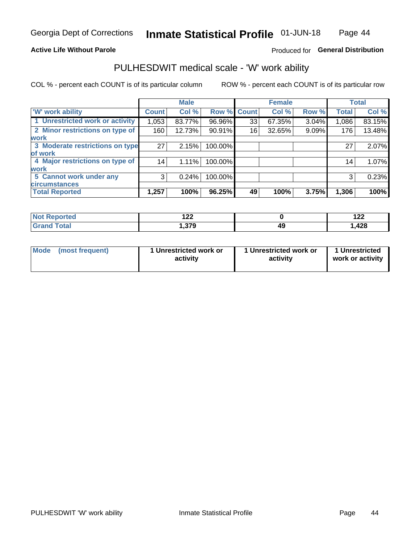### **Active Life Without Parole**

### Produced for General Distribution

# PULHESDWIT medical scale - 'W' work ability

COL % - percent each COUNT is of its particular column

|                                 |              | <b>Male</b> |         |             | <b>Female</b> |       |              | <b>Total</b> |
|---------------------------------|--------------|-------------|---------|-------------|---------------|-------|--------------|--------------|
| <b>W' work ability</b>          | <b>Count</b> | Col %       |         | Row % Count | Col %         | Row % | <b>Total</b> | Col %        |
| 1 Unrestricted work or activity | 1,053        | 83.77%      | 96.96%  | 33          | 67.35%        | 3.04% | 1,086        | 83.15%       |
| 2 Minor restrictions on type of | 160          | 12.73%      | 90.91%  | 16          | 32.65%        | 9.09% | 176          | 13.48%       |
| <b>work</b>                     |              |             |         |             |               |       |              |              |
| 3 Moderate restrictions on type | 27           | 2.15%       | 100.00% |             |               |       | 27           | 2.07%        |
| lof work                        |              |             |         |             |               |       |              |              |
| 4 Major restrictions on type of | 14           | 1.11%       | 100.00% |             |               |       | 14           | 1.07%        |
| <b>work</b>                     |              |             |         |             |               |       |              |              |
| 5 Cannot work under any         | 3            | 0.24%       | 100.00% |             |               |       | 3            | 0.23%        |
| <b>circumstances</b>            |              |             |         |             |               |       |              |              |
| <b>Total Reported</b>           | 1,257        | 100%        | 96.25%  | 49          | 100%          | 3.75% | 1,306        | 100%         |

| <b>orted</b> | י ה<br>175             |    | 10C<br>175 |
|--------------|------------------------|----|------------|
| <b>Total</b> | <b>270</b><br>I .J I J | 45 | ,428       |

| Mode (most frequent) | 1 Unrestricted work or | 1 Unrestricted work or | 1 Unrestricted   |
|----------------------|------------------------|------------------------|------------------|
|                      | activity               | activity               | work or activity |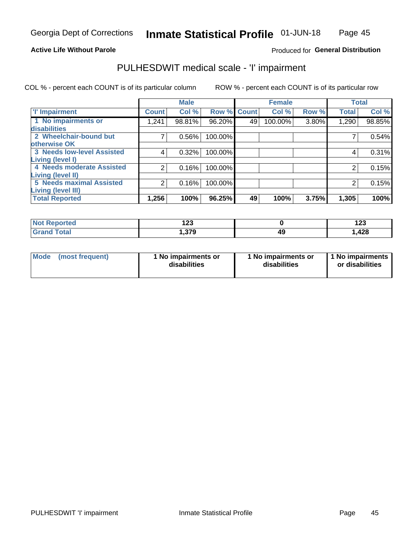### **Active Life Without Parole**

### Produced for General Distribution

# PULHESDWIT medical scale - 'I' impairment

COL % - percent each COUNT is of its particular column ROW % - percent each COUNT is of its particular row

|                                   |              | <b>Male</b> |             |    | <b>Female</b> |       |              | <b>Total</b> |
|-----------------------------------|--------------|-------------|-------------|----|---------------|-------|--------------|--------------|
| <b>T' Impairment</b>              | <b>Count</b> | Col %       | Row % Count |    | Col %         | Row % | <b>Total</b> | Col %        |
| 1 No impairments or               | ,241         | 98.81%      | 96.20%      | 49 | 100.00%       | 3.80% | 1,290        | 98.85%       |
| disabilities                      |              |             |             |    |               |       |              |              |
| 2 Wheelchair-bound but            |              | 0.56%       | 100.00%     |    |               |       |              | 0.54%        |
| otherwise OK                      |              |             |             |    |               |       |              |              |
| <b>3 Needs low-level Assisted</b> | 4            | 0.32%       | 100.00%     |    |               |       | 4            | 0.31%        |
| Living (level I)                  |              |             |             |    |               |       |              |              |
| 4 Needs moderate Assisted         | 2            | 0.16%       | 100.00%     |    |               |       | 2            | 0.15%        |
| Living (level II)                 |              |             |             |    |               |       |              |              |
| <b>5 Needs maximal Assisted</b>   | 2            | 0.16%       | 100.00%     |    |               |       | 2            | 0.15%        |
| <b>Living (level III)</b>         |              |             |             |    |               |       |              |              |
| <b>Total Reported</b>             | 1,256        | 100%        | 96.25%      | 49 | 100%          | 3.75% | 1,305        | 100%         |

| ام کامن ک    | ה הו         |            | 100    |
|--------------|--------------|------------|--------|
| meo          | 14J          |            | 14J    |
| <b>Total</b> | 270<br>.JI J | 40<br>- 17 | 428, ، |

| Mode | (most frequent) | 1 No impairments or<br>disabilities | 1 No impairments or<br>disabilities | 1 No impairments<br>or disabilities |
|------|-----------------|-------------------------------------|-------------------------------------|-------------------------------------|
|------|-----------------|-------------------------------------|-------------------------------------|-------------------------------------|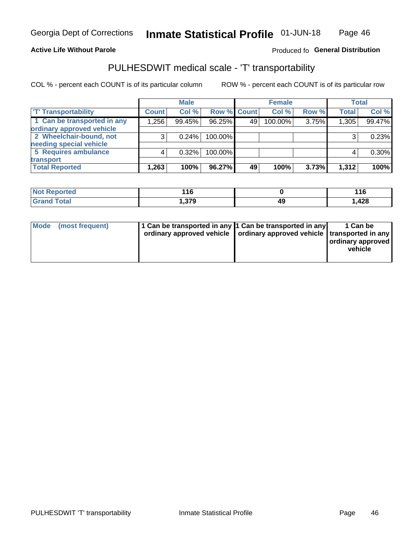### **Active Life Without Parole**

### Produced fo General Distribution

# PULHESDWIT medical scale - 'T' transportability

COL % - percent each COUNT is of its particular column

|                             |              | <b>Male</b> |             |    | <b>Female</b> |       |              | <b>Total</b> |
|-----------------------------|--------------|-------------|-------------|----|---------------|-------|--------------|--------------|
| <b>TT</b> Transportability  | <b>Count</b> | Col %       | Row % Count |    | Col %         | Row % | <b>Total</b> | Col %        |
| 1 Can be transported in any | 1,256        | 99.45%      | 96.25%      | 49 | 100.00%       | 3.75% | 1,305        | 99.47%       |
| ordinary approved vehicle   |              |             |             |    |               |       |              |              |
| 2 Wheelchair-bound, not     |              | 0.24%       | 100.00%     |    |               |       |              | 0.23%        |
| needing special vehicle     |              |             |             |    |               |       |              |              |
| 5 Requires ambulance        |              | 0.32%       | 100.00%     |    |               |       |              | $0.30\%$     |
| transport                   |              |             |             |    |               |       |              |              |
| <b>Total Reported</b>       | 263. ا       | 100%        | 96.27%      | 49 | 100%          | 3.73% | 1,312        | 100%         |

| <b>eported</b> | 11 C<br>- 1 v |    | 116   |
|----------------|---------------|----|-------|
| <b>otal</b>    | 270<br>.ა / ა | 49 | 428،، |

| Mode (most frequent) | 1 Can be transported in any 1 Can be transported in any | ordinary approved vehicle   ordinary approved vehicle   transported in any | 1 Can be<br>ordinary approved<br>vehicle |
|----------------------|---------------------------------------------------------|----------------------------------------------------------------------------|------------------------------------------|
|                      |                                                         |                                                                            |                                          |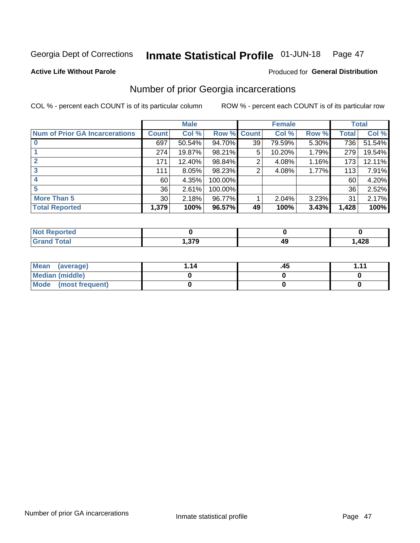#### Inmate Statistical Profile 01-JUN-18 Page 47

### **Active Life Without Parole**

### Produced for General Distribution

# Number of prior Georgia incarcerations

COL % - percent each COUNT is of its particular column

|                                       |                 | <b>Male</b> |                    |    | <b>Female</b> |       |       | <b>Total</b> |
|---------------------------------------|-----------------|-------------|--------------------|----|---------------|-------|-------|--------------|
| <b>Num of Prior GA Incarcerations</b> | <b>Count</b>    | Col %       | <b>Row % Count</b> |    | Col %         | Row % | Total | Col %        |
|                                       | 697             | 50.54%      | 94.70%             | 39 | 79.59%        | 5.30% | 736   | 51.54%       |
|                                       | 274             | 19.87%      | 98.21%             | 5  | 10.20%        | 1.79% | 279   | 19.54%       |
|                                       | 171             | 12.40%      | 98.84%             | 2  | 4.08%         | 1.16% | 173   | 12.11%       |
| 3                                     | 111             | 8.05%       | 98.23%             | 2  | 4.08%         | 1.77% | 113   | 7.91%        |
| 4                                     | 60              | 4.35%       | 100.00%            |    |               |       | 60    | 4.20%        |
| 5                                     | 36              | 2.61%       | 100.00%            |    |               |       | 36    | 2.52%        |
| <b>More Than 5</b>                    | 30 <sup>°</sup> | 2.18%       | 96.77%             |    | 2.04%         | 3.23% | 31    | 2.17%        |
| <b>Total Reported</b>                 | 1,379           | 100%        | 96.57%             | 49 | 100%          | 3.43% | 1,428 | 100%         |

| orted<br>N       |        |        |
|------------------|--------|--------|
| <b>otal</b>      | $\sim$ | ,00    |
| $\mathbf{v}$ and | ,, ,   | 544, . |

| Mean (average)       | 1.14 | .45 | 444 |
|----------------------|------|-----|-----|
| Median (middle)      |      |     |     |
| Mode (most frequent) |      |     |     |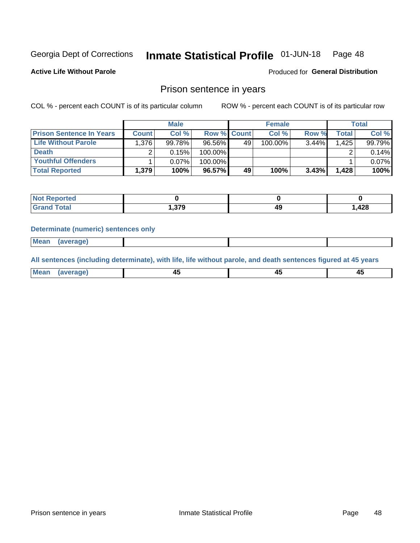#### **Inmate Statistical Profile 01-JUN-18** Page 48

**Active Life Without Parole** 

**Produced for General Distribution** 

### Prison sentence in years

COL % - percent each COUNT is of its particular column

ROW % - percent each COUNT is of its particular row

|                                 |              | <b>Male</b> |                    |    | <b>Female</b> |          |                    | <b>Total</b> |
|---------------------------------|--------------|-------------|--------------------|----|---------------|----------|--------------------|--------------|
| <b>Prison Sentence In Years</b> | <b>Count</b> | Col %       | <b>Row % Count</b> |    | Col %         | Row %    | Total <sub>1</sub> | Col %        |
| Life Without Parole             | 1,376        | 99.78%      | 96.56%             | 49 | 100.00%       | $3.44\%$ | 1.425              | 99.79%       |
| <b>Death</b>                    |              | 0.15%       | 100.00%            |    |               |          |                    | 0.14%        |
| <b>Youthful Offenders</b>       |              | $0.07\%$    | 100.00%            |    |               |          |                    | 0.07%        |
| <b>Total Reported</b>           | 1,379        | 100%        | 96.57%             | 49 | 100%          | $3.43\%$ | 1.428              | 100%         |

| Reported     |                |    |      |
|--------------|----------------|----|------|
| <b>Total</b> | 270<br>1.J I J | 49 | ,428 |

### **Determinate (numeric) sentences only**

**Mean** (average)

All sentences (including determinate), with life, life without parole, and death sentences figured at 45 years

| <b>Me</b><br>me<br>-------- | ᠇<br>$\sim$ | $\sim$ | $\sim$ |
|-----------------------------|-------------|--------|--------|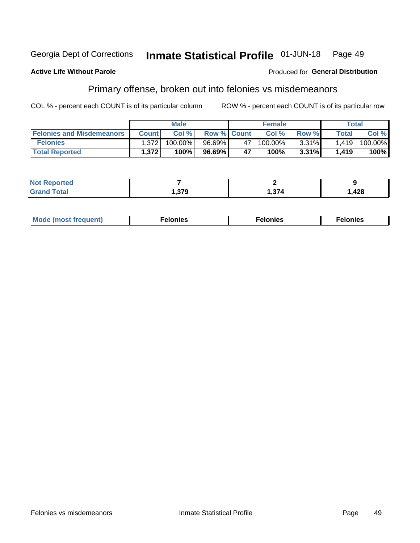#### **Georgia Dept of Corrections** Inmate Statistical Profile 01-JUN-18 Page 49

### **Active Life Without Parole**

### **Produced for General Distribution**

# Primary offense, broken out into felonies vs misdemeanors

COL % - percent each COUNT is of its particular column

|                                  |              | <b>Male</b> |                    |    | <b>Female</b> |          |                    | Total   |
|----------------------------------|--------------|-------------|--------------------|----|---------------|----------|--------------------|---------|
| <b>Felonies and Misdemeanors</b> | <b>Count</b> | Col%        | <b>Row % Count</b> |    | Col%          | Row %    | Total <sub>1</sub> | Col %   |
| <b>Felonies</b>                  | 1,372        | $100.00\%$  | $96.69\%$          | 47 | $100.00\%$    | $3.31\%$ | 1.419              | 100.00% |
| <b>Total Reported</b>            | .372         | $100\%$     | 96.69%             | 47 | 100%          | 3.31%    | 1.419              | 100%    |

| <b>Not Reported</b> |            |       |        |
|---------------------|------------|-------|--------|
| <b>Total</b>        | <b>270</b> | $-27$ | 428, ا |
| <b>Grand</b>        | I .J I J   |       |        |

| <b>Mode</b><br>frequent)<br>nies<br>≧ (most tr.<br>. | onies<br>. | lonies<br>ею<br>____ |
|------------------------------------------------------|------------|----------------------|
|------------------------------------------------------|------------|----------------------|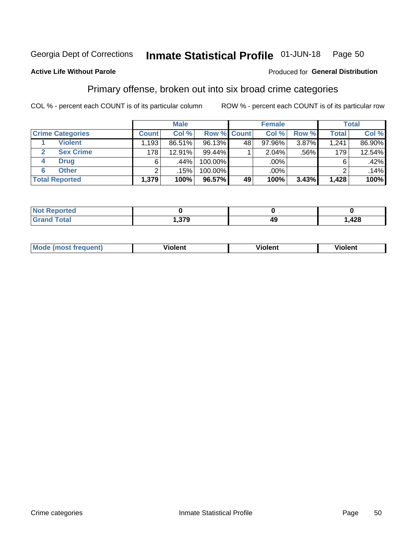#### Inmate Statistical Profile 01-JUN-18 Page 50

### **Active Life Without Parole**

### Produced for General Distribution

# Primary offense, broken out into six broad crime categories

COL % - percent each COUNT is of its particular column

|                         |                   | <b>Male</b> |         |             | <b>Female</b> |       |              | <b>Total</b> |
|-------------------------|-------------------|-------------|---------|-------------|---------------|-------|--------------|--------------|
| <b>Crime Categories</b> | <b>Count</b>      | Col %       |         | Row % Count | Col %         | Row % | <b>Total</b> | Col %        |
| <b>Violent</b>          | .193 <sup>1</sup> | 86.51%      | 96.13%  | 48          | $97.96\%$     | 3.87% | 1.241        | 86.90%       |
| <b>Sex Crime</b>        | 178               | 12.91%      | 99.44%  |             | 2.04%         | .56%  | 179          | 12.54%       |
| <b>Drug</b><br>4        | 6                 | .44%        | 100.00% |             | .00%          |       | 6            | .42%         |
| <b>Other</b><br>6       | ົ                 | .15%        | 100.00% |             | .00%          |       |              | .14%         |
| <b>Total Reported</b>   | 1,379             | 100%        | 96.57%  | 49          | 100%          | 3.43% | 1,428        | 100%         |

| للمراجع بالنور<br>ortea<br>NOT RADO<br>$\sim$ |     |    |       |  |  |
|-----------------------------------------------|-----|----|-------|--|--|
| $T0+0'$                                       | 270 | 49 | 1,428 |  |  |

| <b>Mode (most frequent)</b> | <br>'iolent | Violent | --<br><b>Violent</b> |
|-----------------------------|-------------|---------|----------------------|
|                             |             |         |                      |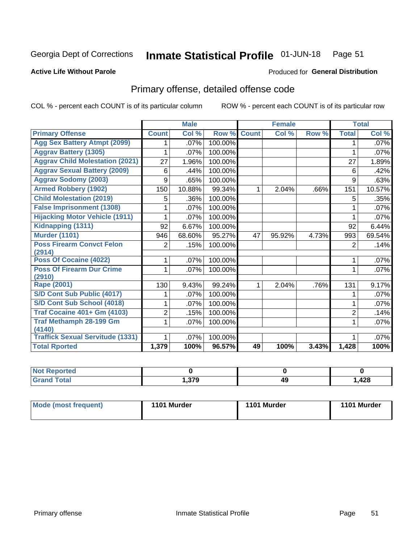#### Inmate Statistical Profile 01-JUN-18 Page 51

### **Active Life Without Parole**

### Produced for General Distribution

# Primary offense, detailed offense code

COL % - percent each COUNT is of its particular column

|                                         |                | <b>Male</b>                |         |              | <b>Female</b> |       |                | <b>Total</b> |
|-----------------------------------------|----------------|----------------------------|---------|--------------|---------------|-------|----------------|--------------|
| <b>Primary Offense</b>                  | <b>Count</b>   | $\overline{\text{Col }^9}$ | Row %   | <b>Count</b> | Col %         | Row % | <b>Total</b>   | Col %        |
| <b>Agg Sex Battery Atmpt (2099)</b>     |                | .07%                       | 100.00% |              |               |       |                | $.07\%$      |
| <b>Aggrav Battery (1305)</b>            |                | .07%                       | 100.00% |              |               |       | 1              | .07%         |
| <b>Aggrav Child Molestation (2021)</b>  | 27             | 1.96%                      | 100.00% |              |               |       | 27             | 1.89%        |
| <b>Aggrav Sexual Battery (2009)</b>     | 6              | .44%                       | 100.00% |              |               |       | 6              | .42%         |
| <b>Aggrav Sodomy (2003)</b>             | 9              | .65%                       | 100.00% |              |               |       | 9              | .63%         |
| <b>Armed Robbery (1902)</b>             | 150            | 10.88%                     | 99.34%  | 1            | 2.04%         | .66%  | 151            | 10.57%       |
| <b>Child Molestation (2019)</b>         | 5              | .36%                       | 100.00% |              |               |       | 5              | .35%         |
| <b>False Imprisonment (1308)</b>        |                | .07%                       | 100.00% |              |               |       |                | .07%         |
| <b>Hijacking Motor Vehicle (1911)</b>   |                | .07%                       | 100.00% |              |               |       |                | .07%         |
| Kidnapping (1311)                       | 92             | 6.67%                      | 100.00% |              |               |       | 92             | 6.44%        |
| <b>Murder (1101)</b>                    | 946            | 68.60%                     | 95.27%  | 47           | 95.92%        | 4.73% | 993            | 69.54%       |
| <b>Poss Firearm Convct Felon</b>        | 2              | .15%                       | 100.00% |              |               |       | 2              | .14%         |
| (2914)                                  |                |                            |         |              |               |       |                |              |
| Poss Of Cocaine (4022)                  |                | .07%                       | 100.00% |              |               |       | 1              | .07%         |
| <b>Poss Of Firearm Dur Crime</b>        |                | .07%                       | 100.00% |              |               |       | 1              | .07%         |
| (2910)<br><b>Rape (2001)</b>            |                |                            |         |              |               |       |                |              |
|                                         | 130            | 9.43%                      | 99.24%  |              | 2.04%         | .76%  | 131            | 9.17%        |
| S/D Cont Sub Public (4017)              |                | .07%                       | 100.00% |              |               |       |                | .07%         |
| S/D Cont Sub School (4018)              |                | .07%                       | 100.00% |              |               |       | 1              | .07%         |
| <b>Traf Cocaine 401+ Gm (4103)</b>      | $\overline{2}$ | .15%                       | 100.00% |              |               |       | $\overline{2}$ | .14%         |
| <b>Traf Methamph 28-199 Gm</b>          | 1              | .07%                       | 100.00% |              |               |       | 1              | .07%         |
| (4140)                                  |                |                            |         |              |               |       |                |              |
| <b>Traffick Sexual Servitude (1331)</b> |                | .07%                       | 100.00% |              |               |       |                | .07%         |
| <b>Total Rported</b>                    | 1,379          | 100%                       | 96.57%  | 49           | 100%          | 3.43% | 1,428          | 100%         |

| ™teu |     |    |        |
|------|-----|----|--------|
|      | הדה | 43 | 428، ، |

| Mode (most frequent) | 1101 Murder | 1101 Murder | 1101 Murder |
|----------------------|-------------|-------------|-------------|
|                      |             |             |             |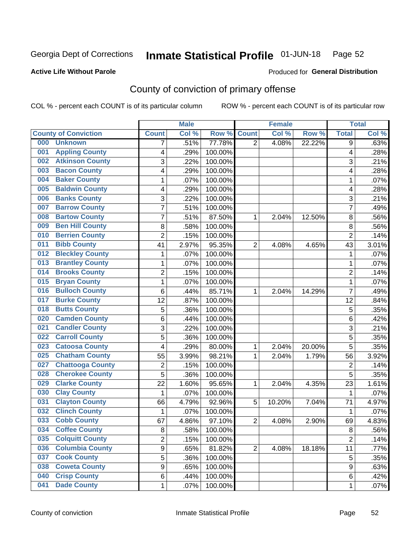#### Inmate Statistical Profile 01-JUN-18 Page 52

### **Active Life Without Parole**

### **Produced for General Distribution**

# County of conviction of primary offense

COL % - percent each COUNT is of its particular column

|     |                             |                | <b>Male</b> |         |                | <b>Female</b> |        |                | <b>Total</b> |
|-----|-----------------------------|----------------|-------------|---------|----------------|---------------|--------|----------------|--------------|
|     | <b>County of Conviction</b> | <b>Count</b>   | Col %       | Row %   | <b>Count</b>   | Col %         | Row %  | <b>Total</b>   | Col %        |
| 000 | <b>Unknown</b>              | 7              | .51%        | 77.78%  | $\overline{2}$ | 4.08%         | 22.22% | 9              | .63%         |
| 001 | <b>Appling County</b>       | 4              | .29%        | 100.00% |                |               |        | 4              | .28%         |
| 002 | <b>Atkinson County</b>      | 3              | .22%        | 100.00% |                |               |        | 3              | .21%         |
| 003 | <b>Bacon County</b>         | 4              | .29%        | 100.00% |                |               |        | 4              | .28%         |
| 004 | <b>Baker County</b>         | $\mathbf{1}$   | .07%        | 100.00% |                |               |        | 1              | .07%         |
| 005 | <b>Baldwin County</b>       | 4              | .29%        | 100.00% |                |               |        | 4              | .28%         |
| 006 | <b>Banks County</b>         | 3              | .22%        | 100.00% |                |               |        | 3              | .21%         |
| 007 | <b>Barrow County</b>        | $\overline{7}$ | .51%        | 100.00% |                |               |        | 7              | .49%         |
| 008 | <b>Bartow County</b>        | 7              | .51%        | 87.50%  | 1              | 2.04%         | 12.50% | 8              | .56%         |
| 009 | <b>Ben Hill County</b>      | 8              | .58%        | 100.00% |                |               |        | 8              | .56%         |
| 010 | <b>Berrien County</b>       | $\overline{c}$ | .15%        | 100.00% |                |               |        | $\overline{2}$ | .14%         |
| 011 | <b>Bibb County</b>          | 41             | 2.97%       | 95.35%  | $\overline{2}$ | 4.08%         | 4.65%  | 43             | 3.01%        |
| 012 | <b>Bleckley County</b>      | $\mathbf{1}$   | .07%        | 100.00% |                |               |        | $\mathbf{1}$   | .07%         |
| 013 | <b>Brantley County</b>      | $\mathbf{1}$   | .07%        | 100.00% |                |               |        | $\mathbf{1}$   | .07%         |
| 014 | <b>Brooks County</b>        | $\overline{c}$ | .15%        | 100.00% |                |               |        | $\overline{2}$ | .14%         |
| 015 | <b>Bryan County</b>         | $\mathbf{1}$   | .07%        | 100.00% |                |               |        | $\mathbf{1}$   | .07%         |
| 016 | <b>Bulloch County</b>       | 6              | .44%        | 85.71%  | 1              | 2.04%         | 14.29% | $\overline{7}$ | .49%         |
| 017 | <b>Burke County</b>         | 12             | .87%        | 100.00% |                |               |        | 12             | .84%         |
| 018 | <b>Butts County</b>         | 5              | .36%        | 100.00% |                |               |        | 5              | .35%         |
| 020 | <b>Camden County</b>        | 6              | .44%        | 100.00% |                |               |        | 6              | .42%         |
| 021 | <b>Candler County</b>       | 3              | .22%        | 100.00% |                |               |        | 3              | .21%         |
| 022 | <b>Carroll County</b>       | 5              | .36%        | 100.00% |                |               |        | 5              | .35%         |
| 023 | <b>Catoosa County</b>       | $\overline{4}$ | .29%        | 80.00%  | 1              | 2.04%         | 20.00% | 5              | .35%         |
| 025 | <b>Chatham County</b>       | 55             | 3.99%       | 98.21%  | 1              | 2.04%         | 1.79%  | 56             | 3.92%        |
| 027 | <b>Chattooga County</b>     | $\overline{c}$ | .15%        | 100.00% |                |               |        | $\overline{2}$ | .14%         |
| 028 | <b>Cherokee County</b>      | 5              | .36%        | 100.00% |                |               |        | 5              | .35%         |
| 029 | <b>Clarke County</b>        | 22             | 1.60%       | 95.65%  | 1              | 2.04%         | 4.35%  | 23             | 1.61%        |
| 030 | <b>Clay County</b>          | 1              | .07%        | 100.00% |                |               |        | 1              | .07%         |
| 031 | <b>Clayton County</b>       | 66             | 4.79%       | 92.96%  | 5              | 10.20%        | 7.04%  | 71             | 4.97%        |
| 032 | <b>Clinch County</b>        | $\mathbf{1}$   | .07%        | 100.00% |                |               |        | $\mathbf{1}$   | .07%         |
| 033 | <b>Cobb County</b>          | 67             | 4.86%       | 97.10%  | $\overline{2}$ | 4.08%         | 2.90%  | 69             | 4.83%        |
| 034 | <b>Coffee County</b>        | 8              | .58%        | 100.00% |                |               |        | 8              | .56%         |
| 035 | <b>Colquitt County</b>      | 2              | .15%        | 100.00% |                |               |        | $\overline{2}$ | .14%         |
| 036 | <b>Columbia County</b>      | 9              | .65%        | 81.82%  | $\overline{2}$ | 4.08%         | 18.18% | 11             | .77%         |
| 037 | <b>Cook County</b>          | 5              | .36%        | 100.00% |                |               |        | 5              | .35%         |
| 038 | <b>Coweta County</b>        | 9              | .65%        | 100.00% |                |               |        | 9              | .63%         |
| 040 | <b>Crisp County</b>         | 6              | .44%        | 100.00% |                |               |        | 6              | .42%         |
| 041 | <b>Dade County</b>          | 1              | .07%        | 100.00% |                |               |        | 1              | .07%         |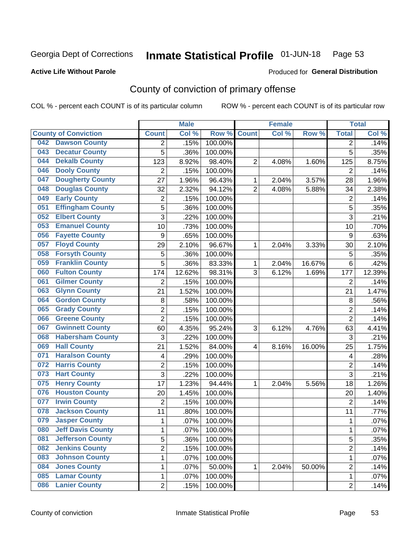#### Inmate Statistical Profile 01-JUN-18 Page 53

### **Active Life Without Parole**

### Produced for General Distribution

# County of conviction of primary offense

COL % - percent each COUNT is of its particular column

|                                 |                  | <b>Male</b>            |                  |                | <b>Female</b> |        |                | <b>Total</b> |
|---------------------------------|------------------|------------------------|------------------|----------------|---------------|--------|----------------|--------------|
| <b>County of Conviction</b>     | <b>Count</b>     | Col %                  | Row <sup>%</sup> | <b>Count</b>   | Col %         | Row %  | <b>Total</b>   | Col %        |
| <b>Dawson County</b><br>042     | 2                | .15%                   | 100.00%          |                |               |        | 2              | .14%         |
| <b>Decatur County</b><br>043    | 5                | .36%                   | 100.00%          |                |               |        | 5              | .35%         |
| <b>Dekalb County</b><br>044     | 123              | 8.92%                  | 98.40%           | $\overline{2}$ | 4.08%         | 1.60%  | 125            | 8.75%        |
| <b>Dooly County</b><br>046      | $\overline{2}$   | .15%                   | 100.00%          |                |               |        | 2              | .14%         |
| <b>Dougherty County</b><br>047  | 27               | 1.96%                  | 96.43%           | 1              | 2.04%         | 3.57%  | 28             | 1.96%        |
| <b>Douglas County</b><br>048    | 32               | 2.32%                  | 94.12%           | $\overline{2}$ | 4.08%         | 5.88%  | 34             | 2.38%        |
| <b>Early County</b><br>049      | $\overline{c}$   | .15%                   | 100.00%          |                |               |        | $\overline{2}$ | .14%         |
| <b>Effingham County</b><br>051  | 5                | .36%                   | 100.00%          |                |               |        | 5              | .35%         |
| <b>Elbert County</b><br>052     | 3                | .22%                   | 100.00%          |                |               |        | 3              | .21%         |
| <b>Emanuel County</b><br>053    | 10               | .73%                   | 100.00%          |                |               |        | 10             | .70%         |
| <b>Fayette County</b><br>056    | $\boldsymbol{9}$ | .65%                   | 100.00%          |                |               |        | 9              | .63%         |
| <b>Floyd County</b><br>057      | 29               | 2.10%                  | 96.67%           | 1              | 2.04%         | 3.33%  | 30             | 2.10%        |
| <b>Forsyth County</b><br>058    | 5                | .36%                   | 100.00%          |                |               |        | 5              | .35%         |
| <b>Franklin County</b><br>059   | 5                | .36%                   | 83.33%           | 1              | 2.04%         | 16.67% | 6              | .42%         |
| <b>Fulton County</b><br>060     | 174              | 12.62%                 | 98.31%           | 3              | 6.12%         | 1.69%  | 177            | 12.39%       |
| <b>Gilmer County</b><br>061     | $\overline{2}$   | .15%                   | 100.00%          |                |               |        | 2              | .14%         |
| <b>Glynn County</b><br>063      | 21               | 1.52%                  | 100.00%          |                |               |        | 21             | 1.47%        |
| <b>Gordon County</b><br>064     | 8                | .58%                   | 100.00%          |                |               |        | 8              | .56%         |
| <b>Grady County</b><br>065      | $\overline{2}$   | .15%                   | 100.00%          |                |               |        | $\overline{2}$ | .14%         |
| <b>Greene County</b><br>066     | $\overline{2}$   | .15%                   | 100.00%          |                |               |        | $\overline{2}$ | .14%         |
| <b>Gwinnett County</b><br>067   | 60               | 4.35%                  | 95.24%           | 3              | 6.12%         | 4.76%  | 63             | 4.41%        |
| <b>Habersham County</b><br>068  | 3                | .22%                   | 100.00%          |                |               |        | 3              | .21%         |
| <b>Hall County</b><br>069       | 21               | 1.52%                  | 84.00%           | 4              | 8.16%         | 16.00% | 25             | 1.75%        |
| <b>Haralson County</b><br>071   | 4                | .29%                   | 100.00%          |                |               |        | 4              | .28%         |
| <b>Harris County</b><br>072     | 2                | .15%                   | 100.00%          |                |               |        | $\overline{2}$ | .14%         |
| <b>Hart County</b><br>073       | 3                | .22%                   | 100.00%          |                |               |        | 3              | .21%         |
| <b>Henry County</b><br>075      | 17               | 1.23%                  | 94.44%           | 1              | 2.04%         | 5.56%  | 18             | 1.26%        |
| <b>Houston County</b><br>076    | 20               | 1.45%                  | 100.00%          |                |               |        | 20             | 1.40%        |
| <b>Irwin County</b><br>077      | $\overline{2}$   | .15%                   | 100.00%          |                |               |        | $\overline{2}$ | .14%         |
| <b>Jackson County</b><br>078    | 11               | .80%                   | 100.00%          |                |               |        | 11             | .77%         |
| <b>Jasper County</b><br>079     | $\mathbf{1}$     | .07%                   | 100.00%          |                |               |        | 1              | .07%         |
| <b>Jeff Davis County</b><br>080 | 1                | .07%                   | 100.00%          |                |               |        | 1              | $.07\%$      |
| <b>Jefferson County</b><br>081  |                  | 5<br>.36%              | 100.00%          |                |               |        | 5              | .35%         |
| <b>Jenkins County</b><br>082    |                  | $\overline{2}$<br>.15% | 100.00%          |                |               |        | $\overline{2}$ | .14%         |
| <b>Johnson County</b><br>083    | $\mathbf{1}$     | .07%                   | 100.00%          |                |               |        | $\mathbf{1}$   | .07%         |
| <b>Jones County</b><br>084      |                  | 1<br>.07%              | 50.00%           | 1              | 2.04%         | 50.00% | $\overline{2}$ | .14%         |
| <b>Lamar County</b><br>085      | 1                | .07%                   | 100.00%          |                |               |        | $\mathbf 1$    | .07%         |
| <b>Lanier County</b><br>086     |                  | $\overline{2}$<br>.15% | 100.00%          |                |               |        | $\overline{2}$ | .14%         |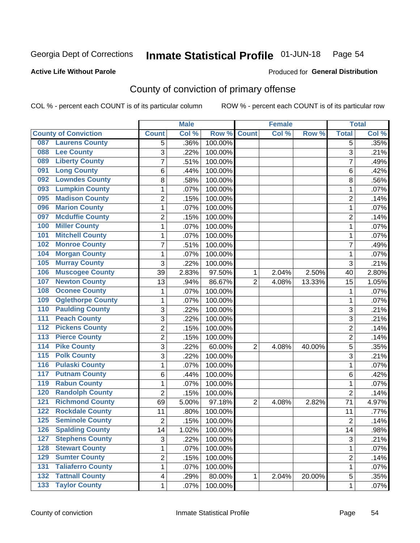#### Inmate Statistical Profile 01-JUN-18 Page 54

### **Active Life Without Parole**

### Produced for General Distribution

# County of conviction of primary offense

COL % - percent each COUNT is of its particular column

|                                           |                | <b>Male</b> |         |                | <b>Female</b> |        |                | <b>Total</b> |
|-------------------------------------------|----------------|-------------|---------|----------------|---------------|--------|----------------|--------------|
| <b>County of Conviction</b>               | <b>Count</b>   | Col %       | Row %   | <b>Count</b>   | Col %         | Row %  | <b>Total</b>   | Col %        |
| <b>Laurens County</b><br>087              | 5              | .36%        | 100.00% |                |               |        | 5              | .35%         |
| <b>Lee County</b><br>088                  | 3              | .22%        | 100.00% |                |               |        | 3              | .21%         |
| <b>Liberty County</b><br>089              | 7              | .51%        | 100.00% |                |               |        | $\overline{7}$ | .49%         |
| <b>Long County</b><br>091                 | 6              | .44%        | 100.00% |                |               |        | 6              | .42%         |
| <b>Lowndes County</b><br>092              | 8              | .58%        | 100.00% |                |               |        | 8              | .56%         |
| <b>Lumpkin County</b><br>093              | 1              | .07%        | 100.00% |                |               |        | $\mathbf{1}$   | .07%         |
| <b>Madison County</b><br>095              | $\overline{c}$ | .15%        | 100.00% |                |               |        | $\overline{2}$ | .14%         |
| <b>Marion County</b><br>096               | 1              | .07%        | 100.00% |                |               |        | $\mathbf{1}$   | .07%         |
| <b>Mcduffie County</b><br>097             | 2              | .15%        | 100.00% |                |               |        | $\overline{2}$ | .14%         |
| <b>Miller County</b><br>100               | 1              | .07%        | 100.00% |                |               |        | $\mathbf{1}$   | .07%         |
| <b>Mitchell County</b><br>101             | 1              | .07%        | 100.00% |                |               |        | $\mathbf{1}$   | .07%         |
| <b>Monroe County</b><br>102               | 7              | .51%        | 100.00% |                |               |        | 7              | .49%         |
| <b>Morgan County</b><br>104               | 1              | .07%        | 100.00% |                |               |        | $\mathbf{1}$   | .07%         |
| <b>Murray County</b><br>105               | 3              | .22%        | 100.00% |                |               |        | 3              | .21%         |
| <b>Muscogee County</b><br>106             | 39             | 2.83%       | 97.50%  | 1              | 2.04%         | 2.50%  | 40             | 2.80%        |
| <b>Newton County</b><br>107               | 13             | .94%        | 86.67%  | $\overline{2}$ | 4.08%         | 13.33% | 15             | 1.05%        |
| <b>Oconee County</b><br>108               | 1              | .07%        | 100.00% |                |               |        | 1              | .07%         |
| <b>Oglethorpe County</b><br>109           | 1              | .07%        | 100.00% |                |               |        | $\mathbf{1}$   | .07%         |
| <b>Paulding County</b><br>110             | 3              | .22%        | 100.00% |                |               |        | 3              | .21%         |
| <b>Peach County</b><br>111                | $\overline{3}$ | .22%        | 100.00% |                |               |        | $\overline{3}$ | .21%         |
| <b>Pickens County</b><br>$\overline{112}$ | 2              | .15%        | 100.00% |                |               |        | $\overline{2}$ | .14%         |
| <b>Pierce County</b><br>113               | $\overline{2}$ | .15%        | 100.00% |                |               |        | $\overline{2}$ | .14%         |
| <b>Pike County</b><br>$\overline{114}$    | 3              | .22%        | 60.00%  | $\overline{2}$ | 4.08%         | 40.00% | 5              | .35%         |
| 115<br><b>Polk County</b>                 | 3              | .22%        | 100.00% |                |               |        | 3              | .21%         |
| <b>Pulaski County</b><br>116              | 1              | .07%        | 100.00% |                |               |        | $\mathbf{1}$   | .07%         |
| <b>Putnam County</b><br>117               | 6              | .44%        | 100.00% |                |               |        | 6              | .42%         |
| <b>Rabun County</b><br>119                | 1              | .07%        | 100.00% |                |               |        | 1              | .07%         |
| <b>Randolph County</b><br>120             | $\overline{2}$ | .15%        | 100.00% |                |               |        | $\overline{2}$ | .14%         |
| <b>Richmond County</b><br>121             | 69             | 5.00%       | 97.18%  | $\overline{2}$ | 4.08%         | 2.82%  | 71             | 4.97%        |
| <b>Rockdale County</b><br>122             | 11             | .80%        | 100.00% |                |               |        | 11             | .77%         |
| <b>Seminole County</b><br>125             | 2              | .15%        | 100.00% |                |               |        | $\overline{2}$ | .14%         |
| 126<br><b>Spalding County</b>             | 14             | 1.02%       | 100.00% |                |               |        | 14             | .98%         |
| <b>Stephens County</b><br>127             | 3              | .22%        | 100.00% |                |               |        | 3              | .21%         |
| <b>Stewart County</b><br>128              | 1              | .07%        | 100.00% |                |               |        | $\mathbf{1}$   | .07%         |
| <b>Sumter County</b><br>129               | 2              | .15%        | 100.00% |                |               |        | $\overline{c}$ | .14%         |
| <b>Taliaferro County</b><br>131           | 1              | .07%        | 100.00% |                |               |        | $\mathbf{1}$   | .07%         |
| <b>Tattnall County</b><br>132             | 4              | .29%        | 80.00%  | 1              | 2.04%         | 20.00% | 5              | .35%         |
| <b>Taylor County</b><br>$\overline{133}$  | 1              | .07%        | 100.00% |                |               |        | $\mathbf 1$    | .07%         |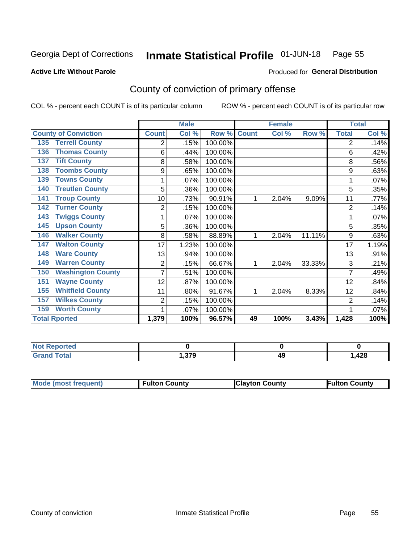#### Inmate Statistical Profile 01-JUN-18 Page 55

**Active Life Without Parole** 

**Produced for General Distribution** 

# County of conviction of primary offense

COL % - percent each COUNT is of its particular column

|                                 |              | <b>Male</b> |         |              | <b>Female</b> | <b>Total</b> |                |       |
|---------------------------------|--------------|-------------|---------|--------------|---------------|--------------|----------------|-------|
| <b>County of Conviction</b>     | <b>Count</b> | Col %       | Row %   | <b>Count</b> | Col %         | Row %        | <b>Total</b>   | Col % |
| <b>Terrell County</b><br>135    | 2            | .15%        | 100.00% |              |               |              | 2              | .14%  |
| <b>Thomas County</b><br>136     | 6            | .44%        | 100.00% |              |               |              | 6              | .42%  |
| <b>Tift County</b><br>137       | 8            | .58%        | 100.00% |              |               |              | 8              | .56%  |
| <b>Toombs County</b><br>138     | 9            | .65%        | 100.00% |              |               |              | 9              | .63%  |
| <b>Towns County</b><br>139      | 1            | .07%        | 100.00% |              |               |              |                | .07%  |
| <b>Treutlen County</b><br>140   | 5            | .36%        | 100.00% |              |               |              | 5              | .35%  |
| <b>Troup County</b><br>141      | 10           | .73%        | 90.91%  | 1            | 2.04%         | 9.09%        | 11             | .77%  |
| <b>Turner County</b><br>142     | 2            | .15%        | 100.00% |              |               |              | $\overline{2}$ | .14%  |
| <b>Twiggs County</b><br>143     |              | .07%        | 100.00% |              |               |              |                | .07%  |
| <b>Upson County</b><br>145      | 5            | .36%        | 100.00% |              |               |              | 5              | .35%  |
| <b>Walker County</b><br>146     | 8            | .58%        | 88.89%  | 1            | 2.04%         | 11.11%       | 9              | .63%  |
| <b>Walton County</b><br>147     | 17           | 1.23%       | 100.00% |              |               |              | 17             | 1.19% |
| <b>Ware County</b><br>148       | 13           | .94%        | 100.00% |              |               |              | 13             | .91%  |
| <b>Warren County</b><br>149     | 2            | .15%        | 66.67%  | 1            | 2.04%         | 33.33%       | 3              | .21%  |
| <b>Washington County</b><br>150 |              | .51%        | 100.00% |              |               |              | 7              | .49%  |
| <b>Wayne County</b><br>151      | 12           | .87%        | 100.00% |              |               |              | 12             | .84%  |
| <b>Whitfield County</b><br>155  | 11           | $.80\%$     | 91.67%  | 1            | 2.04%         | 8.33%        | 12             | .84%  |
| <b>Wilkes County</b><br>157     | 2            | .15%        | 100.00% |              |               |              | $\overline{2}$ | .14%  |
| <b>Worth County</b><br>159      | 1            | .07%        | 100.00% |              |               |              |                | .07%  |
| <b>Total Rported</b>            | 1,379        | 100%        | 96.57%  | 49           | 100%          | 3.43%        | 1,428          | 100%  |

| $\bullet$ (at $\bullet$ )<br>N  |     |    |            |
|---------------------------------|-----|----|------------|
| $\mathcal{L}$ and $\mathcal{L}$ | היה | 49 | <b>428</b> |
| _____                           | w   |    | −∠∪        |

| Mode (most frequent) | <b>Fulton County</b> | <b>Clayton County</b> | <b>Fulton County</b> |
|----------------------|----------------------|-----------------------|----------------------|
|                      |                      |                       |                      |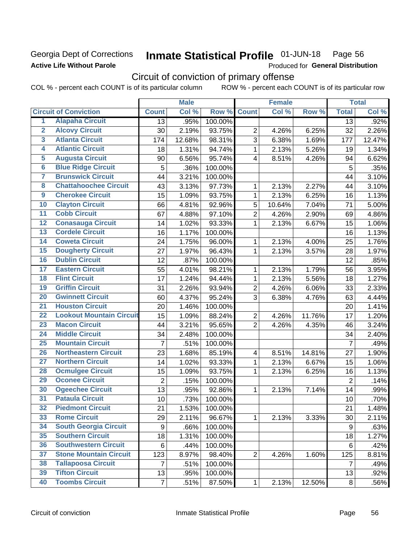## **Georgia Dept of Corrections Active Life Without Parole**

#### Inmate Statistical Profile 01-JUN-18 Page 56

Produced for General Distribution

# Circuit of conviction of primary offense

COL % - percent each COUNT is of its particular column ROW % - percent each COUNT is of its particular row

|                         |                                 |                  | <b>Male</b> |         |                         | <b>Female</b> | <b>Total</b> |                  |        |
|-------------------------|---------------------------------|------------------|-------------|---------|-------------------------|---------------|--------------|------------------|--------|
|                         | <b>Circuit of Conviction</b>    | <b>Count</b>     | Col %       | Row %   | <b>Count</b>            | Col %         | Row %        | <b>Total</b>     | Col %  |
| 1                       | <b>Alapaha Circuit</b>          | 13               | .95%        | 100.00% |                         |               |              | 13               | .92%   |
| $\overline{2}$          | <b>Alcovy Circuit</b>           | 30               | 2.19%       | 93.75%  | $\overline{2}$          | 4.26%         | 6.25%        | 32               | 2.26%  |
| $\overline{3}$          | <b>Atlanta Circuit</b>          | 174              | 12.68%      | 98.31%  | 3                       | 6.38%         | 1.69%        | 177              | 12.47% |
| 4                       | <b>Atlantic Circuit</b>         | 18               | 1.31%       | 94.74%  | 1                       | 2.13%         | 5.26%        | 19               | 1.34%  |
| $\overline{5}$          | <b>Augusta Circuit</b>          | 90               | 6.56%       | 95.74%  | 4                       | 8.51%         | 4.26%        | 94               | 6.62%  |
| $\overline{\bf{6}}$     | <b>Blue Ridge Circuit</b>       | 5                | .36%        | 100.00% |                         |               |              | 5                | .35%   |
| 7                       | <b>Brunswick Circuit</b>        | 44               | 3.21%       | 100.00% |                         |               |              | 44               | 3.10%  |
| $\overline{\mathbf{8}}$ | <b>Chattahoochee Circuit</b>    | 43               | 3.13%       | 97.73%  | 1                       | 2.13%         | 2.27%        | 44               | 3.10%  |
| $\overline{9}$          | <b>Cherokee Circuit</b>         | 15               | 1.09%       | 93.75%  | 1                       | 2.13%         | 6.25%        | 16               | 1.13%  |
| 10                      | <b>Clayton Circuit</b>          | 66               | 4.81%       | 92.96%  | 5                       | 10.64%        | 7.04%        | 71               | 5.00%  |
| $\overline{11}$         | <b>Cobb Circuit</b>             | 67               | 4.88%       | 97.10%  | $\overline{2}$          | 4.26%         | 2.90%        | 69               | 4.86%  |
| $\overline{12}$         | <b>Conasauga Circuit</b>        | 14               | 1.02%       | 93.33%  | 1                       | 2.13%         | 6.67%        | 15               | 1.06%  |
| 13                      | <b>Cordele Circuit</b>          | 16               | 1.17%       | 100.00% |                         |               |              | 16               | 1.13%  |
| 14                      | <b>Coweta Circuit</b>           | 24               | 1.75%       | 96.00%  | 1                       | 2.13%         | 4.00%        | 25               | 1.76%  |
| 15                      | <b>Dougherty Circuit</b>        | 27               | 1.97%       | 96.43%  | 1                       | 2.13%         | 3.57%        | 28               | 1.97%  |
| 16                      | <b>Dublin Circuit</b>           | 12               | .87%        | 100.00% |                         |               |              | 12               | .85%   |
| 17                      | <b>Eastern Circuit</b>          | 55               | 4.01%       | 98.21%  | 1                       | 2.13%         | 1.79%        | 56               | 3.95%  |
| $\overline{18}$         | <b>Flint Circuit</b>            | 17               | 1.24%       | 94.44%  | 1                       | 2.13%         | 5.56%        | 18               | 1.27%  |
| 19                      | <b>Griffin Circuit</b>          | 31               | 2.26%       | 93.94%  | $\overline{2}$          | 4.26%         | 6.06%        | 33               | 2.33%  |
| $\overline{20}$         | <b>Gwinnett Circuit</b>         | 60               | 4.37%       | 95.24%  | 3                       | 6.38%         | 4.76%        | 63               | 4.44%  |
| $\overline{21}$         | <b>Houston Circuit</b>          | 20               | 1.46%       | 100.00% |                         |               |              | 20               | 1.41%  |
| $\overline{22}$         | <b>Lookout Mountain Circuit</b> | 15               | 1.09%       | 88.24%  | $\overline{2}$          | 4.26%         | 11.76%       | 17               | 1.20%  |
| 23                      | <b>Macon Circuit</b>            | 44               | 3.21%       | 95.65%  | $\overline{2}$          | 4.26%         | 4.35%        | 46               | 3.24%  |
| $\overline{24}$         | <b>Middle Circuit</b>           | 34               | 2.48%       | 100.00% |                         |               |              | 34               | 2.40%  |
| $\overline{25}$         | <b>Mountain Circuit</b>         | $\overline{7}$   | .51%        | 100.00% |                         |               |              | $\overline{7}$   | .49%   |
| 26                      | <b>Northeastern Circuit</b>     | 23               | 1.68%       | 85.19%  | $\overline{\mathbf{4}}$ | 8.51%         | 14.81%       | 27               | 1.90%  |
| $\overline{27}$         | <b>Northern Circuit</b>         | 14               | 1.02%       | 93.33%  | 1                       | 2.13%         | 6.67%        | 15               | 1.06%  |
| 28                      | <b>Ocmulgee Circuit</b>         | 15               | 1.09%       | 93.75%  | 1                       | 2.13%         | 6.25%        | 16               | 1.13%  |
| 29                      | <b>Oconee Circuit</b>           | $\overline{2}$   | .15%        | 100.00% |                         |               |              | $\overline{2}$   | .14%   |
| 30                      | <b>Ogeechee Circuit</b>         | 13               | .95%        | 92.86%  | 1                       | 2.13%         | 7.14%        | 14               | .99%   |
| $\overline{31}$         | <b>Pataula Circuit</b>          | 10               | .73%        | 100.00% |                         |               |              | 10               | .70%   |
| 32                      | <b>Piedmont Circuit</b>         | 21               | 1.53%       | 100.00% |                         |               |              | 21               | 1.48%  |
| 33                      | <b>Rome Circuit</b>             | 29               | 2.11%       | 96.67%  | $\mathbf{1}$            | 2.13%         | 3.33%        | 30               | 2.11%  |
| 34                      | <b>South Georgia Circuit</b>    | $\boldsymbol{9}$ | .66%        | 100.00% |                         |               |              | $\boldsymbol{9}$ | .63%   |
| 35                      | <b>Southern Circuit</b>         | 18               | 1.31%       | 100.00% |                         |               |              | 18               | 1.27%  |
| 36                      | <b>Southwestern Circuit</b>     | 6                | .44%        | 100.00% |                         |               |              | 6                | .42%   |
| 37                      | <b>Stone Mountain Circuit</b>   | 123              | 8.97%       | 98.40%  | $\overline{2}$          | 4.26%         | 1.60%        | 125              | 8.81%  |
| 38                      | <b>Tallapoosa Circuit</b>       | 7                | .51%        | 100.00% |                         |               |              | 7                | .49%   |
| 39                      | <b>Tifton Circuit</b>           | 13               | .95%        | 100.00% |                         |               |              | 13               | .92%   |
| 40                      | <b>Toombs Circuit</b>           | $\overline{7}$   | .51%        | 87.50%  | $\mathbf{1}$            | 2.13%         | 12.50%       | 8                | .56%   |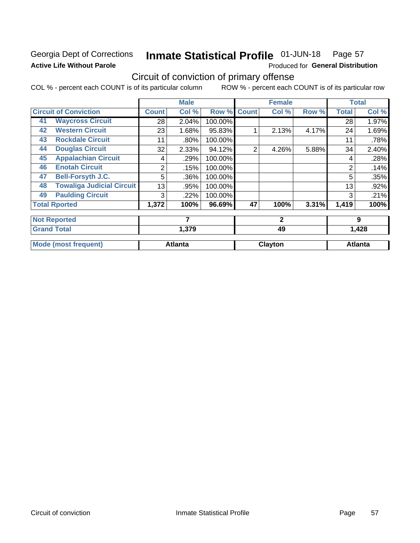# **Georgia Dept of Corrections Active Life Without Parole**

### Inmate Statistical Profile 01-JUN-18 Page 57

Produced for General Distribution

# Circuit of conviction of primary offense

COL % - percent each COUNT is of its particular column ROW % - percent each COUNT is of its particular row

|    |                                  |              | <b>Male</b>    |         |              | <b>Female</b> |       | <b>Total</b> |                |
|----|----------------------------------|--------------|----------------|---------|--------------|---------------|-------|--------------|----------------|
|    | <b>Circuit of Conviction</b>     | <b>Count</b> | Col %          | Row %   | <b>Count</b> | Col %         | Row % | <b>Total</b> | Col %          |
| 41 | <b>Waycross Circuit</b>          | 28           | 2.04%          | 100.00% |              |               |       | 28           | 1.97%          |
| 42 | <b>Western Circuit</b>           | 23           | 1.68%          | 95.83%  |              | 2.13%         | 4.17% | 24           | 1.69%          |
| 43 | <b>Rockdale Circuit</b>          | 11           | .80%           | 100.00% |              |               |       | 11           | .78%           |
| 44 | <b>Douglas Circuit</b>           | 32           | 2.33%          | 94.12%  | 2            | 4.26%         | 5.88% | 34           | 2.40%          |
| 45 | <b>Appalachian Circuit</b>       | 4            | .29%           | 100.00% |              |               |       | 4            | .28%           |
| 46 | <b>Enotah Circuit</b>            | 2            | .15%           | 100.00% |              |               |       | 2            | .14%           |
| 47 | <b>Bell-Forsyth J.C.</b>         | 5            | .36%           | 100.00% |              |               |       | 5            | .35%           |
| 48 | <b>Towaliga Judicial Circuit</b> | 13           | .95%           | 100.00% |              |               |       | 13           | .92%           |
| 49 | <b>Paulding Circuit</b>          | 3            | .22%           | 100.00% |              |               |       | 3            | .21%           |
|    | <b>Total Rported</b>             | 1,372        | 100%           | 96.69%  | 47           | 100%          | 3.31% | 1,419        | 100%           |
|    | <b>Not Reported</b>              |              | 7              |         |              | $\mathbf{2}$  |       |              | 9              |
|    | <b>Grand Total</b>               |              | 1,379          |         |              | 49            |       |              | 1,428          |
|    | <b>Mode (most frequent)</b>      |              | <b>Atlanta</b> |         |              | Clayton       |       |              | <b>Atlanta</b> |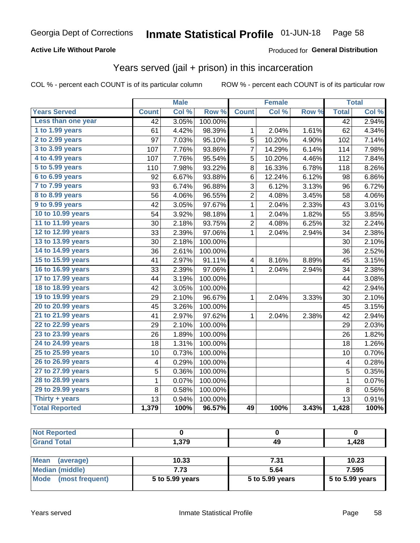### **Active Life Without Parole**

### Produced for General Distribution

# Years served (jail + prison) in this incarceration

COL % - percent each COUNT is of its particular column

|                        | <b>Male</b>     |       |         | <b>Female</b> |        | <b>Total</b> |                 |       |
|------------------------|-----------------|-------|---------|---------------|--------|--------------|-----------------|-------|
| <b>Years Served</b>    | <b>Count</b>    | Col % | Row %   | <b>Count</b>  | Col %  | Row %        | <b>Total</b>    | Col % |
| Less than one year     | $\overline{42}$ | 3.05% | 100.00% |               |        |              | $\overline{42}$ | 2.94% |
| 1 to 1.99 years        | 61              | 4.42% | 98.39%  | 1             | 2.04%  | 1.61%        | 62              | 4.34% |
| 2 to 2.99 years        | 97              | 7.03% | 95.10%  | 5             | 10.20% | 4.90%        | 102             | 7.14% |
| 3 to 3.99 years        | 107             | 7.76% | 93.86%  | 7             | 14.29% | 6.14%        | 114             | 7.98% |
| 4 to 4.99 years        | 107             | 7.76% | 95.54%  | 5             | 10.20% | 4.46%        | 112             | 7.84% |
| 5 to 5.99 years        | 110             | 7.98% | 93.22%  | 8             | 16.33% | 6.78%        | 118             | 8.26% |
| 6 to 6.99 years        | 92              | 6.67% | 93.88%  | 6             | 12.24% | 6.12%        | 98              | 6.86% |
| 7 to 7.99 years        | 93              | 6.74% | 96.88%  | 3             | 6.12%  | 3.13%        | 96              | 6.72% |
| <b>8 to 8.99 years</b> | 56              | 4.06% | 96.55%  | 2             | 4.08%  | 3.45%        | 58              | 4.06% |
| 9 to 9.99 years        | 42              | 3.05% | 97.67%  | $\mathbf{1}$  | 2.04%  | 2.33%        | 43              | 3.01% |
| 10 to 10.99 years      | 54              | 3.92% | 98.18%  | $\mathbf 1$   | 2.04%  | 1.82%        | 55              | 3.85% |
| 11 to 11.99 years      | 30              | 2.18% | 93.75%  | 2             | 4.08%  | 6.25%        | 32              | 2.24% |
| 12 to 12.99 years      | 33              | 2.39% | 97.06%  | 1             | 2.04%  | 2.94%        | 34              | 2.38% |
| 13 to 13.99 years      | 30              | 2.18% | 100.00% |               |        |              | 30              | 2.10% |
| 14 to 14.99 years      | 36              | 2.61% | 100.00% |               |        |              | 36              | 2.52% |
| 15 to 15.99 years      | 41              | 2.97% | 91.11%  | 4             | 8.16%  | 8.89%        | 45              | 3.15% |
| 16 to 16.99 years      | 33              | 2.39% | 97.06%  | 1             | 2.04%  | 2.94%        | 34              | 2.38% |
| 17 to 17.99 years      | 44              | 3.19% | 100.00% |               |        |              | 44              | 3.08% |
| 18 to 18.99 years      | 42              | 3.05% | 100.00% |               |        |              | 42              | 2.94% |
| 19 to 19.99 years      | 29              | 2.10% | 96.67%  | $\mathbf 1$   | 2.04%  | 3.33%        | 30              | 2.10% |
| 20 to 20.99 years      | 45              | 3.26% | 100.00% |               |        |              | 45              | 3.15% |
| 21 to 21.99 years      | 41              | 2.97% | 97.62%  | 1             | 2.04%  | 2.38%        | 42              | 2.94% |
| 22 to 22.99 years      | 29              | 2.10% | 100.00% |               |        |              | 29              | 2.03% |
| 23 to 23.99 years      | 26              | 1.89% | 100.00% |               |        |              | 26              | 1.82% |
| 24 to 24.99 years      | 18              | 1.31% | 100.00% |               |        |              | 18              | 1.26% |
| 25 to 25.99 years      | 10              | 0.73% | 100.00% |               |        |              | 10              | 0.70% |
| 26 to 26.99 years      | 4               | 0.29% | 100.00% |               |        |              | 4               | 0.28% |
| 27 to 27.99 years      | 5               | 0.36% | 100.00% |               |        |              | $\overline{5}$  | 0.35% |
| 28 to 28.99 years      | $\mathbf 1$     | 0.07% | 100.00% |               |        |              | $\mathbf 1$     | 0.07% |
| 29 to 29.99 years      | 8               | 0.58% | 100.00% |               |        |              | 8               | 0.56% |
| Thirty + years         | 13              | 0.94% | 100.00% |               |        |              | 13              | 0.91% |
| <b>Total Reported</b>  | 1,379           | 100%  | 96.57%  | 49            | 100%   | 3.43%        | 1,428           | 100%  |

| <b>Not Reported</b>     |                 |                 |                 |
|-------------------------|-----------------|-----------------|-----------------|
| <b>Grand Total</b>      | 1.379           | 49              | 1.428           |
|                         |                 |                 |                 |
| Mean<br>(average)       | 10.33           | 7.31            | 10.23           |
| Median (middle)         | 7.73            | 5.64            | 7.595           |
| Mode<br>(most frequent) | 5 to 5.99 years | 5 to 5.99 years | 5 to 5.99 years |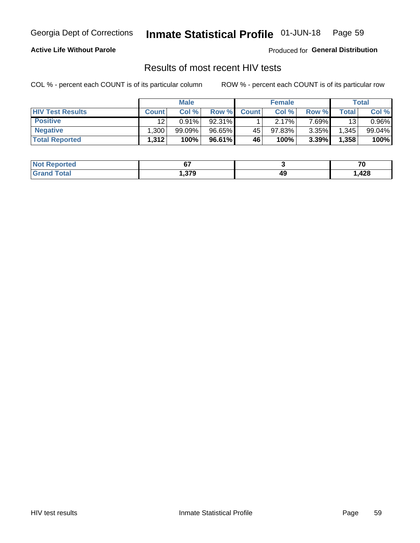#### Inmate Statistical Profile 01-JUN-18 Page 59

### **Active Life Without Parole**

Produced for General Distribution

# Results of most recent HIV tests

COL % - percent each COUNT is of its particular column

|                         | <b>Male</b>  |           |           | <b>Female</b> | Total  |          |       |        |
|-------------------------|--------------|-----------|-----------|---------------|--------|----------|-------|--------|
| <b>HIV Test Results</b> | <b>Count</b> | Col %     | Row %I    | <b>Count</b>  | Col %  | Row %    | Total | Col %  |
| <b>Positive</b>         | 12           | $0.91\%$  | 92.31%    |               | 2.17%  | 7.69%    | 13    | 0.96%  |
| <b>Negative</b>         | .300         | $99.09\%$ | $96.65\%$ | 45            | 97.83% | $3.35\%$ | 1,345 | 99.04% |
| <b>Total Reported</b>   | 1,312        | 100%      | 96.61%    | <b>46</b>     | 100%   | 3.39%    | 1,358 | 100%   |

| <b>Not Reported</b> | --   |    | -~   |
|---------------------|------|----|------|
| <b>Total</b>        | .379 | 49 | ,428 |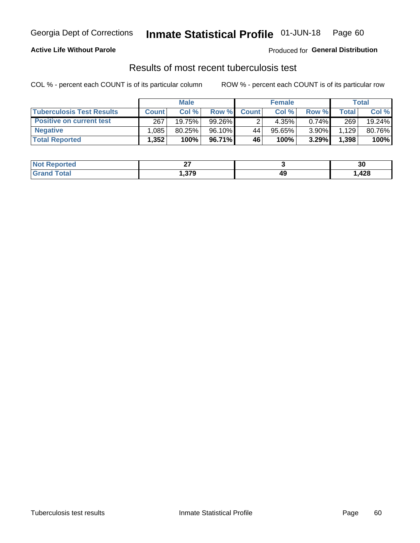# Georgia Dept of Corrections **Inmate Statistical Profile** 01-JUN-18 Page 60

### **Active Life Without Parole**

Produced for **General Distribution**

# Results of most recent tuberculosis test

COL % - percent each COUNT is of its particular column ROW % - percent each COUNT is of its particular row

|                                  | <b>Male</b>  |        |         | <b>Female</b> |        |          | Total |        |
|----------------------------------|--------------|--------|---------|---------------|--------|----------|-------|--------|
| <b>Tuberculosis Test Results</b> | <b>Count</b> | Col%   | Row %I  | <b>Count</b>  | Col%   | Row %    | Total | Col %  |
| <b>Positive on current test</b>  | 267          | 19.75% | 99.26%  |               | 4.35%  | $0.74\%$ | 269   | 19.24% |
| <b>Negative</b>                  | .085         | 80.25% | 96.10%  | 44            | 95.65% | 3.90%    | 1,129 | 80.76% |
| <b>Total Reported</b>            | 1,352        | 100%   | 96.71%I | 46            | 100%   | 3.29%    | 1,398 | 100%   |

| <b>Not Reported</b> | ~-<br>-- |    | n,<br>ას |
|---------------------|----------|----|----------|
| Total               | .379     | 49 | ,428     |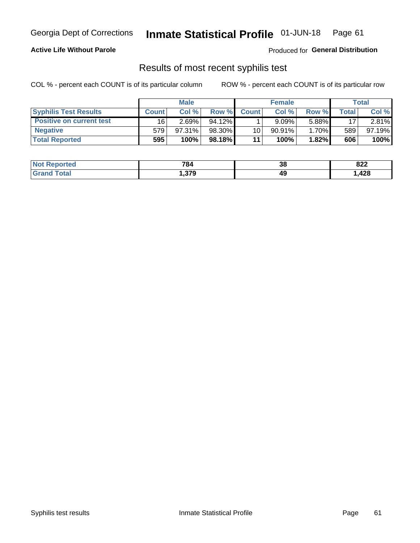# Georgia Dept of Corrections **Inmate Statistical Profile** 01-JUN-18 Page 61

### **Active Life Without Parole**

Produced for **General Distribution**

# Results of most recent syphilis test

COL % - percent each COUNT is of its particular column ROW % - percent each COUNT is of its particular row

|                                 | <b>Male</b>  |        |           | <b>Female</b>   |           |       | Total |        |
|---------------------------------|--------------|--------|-----------|-----------------|-----------|-------|-------|--------|
| <b>Syphilis Test Results</b>    | <b>Count</b> | Col%   | Row %I    | <b>Count</b>    | Col%      | Row % | Total | Col %  |
| <b>Positive on current test</b> | 16           | 2.69%  | $94.12\%$ |                 | $9.09\%$  | 5.88% | 17    | 2.81%  |
| <b>Negative</b>                 | 579          | 97.31% | 98.30%    | 10 <sup>1</sup> | $90.91\%$ | 1.70% | 589   | 97.19% |
| <b>Total Reported</b>           | 595          | 100%   | 98.18%    | 11              | $100\%$ . | 1.82% | 606   | 100%   |

| <b>Not Reported</b> | 784  | o c<br>აი | 822  |
|---------------------|------|-----------|------|
| Total               | .379 | 49        | ,428 |